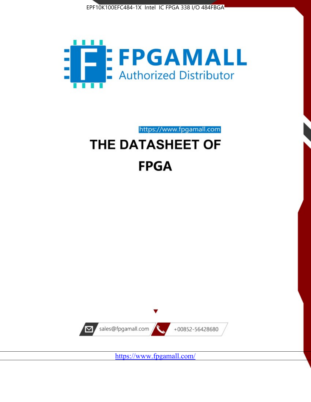



# https://www.fpgamall.com THE DATASHEET OF **FPGA**



<https://www.fpgamall.com/>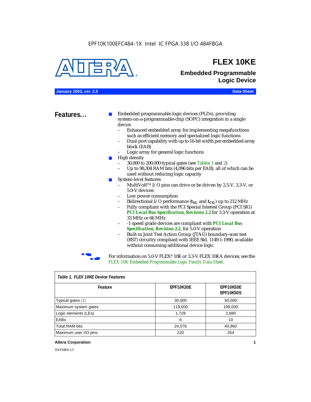

### **FLEX 10KE**

### **Embedded Programmable Logic Device**

**January 2003, ver. 2.5 Data Sheet**

**Features...** ■ Embedded programmable logic devices (PLDs), providing system-on-a-programmable-chip (SOPC) integration in a single device

- Enhanced embedded array for implementing megafunctions such as efficient memory and specialized logic functions
- Dual-port capability with up to 16-bit width per embedded array block (EAB)
- Logic array for general logic functions
- High density
	- 30,000 to 200,000 typical gates (see Tables 1 and 2)
	- Up to 98,304 RAM bits (4,096 bits per EAB), all of which can be used without reducing logic capacity
- System-level features
	- MultiVolt<sup>™</sup> I/O pins can drive or be driven by 2.5-V, 3.3-V, or 5.0-V devices
	- Low power consumption
	- Bidirectional I/O performance  $(t_{SI}$  and  $t_{CO}$ ) up to 212 MHz
	- Fully compliant with the PCI Special Interest Group (PCI SIG) *PCI Local Bus Specification, Revision 2.2* for 3.3-V operation at 33 MHz or 66 MHz
	- -1 speed grade devices are compliant with *PCI Local Bus Specification, Revision 2.2*, for 5.0-V operation
	- Built-in Joint Test Action Group (JTAG) boundary-scan test (BST) circuitry compliant with IEEE Std. 1149.1-1990, available without consuming additional device logic



For information on 5.0-V FLEX<sup>®</sup> 10K or 3.3-V FLEX 10KA devices, see the *FLEX 10K Embedded Programmable Logic Family Data Sheet*.

| Table T. FLEX TUKE Device Features |                  |                                      |  |  |
|------------------------------------|------------------|--------------------------------------|--|--|
| Feature                            | <b>EPF10K30E</b> | <b>EPF10K50E</b><br><b>EPF10K50S</b> |  |  |
| Typical gates (1)                  | 30,000           | 50,000                               |  |  |
| Maximum system gates               | 119,000          | 199,000                              |  |  |
| Logic elements (LEs)               | 1,728            | 2,880                                |  |  |
| EABs                               | 6                | 10                                   |  |  |
| <b>Total RAM bits</b>              | 24,576           | 40,960                               |  |  |
| Maximum user I/O pins              | 220              | 254                                  |  |  |

#### *Table 1. FLEX 10KE Device Features*

#### **Altera Corporation 1**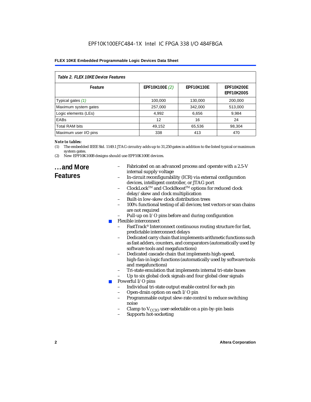| Table 2. FLEX 10KE Device Features |                |                   |                                        |  |  |
|------------------------------------|----------------|-------------------|----------------------------------------|--|--|
| Feature                            | EPF10K100E (2) | <b>EPF10K130E</b> | <b>EPF10K200E</b><br><b>EPF10K200S</b> |  |  |
| Typical gates (1)                  | 100,000        | 130,000           | 200,000                                |  |  |
| Maximum system gates               | 257,000        | 342,000           | 513,000                                |  |  |
| Logic elements (LEs)               | 4,992          | 6,656             | 9,984                                  |  |  |
| <b>EABs</b>                        | 12             | 16                | 24                                     |  |  |
| <b>Total RAM bits</b>              | 49,152         | 65,536            | 98,304                                 |  |  |
| Maximum user I/O pins              | 338            | 413               | 470                                    |  |  |

#### *Note to tables:*

- (1) The embedded IEEE Std. 1149.1 JTAG circuitry adds up to 31,250 gates in addition to the listed typical or maximum system gates.
- (2) New EPF10K100B designs should use EPF10K100E devices.

### **...and More Features**

- Fabricated on an advanced process and operate with a 2.5-V internal supply voltage
- In-circuit reconfigurability (ICR) via external configuration devices, intelligent controller, or JTAG port
- ClockLockTM and ClockBoostTM options for reduced clock delay/skew and clock multiplication
- Built-in low-skew clock distribution trees
- 100% functional testing of all devices; test vectors or scan chains are not required
- Pull-up on I/O pins before and during configuration
- Flexible interconnect
	- FastTrack<sup>®</sup> Interconnect continuous routing structure for fast, predictable interconnect delays
	- Dedicated carry chain that implements arithmetic functions such as fast adders, counters, and comparators (automatically used by software tools and megafunctions)
	- Dedicated cascade chain that implements high-speed, high-fan-in logic functions (automatically used by software tools and megafunctions)
	- Tri-state emulation that implements internal tri-state buses
	- Up to six global clock signals and four global clear signals
- Powerful I/O pins
	- Individual tri-state output enable control for each pin
	- Open-drain option on each I/O pin
	- Programmable output slew-rate control to reduce switching noise
	- Clamp to  $V_{\text{CCIO}}$  user-selectable on a pin-by-pin basis
	- Supports hot-socketing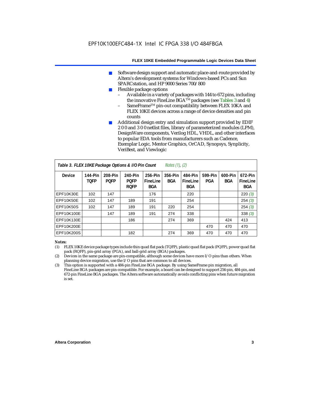- Software design support and automatic place-and-route provided by Altera's development systems for Windows-based PCs and Sun SPARCstation, and HP 9000 Series 700/800
- Flexible package options
	- Available in a variety of packages with 144 to 672 pins, including the innovative FineLine BGA<sup>TM</sup> packages (see Tables 3 and 4)
	- SameFrame™ pin-out compatibility between FLEX 10KA and FLEX 10KE devices across a range of device densities and pin counts
- Additional design entry and simulation support provided by EDIF 2 0 0 and 3 0 0 netlist files, library of parameterized modules (LPM), DesignWare components, Verilog HDL, VHDL, and other interfaces to popular EDA tools from manufacturers such as Cadence, Exemplar Logic, Mentor Graphics, OrCAD, Synopsys, Synplicity, VeriBest, and Viewlogic

| Table 3. FLEX 10KE Package Options & I/O Pin Count<br><i>Notes <math>(1)</math>, <math>(2)</math></i> |                        |                        |                                       |                                   |                       |                                   |                |                |                                   |
|-------------------------------------------------------------------------------------------------------|------------------------|------------------------|---------------------------------------|-----------------------------------|-----------------------|-----------------------------------|----------------|----------------|-----------------------------------|
| <b>Device</b>                                                                                         | 144-Pin<br><b>TOFP</b> | 208-Pin<br><b>POFP</b> | 240-Pin<br><b>POFP</b><br><b>ROFP</b> | 256-Pin<br>FineLine<br><b>BGA</b> | 356-Pin<br><b>BGA</b> | 484-Pin<br>FineLine<br><b>BGA</b> | 599-Pin<br>PGA | 600-Pin<br>BGA | 672-Pin<br>FineLine<br><b>BGA</b> |
| EPF10K30E                                                                                             | 102                    | 147                    |                                       | 176                               |                       | 220                               |                |                | 220(3)                            |
| EPF10K50E                                                                                             | 102                    | 147                    | 189                                   | 191                               |                       | 254                               |                |                | 254(3)                            |
| <b>EPF10K50S</b>                                                                                      | 102                    | 147                    | 189                                   | 191                               | 220                   | 254                               |                |                | 254(3)                            |
| EPF10K100E                                                                                            |                        | 147                    | 189                                   | 191                               | 274                   | 338                               |                |                | 338(3)                            |
| EPF10K130E                                                                                            |                        |                        | 186                                   |                                   | 274                   | 369                               |                | 424            | 413                               |
| EPF10K200E                                                                                            |                        |                        |                                       |                                   |                       |                                   | 470            | 470            | 470                               |
| EPF10K200S                                                                                            |                        |                        | 182                                   |                                   | 274                   | 369                               | 470            | 470            | 470                               |

#### *Notes:*

- (1) FLEX 10KE device package types include thin quad flat pack (TQFP), plastic quad flat pack (PQFP), power quad flat pack (RQFP), pin-grid array (PGA), and ball-grid array (BGA) packages.
- (2) Devices in the same package are pin-compatible, although some devices have more I/O pins than others. When planning device migration, use the I/O pins that are common to all devices.
- (3) This option is supported with a 484-pin FineLine BGA package. By using SameFrame pin migration, all FineLine BGA packages are pin-compatible. For example, a board can be designed to support 256-pin, 484-pin, and 672-pin FineLine BGA packages. The Altera software automatically avoids conflicting pins when future migration is set.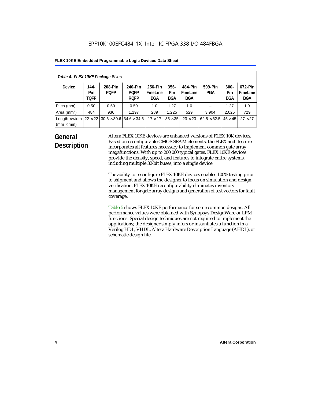| Table 4. FLEX 10KE Package Sizes          |                            |                                                      |                                       |                                   |                       |                            |                                   |                              |                                   |
|-------------------------------------------|----------------------------|------------------------------------------------------|---------------------------------------|-----------------------------------|-----------------------|----------------------------|-----------------------------------|------------------------------|-----------------------------------|
| <b>Device</b>                             | 144-<br>Pin<br><b>TOFP</b> | 208-Pin<br><b>POFP</b>                               | 240-Pin<br><b>POFP</b><br><b>ROFP</b> | 256-Pin<br>FineLine<br><b>BGA</b> | $356 -$<br>Pin<br>BGA | 484-Pin<br>FineLine<br>BGA | 599-Pin<br><b>PGA</b>             | $600 -$<br>Pin<br><b>BGA</b> | 672-Pin<br>FineLine<br><b>BGA</b> |
| Pitch (mm)                                | 0.50                       | 0.50                                                 | 0.50                                  | 1.0                               | 1.27                  | 1.0                        |                                   | 1.27                         | 1.0                               |
| Area $(mm2)$                              | 484                        | 936                                                  | 1.197                                 | 289                               | 1.225                 | 529                        | 3.904                             | 2,025                        | 729                               |
| Length $\times$ width<br>$(mm \times mm)$ |                            | $22 \times 22$ 30.6 $\times$ 30.6 34.6 $\times$ 34.6 |                                       | $17 \times 17$                    | $35 \times 35$        | $23 \times 23$             | $62.5 \times 62.5$ 45 $\times$ 45 |                              | $27 \times 27$                    |

### **General Description**

Altera FLEX 10KE devices are enhanced versions of FLEX 10K devices. Based on reconfigurable CMOS SRAM elements, the FLEX architecture incorporates all features necessary to implement common gate array megafunctions. With up to 200,000 typical gates, FLEX 10KE devices provide the density, speed, and features to integrate entire systems, including multiple 32-bit buses, into a single device.

The ability to reconfigure FLEX 10KE devices enables 100% testing prior to shipment and allows the designer to focus on simulation and design verification. FLEX 10KE reconfigurability eliminates inventory management for gate array designs and generation of test vectors for fault coverage.

Table 5 shows FLEX 10KE performance for some common designs. All performance values were obtained with Synopsys DesignWare or LPM functions. Special design techniques are not required to implement the applications; the designer simply infers or instantiates a function in a Verilog HDL, VHDL, Altera Hardware Description Language (AHDL), or schematic design file.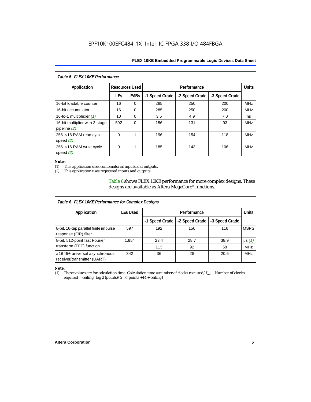| Table 5. FLEX 10KE Performance                   |            |                                      |                |                |                |            |
|--------------------------------------------------|------------|--------------------------------------|----------------|----------------|----------------|------------|
| Application                                      |            | <b>Resources Used</b><br>Performance |                |                | <b>Units</b>   |            |
|                                                  | <b>LEs</b> | <b>EABs</b>                          | -1 Speed Grade | -2 Speed Grade | -3 Speed Grade |            |
| 16-bit loadable counter                          | 16         | $\Omega$                             | 285            | 250            | 200            | <b>MHz</b> |
| 16-bit accumulator                               | 16         | $\Omega$                             | 285            | 250            | 200            | <b>MHz</b> |
| 16-to-1 multiplexer $(1)$                        | 10         | $\Omega$                             | 3.5            | 4.9            | 7.0            | ns         |
| 16-bit multiplier with 3-stage<br>pipeline $(2)$ | 592        | $\Omega$                             | 156            | 131            | 93             | <b>MHz</b> |
| $256 \times 16$ RAM read cycle<br>speed $(2)$    | $\Omega$   | 1                                    | 196            | 154            | 118            | <b>MHz</b> |
| $256 \times 16$ RAM write cycle<br>speed $(2)$   | $\Omega$   | 1                                    | 185            | 143            | 106            | <b>MHz</b> |

#### *Notes:*

(1) This application uses combinatorial inputs and outputs.

This application uses registered inputs and outputs.

Table 6 shows FLEX 10KE performance for more complex designs. These designs are available as Altera MegaCore® functions.

| Table 6. FLEX 10KE Performance for Complex Designs             |                 |                |                |                |              |
|----------------------------------------------------------------|-----------------|----------------|----------------|----------------|--------------|
| Application                                                    | <b>LEs Used</b> | Performance    |                |                | <b>Units</b> |
|                                                                |                 | -1 Speed Grade | -2 Speed Grade | -3 Speed Grade |              |
| 8-bit, 16-tap parallel finite impulse<br>response (FIR) filter | 597             | 192            | 156            | 116            | <b>MSPS</b>  |
| 8-bit, 512-point fast Fourier                                  | 1,854           | 23.4           | 28.7           | 38.9           | $\mu s(1)$   |
| transform (FFT) function                                       |                 | 113            | 92             | 68             | <b>MHz</b>   |
| a16450 universal asynchronous<br>receiver/transmitter (UART)   | 342             | 36             | 28             | 20.5           | <b>MHz</b>   |

## *Note:*<br>(1) 1

These values are for calculation time. Calculation time = number of clocks required/ $f_{max}$ . Number of clocks required = ceiling [log 2 (points)/2]  $\times$  [points +14 + ceiling]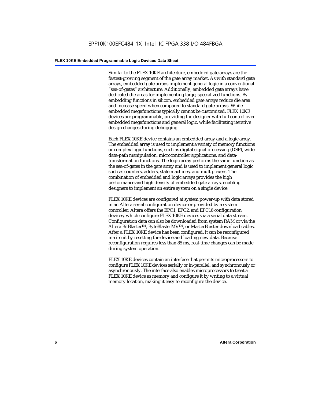Similar to the FLEX 10KE architecture, embedded gate arrays are the fastest-growing segment of the gate array market. As with standard gate arrays, embedded gate arrays implement general logic in a conventional "sea-of-gates" architecture. Additionally, embedded gate arrays have dedicated die areas for implementing large, specialized functions. By embedding functions in silicon, embedded gate arrays reduce die area and increase speed when compared to standard gate arrays. While embedded megafunctions typically cannot be customized, FLEX 10KE devices are programmable, providing the designer with full control over embedded megafunctions and general logic, while facilitating iterative design changes during debugging.

Each FLEX 10KE device contains an embedded array and a logic array. The embedded array is used to implement a variety of memory functions or complex logic functions, such as digital signal processing (DSP), wide data-path manipulation, microcontroller applications, and datatransformation functions. The logic array performs the same function as the sea-of-gates in the gate array and is used to implement general logic such as counters, adders, state machines, and multiplexers. The combination of embedded and logic arrays provides the high performance and high density of embedded gate arrays, enabling designers to implement an entire system on a single device.

FLEX 10KE devices are configured at system power-up with data stored in an Altera serial configuration device or provided by a system controller. Altera offers the EPC1, EPC2, and EPC16 configuration devices, which configure FLEX 10KE devices via a serial data stream. Configuration data can also be downloaded from system RAM or via the Altera BitBlaster™, ByteBlasterMV™, or MasterBlaster download cables. After a FLEX 10KE device has been configured, it can be reconfigured in-circuit by resetting the device and loading new data. Because reconfiguration requires less than 85 ms, real-time changes can be made during system operation.

FLEX 10KE devices contain an interface that permits microprocessors to configure FLEX 10KE devices serially or in-parallel, and synchronously or asynchronously. The interface also enables microprocessors to treat a FLEX 10KE device as memory and configure it by writing to a virtual memory location, making it easy to reconfigure the device.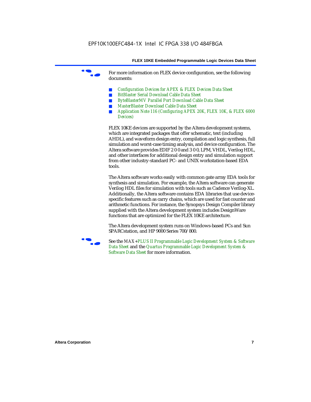For more information on FLEX device configuration, see the following documents:

- *Configuration Devices for APEX & FLEX Devices Data Sheet*
- *BitBlaster Serial Download Cable Data Sheet*
- *ByteBlasterMV Parallel Port Download Cable Data Sheet*
- *MasterBlaster Download Cable Data Sheet*
- *Application Note 116 (Configuring APEX 20K, FLEX 10K, & FLEX 6000 Devices)*

FLEX 10KE devices are supported by the Altera development systems, which are integrated packages that offer schematic, text (including AHDL), and waveform design entry, compilation and logic synthesis, full simulation and worst-case timing analysis, and device configuration. The Altera software provides EDIF 2 0 0 and 3 0 0, LPM, VHDL, Verilog HDL, and other interfaces for additional design entry and simulation support from other industry-standard PC- and UNIX workstation-based EDA tools.

The Altera software works easily with common gate array EDA tools for synthesis and simulation. For example, the Altera software can generate Verilog HDL files for simulation with tools such as Cadence Verilog-XL. Additionally, the Altera software contains EDA libraries that use devicespecific features such as carry chains, which are used for fast counter and arithmetic functions. For instance, the Synopsys Design Compiler library supplied with the Altera development system includes DesignWare functions that are optimized for the FLEX 10KE architecture.

The Altera development system runs on Windows-based PCs and Sun SPARCstation, and HP 9000 Series 700/800.



See the *MAX+PLUS II Programmable Logic Development System & Software Data Sheet* and the *Quartus Programmable Logic Development System & Software Data Sheet* for more information.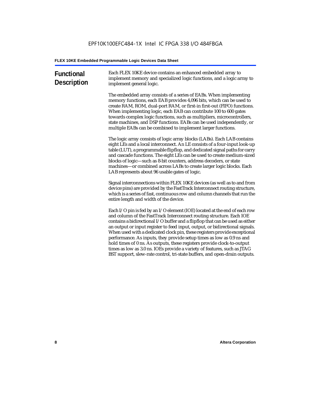| <b>Functional</b><br><b>Description</b> | Each FLEX 10KE device contains an enhanced embedded array to<br>implement memory and specialized logic functions, and a logic array to<br>implement general logic.                                                                                                                                                                                                                                                                                                                                                                                                                                                                                                                                             |
|-----------------------------------------|----------------------------------------------------------------------------------------------------------------------------------------------------------------------------------------------------------------------------------------------------------------------------------------------------------------------------------------------------------------------------------------------------------------------------------------------------------------------------------------------------------------------------------------------------------------------------------------------------------------------------------------------------------------------------------------------------------------|
|                                         | The embedded array consists of a series of EABs. When implementing<br>memory functions, each EAB provides 4,096 bits, which can be used to<br>create RAM, ROM, dual-port RAM, or first-in first-out (FIFO) functions.<br>When implementing logic, each EAB can contribute 100 to 600 gates<br>towards complex logic functions, such as multipliers, microcontrollers,<br>state machines, and DSP functions. EABs can be used independently, or<br>multiple EABs can be combined to implement larger functions.                                                                                                                                                                                                 |
|                                         | The logic array consists of logic array blocks (LABs). Each LAB contains<br>eight LEs and a local interconnect. An LE consists of a four-input look-up<br>table (LUT), a programmable flipflop, and dedicated signal paths for carry<br>and cascade functions. The eight LEs can be used to create medium-sized<br>blocks of logic-such as 8-bit counters, address decoders, or state<br>machines-or combined across LABs to create larger logic blocks. Each<br>LAB represents about 96 usable gates of logic.                                                                                                                                                                                                |
|                                         | Signal interconnections within FLEX 10KE devices (as well as to and from<br>device pins) are provided by the FastTrack Interconnect routing structure,<br>which is a series of fast, continuous row and column channels that run the<br>entire length and width of the device.                                                                                                                                                                                                                                                                                                                                                                                                                                 |
|                                         | Each I/O pin is fed by an I/O element (IOE) located at the end of each row<br>and column of the FastTrack Interconnect routing structure. Each IOE<br>contains a bidirectional I/O buffer and a flipflop that can be used as either<br>an output or input register to feed input, output, or bidirectional signals.<br>When used with a dedicated clock pin, these registers provide exceptional<br>performance. As inputs, they provide setup times as low as 0.9 ns and<br>hold times of 0 ns. As outputs, these registers provide clock-to-output<br>times as low as 3.0 ns. IOEs provide a variety of features, such as JTAG<br>BST support, slew-rate control, tri-state buffers, and open-drain outputs. |
|                                         |                                                                                                                                                                                                                                                                                                                                                                                                                                                                                                                                                                                                                                                                                                                |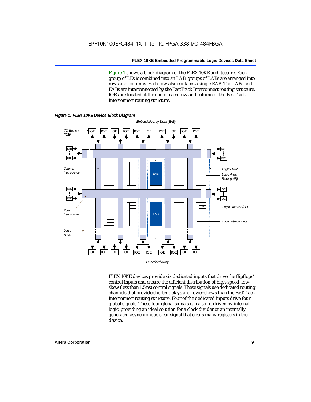Figure 1 shows a block diagram of the FLEX 10KE architecture. Each group of LEs is combined into an LAB; groups of LABs are arranged into rows and columns. Each row also contains a single EAB. The LABs and EABs are interconnected by the FastTrack Interconnect routing structure. IOEs are located at the end of each row and column of the FastTrack Interconnect routing structure.



FLEX 10KE devices provide six dedicated inputs that drive the flipflops' control inputs and ensure the efficient distribution of high-speed, lowskew (less than 1.5 ns) control signals. These signals use dedicated routing channels that provide shorter delays and lower skews than the FastTrack Interconnect routing structure. Four of the dedicated inputs drive four global signals. These four global signals can also be driven by internal logic, providing an ideal solution for a clock divider or an internally generated asynchronous clear signal that clears many registers in the device.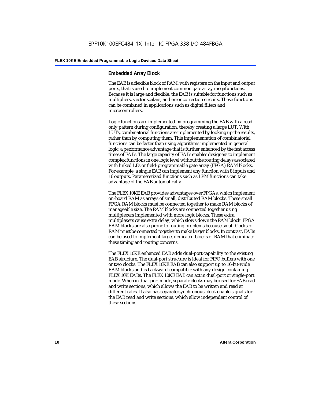#### **Embedded Array Block**

The EAB is a flexible block of RAM, with registers on the input and output ports, that is used to implement common gate array megafunctions. Because it is large and flexible, the EAB is suitable for functions such as multipliers, vector scalars, and error correction circuits. These functions can be combined in applications such as digital filters and microcontrollers.

Logic functions are implemented by programming the EAB with a readonly pattern during configuration, thereby creating a large LUT. With LUTs, combinatorial functions are implemented by looking up the results, rather than by computing them. This implementation of combinatorial functions can be faster than using algorithms implemented in general logic, a performance advantage that is further enhanced by the fast access times of EABs. The large capacity of EABs enables designers to implement complex functions in one logic level without the routing delays associated with linked LEs or field-programmable gate array (FPGA) RAM blocks. For example, a single EAB can implement any function with 8 inputs and 16 outputs. Parameterized functions such as LPM functions can take advantage of the EAB automatically.

The FLEX 10KE EAB provides advantages over FPGAs, which implement on-board RAM as arrays of small, distributed RAM blocks. These small FPGA RAM blocks must be connected together to make RAM blocks of manageable size. The RAM blocks are connected together using multiplexers implemented with more logic blocks. These extra multiplexers cause extra delay, which slows down the RAM block. FPGA RAM blocks are also prone to routing problems because small blocks of RAM must be connected together to make larger blocks. In contrast, EABs can be used to implement large, dedicated blocks of RAM that eliminate these timing and routing concerns.

The FLEX 10KE enhanced EAB adds dual-port capability to the existing EAB structure. The dual-port structure is ideal for FIFO buffers with one or two clocks. The FLEX 10KE EAB can also support up to 16-bit-wide RAM blocks and is backward-compatible with any design containing FLEX 10K EABs. The FLEX 10KE EAB can act in dual-port or single-port mode. When in dual-port mode, separate clocks may be used for EAB read and write sections, which allows the EAB to be written and read at different rates. It also has separate synchronous clock enable signals for the EAB read and write sections, which allow independent control of these sections.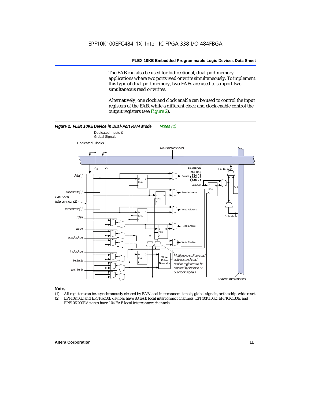The EAB can also be used for bidirectional, dual-port memory applications where two ports read or write simultaneously. To implement this type of dual-port memory, two EABs are used to support two simultaneous read or writes.

Alternatively, one clock and clock enable can be used to control the input registers of the EAB, while a different clock and clock enable control the output registers (see Figure 2).



#### *Notes:*

- (1) All registers can be asynchronously cleared by EAB local interconnect signals, global signals, or the chip-wide reset.
- (2) EPF10K30E and EPF10K50E devices have 88 EAB local interconnect channels; EPF10K100E, EPF10K130E, and EPF10K200E devices have 104 EAB local interconnect channels.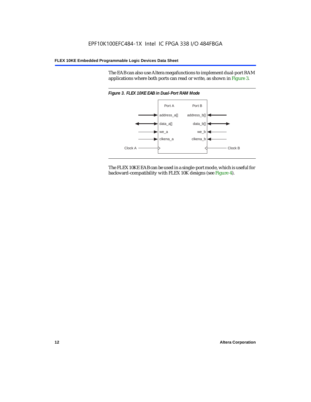The EAB can also use Altera megafunctions to implement dual-port RAM applications where both ports can read or write, as shown in Figure 3.



The FLEX 10KE EAB can be used in a single-port mode, which is useful for backward-compatibility with FLEX 10K designs (see Figure 4).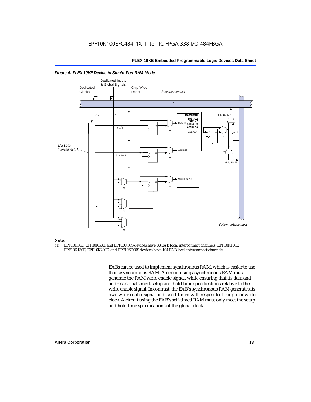

#### *Figure 4. FLEX 10KE Device in Single-Port RAM Mode*

### *Note:*<br>(1) **F**

(1) EPF10K30E, EPF10K50E, and EPF10K50S devices have 88 EAB local interconnect channels; EPF10K100E, EPF10K130E, EPF10K200E, and EPF10K200S devices have 104 EAB local interconnect channels.

> EABs can be used to implement synchronous RAM, which is easier to use than asynchronous RAM. A circuit using asynchronous RAM must generate the RAM write enable signal, while ensuring that its data and address signals meet setup and hold time specifications relative to the write enable signal. In contrast, the EAB's synchronous RAM generates its own write enable signal and is self-timed with respect to the input or write clock. A circuit using the EAB's self-timed RAM must only meet the setup and hold time specifications of the global clock.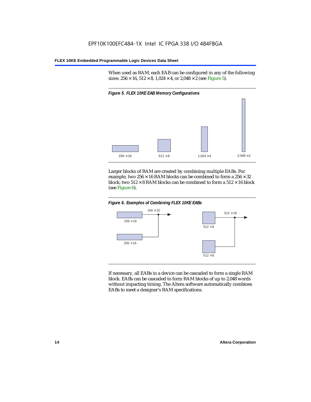When used as RAM, each EAB can be configured in any of the following sizes:  $256 \times 16$ ,  $512 \times 8$ ,  $1,024 \times 4$ , or  $2,048 \times 2$  (see Figure 5).



Larger blocks of RAM are created by combining multiple EABs. For example, two  $256 \times 16$  RAM blocks can be combined to form a  $256 \times 32$ block; two  $512 \times 8$  RAM blocks can be combined to form a  $512 \times 16$  block (see Figure 6).





If necessary, all EABs in a device can be cascaded to form a single RAM block. EABs can be cascaded to form RAM blocks of up to 2,048 words without impacting timing. The Altera software automatically combines EABs to meet a designer's RAM specifications.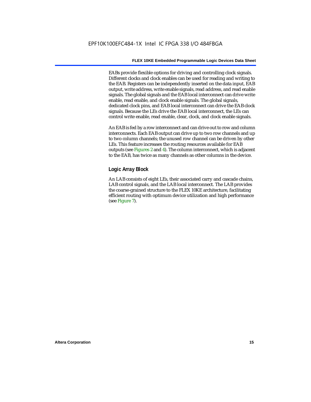EABs provide flexible options for driving and controlling clock signals. Different clocks and clock enables can be used for reading and writing to the EAB. Registers can be independently inserted on the data input, EAB output, write address, write enable signals, read address, and read enable signals. The global signals and the EAB local interconnect can drive write enable, read enable, and clock enable signals. The global signals, dedicated clock pins, and EAB local interconnect can drive the EAB clock signals. Because the LEs drive the EAB local interconnect, the LEs can control write enable, read enable, clear, clock, and clock enable signals.

An EAB is fed by a row interconnect and can drive out to row and column interconnects. Each EAB output can drive up to two row channels and up to two column channels; the unused row channel can be driven by other LEs. This feature increases the routing resources available for EAB outputs (see Figures 2 and 4). The column interconnect, which is adjacent to the EAB, has twice as many channels as other columns in the device.

#### **Logic Array Block**

An LAB consists of eight LEs, their associated carry and cascade chains, LAB control signals, and the LAB local interconnect. The LAB provides the coarse-grained structure to the FLEX 10KE architecture, facilitating efficient routing with optimum device utilization and high performance (see Figure 7).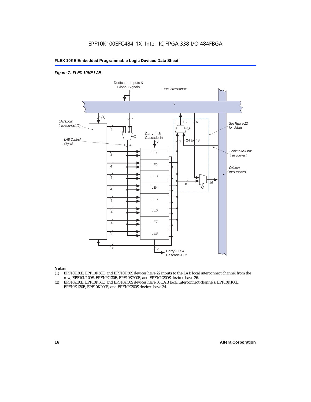#### *Figure 7. FLEX 10KE LAB*



#### *Notes:*

- (1) EPF10K30E, EPF10K50E, and EPF10K50S devices have 22 inputs to the LAB local interconnect channel from the row; EPF10K100E, EPF10K130E, EPF10K200E, and EPF10K200S devices have 26.
- (2) EPF10K30E, EPF10K50E, and EPF10K50S devices have 30 LAB local interconnect channels; EPF10K100E, EPF10K130E, EPF10K200E, and EPF10K200S devices have 34.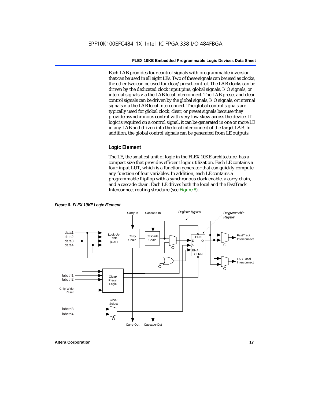Each LAB provides four control signals with programmable inversion that can be used in all eight LEs. Two of these signals can be used as clocks, the other two can be used for clear/preset control. The LAB clocks can be driven by the dedicated clock input pins, global signals, I/O signals, or internal signals via the LAB local interconnect. The LAB preset and clear control signals can be driven by the global signals, I/O signals, or internal signals via the LAB local interconnect. The global control signals are typically used for global clock, clear, or preset signals because they provide asynchronous control with very low skew across the device. If logic is required on a control signal, it can be generated in one or more LE in any LAB and driven into the local interconnect of the target LAB. In addition, the global control signals can be generated from LE outputs.

#### **Logic Element**

The LE, the smallest unit of logic in the FLEX 10KE architecture, has a compact size that provides efficient logic utilization. Each LE contains a four-input LUT, which is a function generator that can quickly compute any function of four variables. In addition, each LE contains a programmable flipflop with a synchronous clock enable, a carry chain, and a cascade chain. Each LE drives both the local and the FastTrack Interconnect routing structure (see Figure 8).

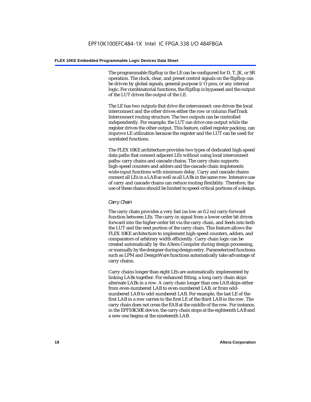The programmable flipflop in the LE can be configured for D, T, JK, or SR operation. The clock, clear, and preset control signals on the flipflop can be driven by global signals, general-purpose I/O pins, or any internal logic. For combinatorial functions, the flipflop is bypassed and the output of the LUT drives the output of the LE.

The LE has two outputs that drive the interconnect: one drives the local interconnect and the other drives either the row or column FastTrack Interconnect routing structure. The two outputs can be controlled independently. For example, the LUT can drive one output while the register drives the other output. This feature, called register packing, can improve LE utilization because the register and the LUT can be used for unrelated functions.

The FLEX 10KE architecture provides two types of dedicated high-speed data paths that connect adjacent LEs without using local interconnect paths: carry chains and cascade chains. The carry chain supports high-speed counters and adders and the cascade chain implements wide-input functions with minimum delay. Carry and cascade chains connect all LEs in a LAB as well as all LABs in the same row. Intensive use of carry and cascade chains can reduce routing flexibility. Therefore, the use of these chains should be limited to speed-critical portions of a design.

#### *Carry Chain*

The carry chain provides a very fast (as low as 0.2 ns) carry-forward function between LEs. The carry-in signal from a lower-order bit drives forward into the higher-order bit via the carry chain, and feeds into both the LUT and the next portion of the carry chain. This feature allows the FLEX 10KE architecture to implement high-speed counters, adders, and comparators of arbitrary width efficiently. Carry chain logic can be created automatically by the Altera Compiler during design processing, or manually by the designer during design entry. Parameterized functions such as LPM and DesignWare functions automatically take advantage of carry chains.

Carry chains longer than eight LEs are automatically implemented by linking LABs together. For enhanced fitting, a long carry chain skips alternate LABs in a row. A carry chain longer than one LAB skips either from even-numbered LAB to even-numbered LAB, or from oddnumbered LAB to odd-numbered LAB. For example, the last LE of the first LAB in a row carries to the first LE of the third LAB in the row. The carry chain does not cross the EAB at the middle of the row. For instance, in the EPF10K50E device, the carry chain stops at the eighteenth LAB and a new one begins at the nineteenth LAB.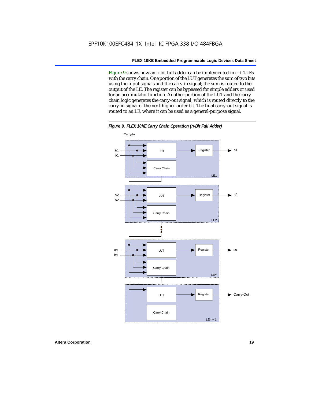Figure 9 shows how an *n*-bit full adder can be implemented in  $n + 1$  LEs with the carry chain. One portion of the LUT generates the sum of two bits using the input signals and the carry-in signal; the sum is routed to the output of the LE. The register can be bypassed for simple adders or used for an accumulator function. Another portion of the LUT and the carry chain logic generates the carry-out signal, which is routed directly to the carry-in signal of the next-higher-order bit. The final carry-out signal is routed to an LE, where it can be used as a general-purpose signal.



*Figure 9. FLEX 10KE Carry Chain Operation (n-Bit Full Adder)*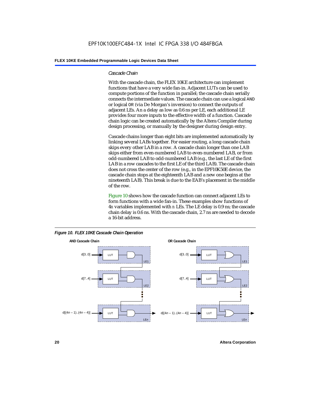#### *Cascade Chain*

With the cascade chain, the FLEX 10KE architecture can implement functions that have a very wide fan-in. Adjacent LUTs can be used to compute portions of the function in parallel; the cascade chain serially connects the intermediate values. The cascade chain can use a logical AND or logical OR (via De Morgan's inversion) to connect the outputs of adjacent LEs. An a delay as low as 0.6 ns per LE, each additional LE provides four more inputs to the effective width of a function. Cascade chain logic can be created automatically by the Altera Compiler during design processing, or manually by the designer during design entry.

Cascade chains longer than eight bits are implemented automatically by linking several LABs together. For easier routing, a long cascade chain skips every other LAB in a row. A cascade chain longer than one LAB skips either from even-numbered LAB to even-numbered LAB, or from odd-numbered LAB to odd-numbered LAB (e.g., the last LE of the first LAB in a row cascades to the first LE of the third LAB). The cascade chain does not cross the center of the row (e.g., in the EPF10K50E device, the cascade chain stops at the eighteenth LAB and a new one begins at the nineteenth LAB). This break is due to the EAB's placement in the middle of the row.

Figure 10 shows how the cascade function can connect adjacent LEs to form functions with a wide fan-in. These examples show functions of 4*n* variables implemented with *n* LEs. The LE delay is 0.9 ns; the cascade chain delay is 0.6 ns. With the cascade chain, 2.7 ns are needed to decode a 16-bit address.



*Figure 10. FLEX 10KE Cascade Chain Operation*

**20 Altera Corporation**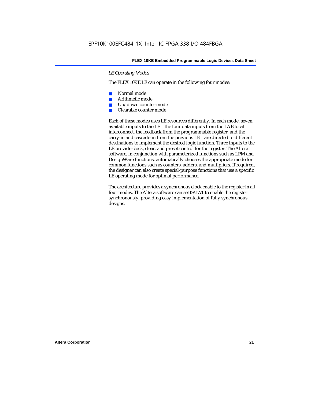#### *LE Operating Modes*

The FLEX 10KE LE can operate in the following four modes:

- Normal mode
- Arithmetic mode
- Up/down counter mode
- Clearable counter mode

Each of these modes uses LE resources differently. In each mode, seven available inputs to the LE—the four data inputs from the LAB local interconnect, the feedback from the programmable register, and the carry-in and cascade-in from the previous LE—are directed to different destinations to implement the desired logic function. Three inputs to the LE provide clock, clear, and preset control for the register. The Altera software, in conjunction with parameterized functions such as LPM and DesignWare functions, automatically chooses the appropriate mode for common functions such as counters, adders, and multipliers. If required, the designer can also create special-purpose functions that use a specific LE operating mode for optimal performance.

The architecture provides a synchronous clock enable to the register in all four modes. The Altera software can set DATA1 to enable the register synchronously, providing easy implementation of fully synchronous designs.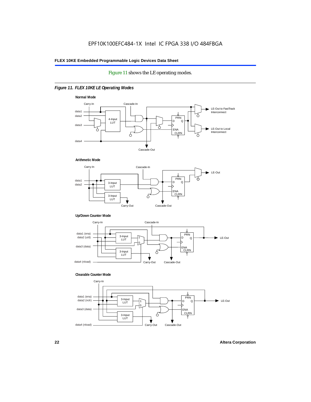#### Figure 11 shows the LE operating modes.

#### *Figure 11. FLEX 10KE LE Operating Modes*









#### **Clearable Counter Mode**

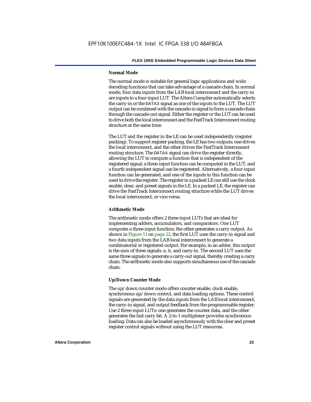#### **Normal Mode**

The normal mode is suitable for general logic applications and wide decoding functions that can take advantage of a cascade chain. In normal mode, four data inputs from the LAB local interconnect and the carry-in are inputs to a four-input LUT. The Altera Compiler automatically selects the carry-in or the DATA3 signal as one of the inputs to the LUT. The LUT output can be combined with the cascade-in signal to form a cascade chain through the cascade-out signal. Either the register or the LUT can be used to drive both the local interconnect and the FastTrack Interconnect routing structure at the same time.

The LUT and the register in the LE can be used independently (register packing). To support register packing, the LE has two outputs; one drives the local interconnect, and the other drives the FastTrack Interconnect routing structure. The DATA4 signal can drive the register directly, allowing the LUT to compute a function that is independent of the registered signal; a three-input function can be computed in the LUT, and a fourth independent signal can be registered. Alternatively, a four-input function can be generated, and one of the inputs to this function can be used to drive the register. The register in a packed LE can still use the clock enable, clear, and preset signals in the LE. In a packed LE, the register can drive the FastTrack Interconnect routing structure while the LUT drives the local interconnect, or vice versa.

#### **Arithmetic Mode**

The arithmetic mode offers 2 three-input LUTs that are ideal for implementing adders, accumulators, and comparators. One LUT computes a three-input function; the other generates a carry output. As shown in Figure 11 on page 22, the first LUT uses the carry-in signal and two data inputs from the LAB local interconnect to generate a combinatorial or registered output. For example, in an adder, this output is the sum of three signals: a, b, and carry-in. The second LUT uses the same three signals to generate a carry-out signal, thereby creating a carry chain. The arithmetic mode also supports simultaneous use of the cascade chain.

#### **Up/Down Counter Mode**

The up/down counter mode offers counter enable, clock enable, synchronous up/down control, and data loading options. These control signals are generated by the data inputs from the LAB local interconnect, the carry-in signal, and output feedback from the programmable register. Use 2 three-input LUTs: one generates the counter data, and the other generates the fast carry bit. A 2-to-1 multiplexer provides synchronous loading. Data can also be loaded asynchronously with the clear and preset register control signals without using the LUT resources.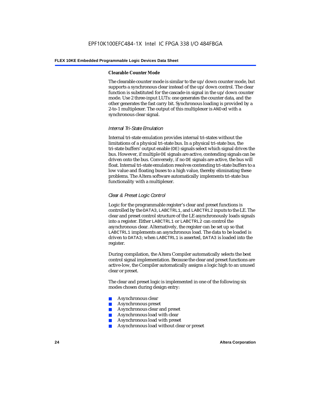#### **Clearable Counter Mode**

The clearable counter mode is similar to the up/down counter mode, but supports a synchronous clear instead of the up/down control. The clear function is substituted for the cascade-in signal in the up/down counter mode. Use 2 three-input LUTs: one generates the counter data, and the other generates the fast carry bit. Synchronous loading is provided by a 2-to-1 multiplexer. The output of this multiplexer is ANDed with a synchronous clear signal.

#### *Internal Tri-State Emulation*

Internal tri-state emulation provides internal tri-states without the limitations of a physical tri-state bus. In a physical tri-state bus, the tri-state buffers' output enable (OE) signals select which signal drives the bus. However, if multiple OE signals are active, contending signals can be driven onto the bus. Conversely, if no OE signals are active, the bus will float. Internal tri-state emulation resolves contending tri-state buffers to a low value and floating buses to a high value, thereby eliminating these problems. The Altera software automatically implements tri-state bus functionality with a multiplexer.

#### *Clear & Preset Logic Control*

Logic for the programmable register's clear and preset functions is controlled by the DATA3, LABCTRL1, and LABCTRL2 inputs to the LE. The clear and preset control structure of the LE asynchronously loads signals into a register. Either LABCTRL1 or LABCTRL2 can control the asynchronous clear. Alternatively, the register can be set up so that LABCTRL1 implements an asynchronous load. The data to be loaded is driven to DATA3; when LABCTRL1 is asserted, DATA3 is loaded into the register.

During compilation, the Altera Compiler automatically selects the best control signal implementation. Because the clear and preset functions are active-low, the Compiler automatically assigns a logic high to an unused clear or preset.

The clear and preset logic is implemented in one of the following six modes chosen during design entry:

- Asynchronous clear
- Asynchronous preset
- Asynchronous clear and preset
- Asynchronous load with clear
- Asynchronous load with preset
- Asynchronous load without clear or preset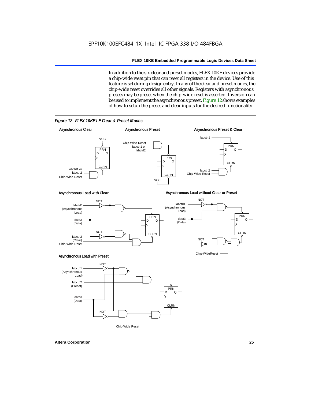In addition to the six clear and preset modes, FLEX 10KE devices provide a chip-wide reset pin that can reset all registers in the device. Use of this feature is set during design entry. In any of the clear and preset modes, the chip-wide reset overrides all other signals. Registers with asynchronous presets may be preset when the chip-wide reset is asserted. Inversion can be used to implement the asynchronous preset. Figure 12 shows examples of how to setup the preset and clear inputs for the desired functionality.



*Figure 12. FLEX 10KE LE Clear & Preset Modes*

**Altera Corporation 25**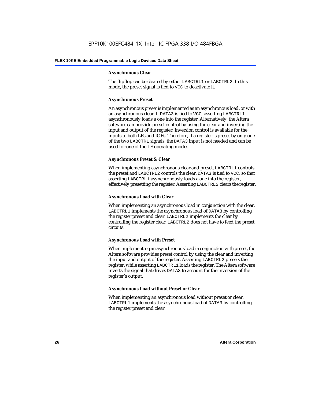#### **Asynchronous Clear**

The flipflop can be cleared by either LABCTRL1 or LABCTRL2. In this mode, the preset signal is tied to VCC to deactivate it.

#### **Asynchronous Preset**

An asynchronous preset is implemented as an asynchronous load, or with an asynchronous clear. If DATA3 is tied to VCC, asserting LABCTRL1 asynchronously loads a one into the register. Alternatively, the Altera software can provide preset control by using the clear and inverting the input and output of the register. Inversion control is available for the inputs to both LEs and IOEs. Therefore, if a register is preset by only one of the two LABCTRL signals, the DATA3 input is not needed and can be used for one of the LE operating modes.

#### **Asynchronous Preset & Clear**

When implementing asynchronous clear and preset, LABCTRL1 controls the preset and LABCTRL2 controls the clear. DATA3 is tied to VCC, so that asserting LABCTRL1 asynchronously loads a one into the register, effectively presetting the register. Asserting LABCTRL2 clears the register.

#### **Asynchronous Load with Clear**

When implementing an asynchronous load in conjunction with the clear, LABCTRL1 implements the asynchronous load of DATA3 by controlling the register preset and clear. LABCTRL2 implements the clear by controlling the register clear; LABCTRL2 does not have to feed the preset circuits.

#### **Asynchronous Load with Preset**

When implementing an asynchronous load in conjunction with preset, the Altera software provides preset control by using the clear and inverting the input and output of the register. Asserting LABCTRL2 presets the register, while asserting LABCTRL1 loads the register. The Altera software inverts the signal that drives DATA3 to account for the inversion of the register's output.

#### **Asynchronous Load without Preset or Clear**

When implementing an asynchronous load without preset or clear, LABCTRL1 implements the asynchronous load of DATA3 by controlling the register preset and clear.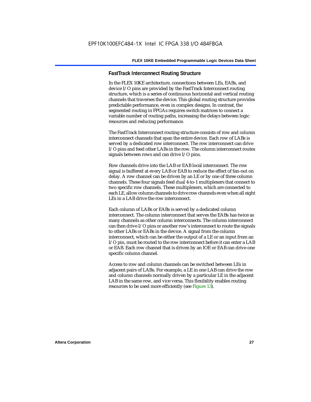#### **FastTrack Interconnect Routing Structure**

In the FLEX 10KE architecture, connections between LEs, EABs, and device I/O pins are provided by the FastTrack Interconnect routing structure, which is a series of continuous horizontal and vertical routing channels that traverses the device. This global routing structure provides predictable performance, even in complex designs. In contrast, the segmented routing in FPGAs requires switch matrices to connect a variable number of routing paths, increasing the delays between logic resources and reducing performance.

The FastTrack Interconnect routing structure consists of row and column interconnect channels that span the entire device. Each row of LABs is served by a dedicated row interconnect. The row interconnect can drive I/O pins and feed other LABs in the row. The column interconnect routes signals between rows and can drive I/O pins.

Row channels drive into the LAB or EAB local interconnect. The row signal is buffered at every LAB or EAB to reduce the effect of fan-out on delay. A row channel can be driven by an LE or by one of three column channels. These four signals feed dual 4-to-1 multiplexers that connect to two specific row channels. These multiplexers, which are connected to each LE, allow column channels to drive row channels even when all eight LEs in a LAB drive the row interconnect.

Each column of LABs or EABs is served by a dedicated column interconnect. The column interconnect that serves the EABs has twice as many channels as other column interconnects. The column interconnect can then drive I/O pins or another row's interconnect to route the signals to other LABs or EABs in the device. A signal from the column interconnect, which can be either the output of a LE or an input from an I/O pin, must be routed to the row interconnect before it can enter a LAB or EAB. Each row channel that is driven by an IOE or EAB can drive one specific column channel.

Access to row and column channels can be switched between LEs in adjacent pairs of LABs. For example, a LE in one LAB can drive the row and column channels normally driven by a particular LE in the adjacent LAB in the same row, and vice versa. This flexibility enables routing resources to be used more efficiently (see Figure 13).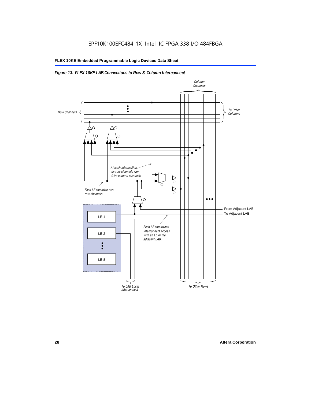#### *Figure 13. FLEX 10KE LAB Connections to Row & Column Interconnect*

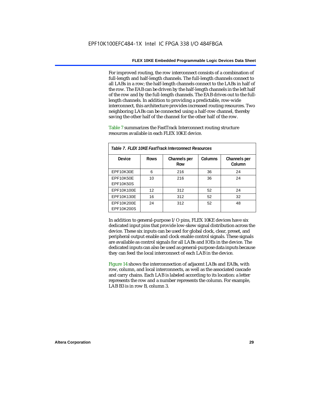For improved routing, the row interconnect consists of a combination of full-length and half-length channels. The full-length channels connect to all LABs in a row; the half-length channels connect to the LABs in half of the row. The EAB can be driven by the half-length channels in the left half of the row and by the full-length channels. The EAB drives out to the fulllength channels. In addition to providing a predictable, row-wide interconnect, this architecture provides increased routing resources. Two neighboring LABs can be connected using a half-row channel, thereby saving the other half of the channel for the other half of the row.

Table 7 summarizes the FastTrack Interconnect routing structure resources available in each FLEX 10KE device.

| Table 7. FLEX 10KE FastTrack Interconnect Resources |             |                     |         |                        |
|-----------------------------------------------------|-------------|---------------------|---------|------------------------|
| Device                                              | <b>Rows</b> | Channels per<br>Row | Columns | Channels per<br>Column |
| <b>EPF10K30E</b>                                    | 6           | 216                 | 36      | 24                     |
| EPF10K50E<br>EPF10K50S                              | 10          | 216                 | 36      | 24                     |
| EPF10K100E                                          | 12          | 312                 | 52      | 24                     |
| EPF10K130E                                          | 16          | 312                 | 52      | 32                     |
| EPF10K200E<br>EPF10K200S                            | 24          | 312                 | 52      | 48                     |

In addition to general-purpose I/O pins, FLEX 10KE devices have six dedicated input pins that provide low-skew signal distribution across the device. These six inputs can be used for global clock, clear, preset, and peripheral output enable and clock enable control signals. These signals are available as control signals for all LABs and IOEs in the device. The dedicated inputs can also be used as general-purpose data inputs because they can feed the local interconnect of each LAB in the device.

Figure 14 shows the interconnection of adjacent LABs and EABs, with row, column, and local interconnects, as well as the associated cascade and carry chains. Each LAB is labeled according to its location: a letter represents the row and a number represents the column. For example, LAB B3 is in row B, column 3.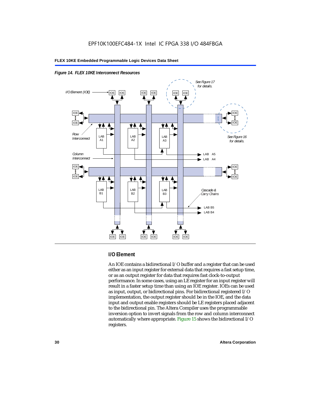



#### **I/O Element**

An IOE contains a bidirectional I/O buffer and a register that can be used either as an input register for external data that requires a fast setup time, or as an output register for data that requires fast clock-to-output performance. In some cases, using an LE register for an input register will result in a faster setup time than using an IOE register. IOEs can be used as input, output, or bidirectional pins. For bidirectional registered I/O implementation, the output register should be in the IOE, and the data input and output enable registers should be LE registers placed adjacent to the bidirectional pin. The Altera Compiler uses the programmable inversion option to invert signals from the row and column interconnect automatically where appropriate. Figure 15 shows the bidirectional I/O registers.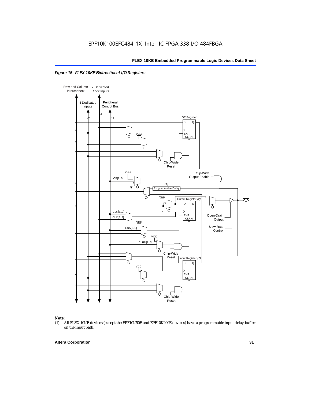



### *Note:*<br>(1) *A*

(1) All FLEX 10KE devices (except the EPF10K50E and EPF10K200E devices) have a programmable input delay buffer on the input path.

#### **Altera Corporation 31**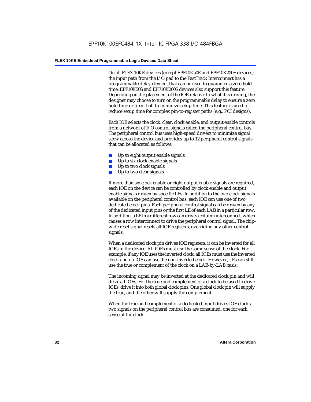On all FLEX 10KE devices (except EPF10K50E and EPF10K200E devices), the input path from the I/O pad to the FastTrack Interconnect has a programmable delay element that can be used to guarantee a zero hold time. EPF10K50S and EPF10K200S devices also support this feature. Depending on the placement of the IOE relative to what it is driving, the designer may choose to turn on the programmable delay to ensure a zero hold time or turn it off to minimize setup time. This feature is used to reduce setup time for complex pin-to-register paths (e.g., PCI designs).

Each IOE selects the clock, clear, clock enable, and output enable controls from a network of I/O control signals called the peripheral control bus. The peripheral control bus uses high-speed drivers to minimize signal skew across the device and provides up to 12 peripheral control signals that can be allocated as follows:

- Up to eight output enable signals
- Up to six clock enable signals
- Up to two clock signals
- Up to two clear signals

If more than six clock enable or eight output enable signals are required, each IOE on the device can be controlled by clock enable and output enable signals driven by specific LEs. In addition to the two clock signals available on the peripheral control bus, each IOE can use one of two dedicated clock pins. Each peripheral control signal can be driven by any of the dedicated input pins or the first LE of each LAB in a particular row. In addition, a LE in a different row can drive a column interconnect, which causes a row interconnect to drive the peripheral control signal. The chipwide reset signal resets all IOE registers, overriding any other control signals.

When a dedicated clock pin drives IOE registers, it can be inverted for all IOEs in the device. All IOEs must use the same sense of the clock. For example, if any IOE uses the inverted clock, all IOEs must use the inverted clock and no IOE can use the non-inverted clock. However, LEs can still use the true or complement of the clock on a LAB-by-LAB basis.

The incoming signal may be inverted at the dedicated clock pin and will drive all IOEs. For the true and complement of a clock to be used to drive IOEs, drive it into both global clock pins. One global clock pin will supply the true, and the other will supply the complement.

When the true and complement of a dedicated input drives IOE clocks, two signals on the peripheral control bus are consumed, one for each sense of the clock.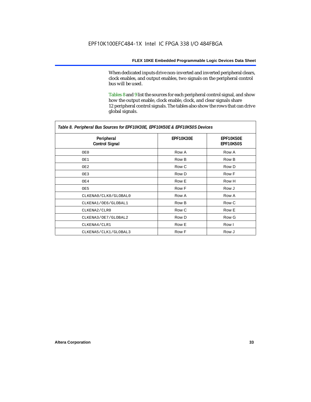When dedicated inputs drive non-inverted and inverted peripheral clears, clock enables, and output enables, two signals on the peripheral control bus will be used.

Tables 8 and 9 list the sources for each peripheral control signal, and show how the output enable, clock enable, clock, and clear signals share 12 peripheral control signals. The tables also show the rows that can drive global signals.

| Table 8. Peripheral Bus Sources for EPF10K30E, EPF10K50E & EPF10K50S Devices |                  |                               |  |  |
|------------------------------------------------------------------------------|------------------|-------------------------------|--|--|
| Peripheral<br><b>Control Signal</b>                                          | <b>EPF10K30E</b> | EPF10K50E<br><b>EPF10K50S</b> |  |  |
| OE0                                                                          | Row A            | Row A                         |  |  |
| OE1                                                                          | Row B            | Row B                         |  |  |
| OE2                                                                          | Row C            | Row D                         |  |  |
| OE3                                                                          | Row D            | Row F                         |  |  |
| OE4                                                                          | Row E            | Row H                         |  |  |
| OE5                                                                          | Row F            | Row J                         |  |  |
| CLKENA0/CLK0/GLOBAL0                                                         | Row A            | Row A                         |  |  |
| CLKENA1/OE6/GLOBAL1                                                          | Row B            | Row C                         |  |  |
| CLKENA2/CLR0                                                                 | Row C            | Row E                         |  |  |
| CLKENA3/OE7/GLOBAL2                                                          | Row D            | Row G                         |  |  |
| CLKENA4/CLR1                                                                 | Row E            | Row I                         |  |  |
| CLKENA5/CLK1/GLOBAL3                                                         | Row F            | Row J                         |  |  |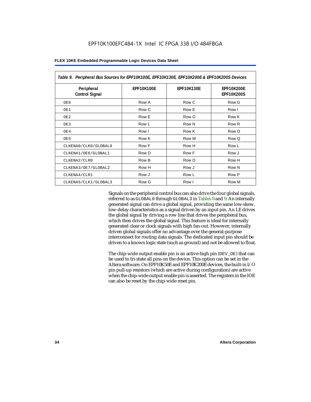| Table 9. Peripheral Bus Sources for EPF10K100E, EPF10K130E, EPF10K200E & EPF10K200S Devices |                   |                   |                                        |  |
|---------------------------------------------------------------------------------------------|-------------------|-------------------|----------------------------------------|--|
| Peripheral<br><b>Control Signal</b>                                                         | <b>EPF10K100E</b> | <b>EPF10K130E</b> | <b>EPF10K200E</b><br><b>EPF10K200S</b> |  |
| OE0                                                                                         | Row A             | Row C             | Row G                                  |  |
| OE1                                                                                         | Row C             | Row E             | Row I                                  |  |
| OE <sub>2</sub>                                                                             | Row E             | Row G             | Row K                                  |  |
| OE3                                                                                         | Row L             | Row N             | Row <sub>R</sub>                       |  |
| OE4                                                                                         | Row I             | Row K             | Row O                                  |  |
| OE5                                                                                         | Row K             | Row M             | Row Q                                  |  |
| CLKENA0/CLK0/GLOBAL0                                                                        | Row F             | Row H             | Row L                                  |  |
| CLKENA1/OE6/GLOBAL1                                                                         | Row D             | Row F             | Row J                                  |  |
| CLKENA2/CLR0                                                                                | Row B             | Row D             | Row H                                  |  |
| CLKENA3/OE7/GLOBAL2                                                                         | Row H             | Row J             | Row N                                  |  |
| CLKENA4/CLR1                                                                                | Row J             | Row L             | Row P                                  |  |
| CLKENA5/CLK1/GLOBAL3                                                                        | Row G             | Row I             | Row M                                  |  |

Signals on the peripheral control bus can also drive the four global signals, referred to as GLOBAL0 through GLOBAL3 in Tables 8 and 9. An internally generated signal can drive a global signal, providing the same low-skew, low-delay characteristics as a signal driven by an input pin. An LE drives the global signal by driving a row line that drives the peripheral bus, which then drives the global signal. This feature is ideal for internally generated clear or clock signals with high fan-out. However, internally driven global signals offer no advantage over the general-purpose interconnect for routing data signals. The dedicated input pin should be driven to a known logic state (such as ground) and not be allowed to float.

The chip-wide output enable pin is an active-high pin (DEV\_OE) that can be used to tri-state all pins on the device. This option can be set in the Altera software. On EPF10K50E and EPF10K200E devices, the built-in I/O pin pull-up resistors (which are active during configuration) are active when the chip-wide output enable pin is asserted. The registers in the IOE can also be reset by the chip-wide reset pin.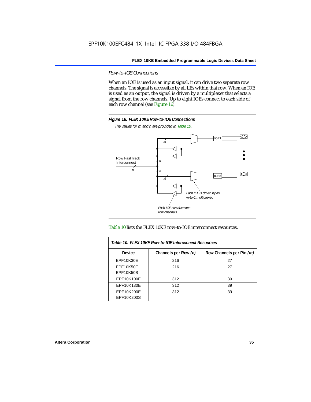*Row-to-IOE Connections*

When an IOE is used as an input signal, it can drive two separate row channels. The signal is accessible by all LEs within that row. When an IOE is used as an output, the signal is driven by a multiplexer that selects a signal from the row channels. Up to eight IOEs connect to each side of each row channel (see Figure 16).



*The values for m and n are provided in Table 10.*





| Table 10. FLEX 10KE Row-to-IOE Interconnect Resources |                      |                          |  |  |  |
|-------------------------------------------------------|----------------------|--------------------------|--|--|--|
| <b>Device</b>                                         | Channels per Row (n) | Row Channels per Pin (m) |  |  |  |
| <b>EPF10K30E</b>                                      | 216                  | 27                       |  |  |  |
| EPF10K50E                                             | 216                  | 27                       |  |  |  |
| <b>EPF10K50S</b>                                      |                      |                          |  |  |  |
| EPF10K100E                                            | 312                  | 39                       |  |  |  |
| EPF10K130E                                            | 312                  | 39                       |  |  |  |
| EPF10K200E<br>EPF10K200S                              | 312                  | 39                       |  |  |  |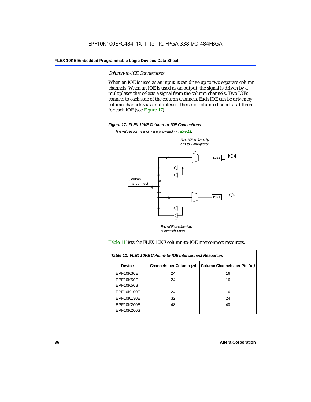#### *Column-to-IOE Connections*

When an IOE is used as an input, it can drive up to two separate column channels. When an IOE is used as an output, the signal is driven by a multiplexer that selects a signal from the column channels. Two IOEs connect to each side of the column channels. Each IOE can be driven by column channels via a multiplexer. The set of column channels is different for each IOE (see Figure 17).



*The values for m and n are provided in Table 11.*



#### Table 11 lists the FLEX 10KE column-to-IOE interconnect resources.

| Table 11. FLEX 10KE Column-to-IOE Interconnect Resources |                         |                             |  |  |  |
|----------------------------------------------------------|-------------------------|-----------------------------|--|--|--|
| <b>Device</b>                                            | Channels per Column (n) | Column Channels per Pin (m) |  |  |  |
| EPF10K30E                                                | 24                      | 16                          |  |  |  |
| <b>EPF10K50E</b><br><b>EPF10K50S</b>                     | 24                      | 16                          |  |  |  |
| EPF10K100E                                               | 24                      | 16                          |  |  |  |
| EPF10K130E                                               | 32                      | 24                          |  |  |  |
| EPF10K200E<br>EPF10K200S                                 | 48                      | 40                          |  |  |  |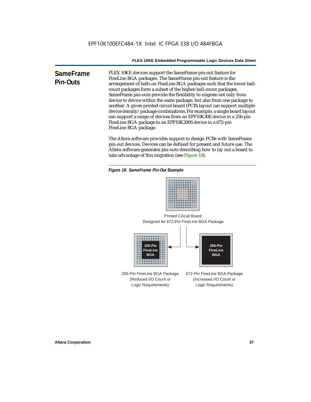**SameFrame Pin-Outs** FLEX 10KE devices support the SameFrame pin-out feature for FineLine BGA packages. The SameFrame pin-out feature is the arrangement of balls on FineLine BGA packages such that the lower-ballcount packages form a subset of the higher-ball-count packages. SameFrame pin-outs provide the flexibility to migrate not only from device to device within the same package, but also from one package to another. A given printed circuit board (PCB) layout can support multiple device density/package combinations. For example, a single board layout can support a range of devices from an EPF10K30E device in a 256-pin FineLine BGA package to an EPF10K200S device in a 672-pin FineLine BGA package.

> The Altera software provides support to design PCBs with SameFrame pin-out devices. Devices can be defined for present and future use. The Altera software generates pin-outs describing how to lay out a board to take advantage of this migration (see Figure 18).





Designed for 672-Pin FineLine BGA Package Printed Circuit Board



256-Pin FineLine BGA Package (Reduced I/O Count or Logic Requirements) 672-Pin FineLine BGA Package (Increased I/O Count or Logic Requirements)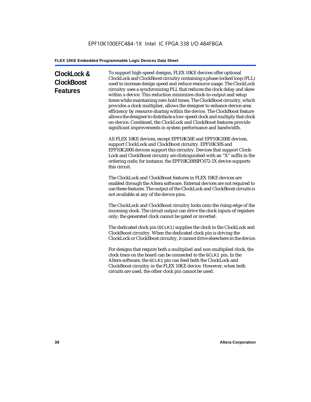# **ClockLock & ClockBoost Features**

To support high-speed designs, FLEX 10KE devices offer optional ClockLock and ClockBoost circuitry containing a phase-locked loop (PLL) used to increase design speed and reduce resource usage. The ClockLock circuitry uses a synchronizing PLL that reduces the clock delay and skew within a device. This reduction minimizes clock-to-output and setup times while maintaining zero hold times. The ClockBoost circuitry, which provides a clock multiplier, allows the designer to enhance device area efficiency by resource sharing within the device. The ClockBoost feature allows the designer to distribute a low-speed clock and multiply that clock on-device. Combined, the ClockLock and ClockBoost features provide significant improvements in system performance and bandwidth.

All FLEX 10KE devices, except EPF10K50E and EPF10K200E devices, support ClockLock and ClockBoost circuitry. EPF10K50S and EPF10K200S devices support this circuitry. Devices that support Clock-Lock and ClockBoost circuitry are distinguished with an "X" suffix in the ordering code; for instance, the EPF10K200SFC672-1X device supports this circuit.

The ClockLock and ClockBoost features in FLEX 10KE devices are enabled through the Altera software. External devices are not required to use these features. The output of the ClockLock and ClockBoost circuits is not available at any of the device pins.

The ClockLock and ClockBoost circuitry locks onto the rising edge of the incoming clock. The circuit output can drive the clock inputs of registers only; the generated clock cannot be gated or inverted.

The dedicated clock pin (GCLK1) supplies the clock to the ClockLock and ClockBoost circuitry. When the dedicated clock pin is driving the ClockLock or ClockBoost circuitry, it cannot drive elsewhere in the device.

For designs that require both a multiplied and non-multiplied clock, the clock trace on the board can be connected to the GCLK1 pin. In the Altera software, the GCLK1 pin can feed both the ClockLock and ClockBoost circuitry in the FLEX 10KE device. However, when both circuits are used, the other clock pin cannot be used.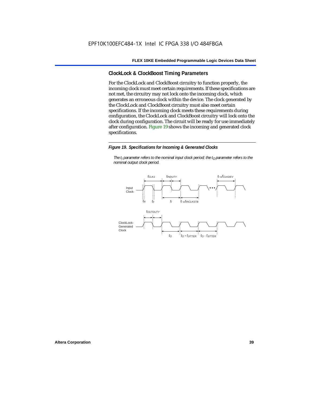# **ClockLock & ClockBoost Timing Parameters**

For the ClockLock and ClockBoost circuitry to function properly, the incoming clock must meet certain requirements. If these specifications are not met, the circuitry may not lock onto the incoming clock, which generates an erroneous clock within the device. The clock generated by the ClockLock and ClockBoost circuitry must also meet certain specifications. If the incoming clock meets these requirements during configuration, the ClockLock and ClockBoost circuitry will lock onto the clock during configuration. The circuit will be ready for use immediately after configuration. Figure 19 shows the incoming and generated clock specifications.

#### *Figure 19. Specifications for Incoming & Generated Clocks*

*The t<sub>I</sub> parameter refers to the nominal input clock period; the t<sub>0</sub> parameter refers to the nominal output clock period.*

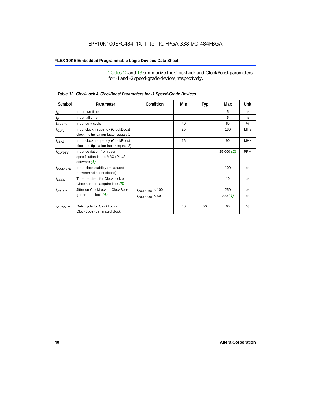Tables 12 and 13 summarize the ClockLock and ClockBoost parameters for -1 and -2 speed-grade devices, respectively.

| Table 12. ClockLock & ClockBoost Parameters for -1 Speed-Grade Devices |                                                                               |                      |     |     |           |            |
|------------------------------------------------------------------------|-------------------------------------------------------------------------------|----------------------|-----|-----|-----------|------------|
| Symbol                                                                 | Parameter                                                                     | Condition            | Min | Typ | Max       | Unit       |
| $t_R$                                                                  | Input rise time                                                               |                      |     |     | 5         | ns         |
| $t_F$                                                                  | Input fall time                                                               |                      |     |     | 5         | ns         |
| $t$ <sub>INDUTY</sub>                                                  | Input duty cycle                                                              |                      | 40  |     | 60        | $\%$       |
| $f_{CLK1}$                                                             | Input clock frequency (ClockBoost<br>clock multiplication factor equals 1)    |                      | 25  |     | 180       | <b>MHz</b> |
| $f_{CLK2}$                                                             | Input clock frequency (ClockBoost<br>clock multiplication factor equals 2)    |                      | 16  |     | 90        | <b>MHz</b> |
| $f_{CLKDFV}$                                                           | Input deviation from user<br>specification in the MAX+PLUS II<br>software (1) |                      |     |     | 25,000(2) | <b>PPM</b> |
| $t_{INCLKSTB}$                                                         | Input clock stability (measured<br>between adjacent clocks)                   |                      |     |     | 100       | ps         |
| $t_{LOCK}$                                                             | Time required for ClockLock or<br>ClockBoost to acquire lock $(3)$            |                      |     |     | 10        | <b>US</b>  |
| $t_{JITTER}$                                                           | Jitter on ClockLock or ClockBoost-                                            | $t_{INCLKSTB} < 100$ |     |     | 250       | ps         |
|                                                                        | generated clock $(4)$                                                         | $t_{INCLEKSTB}$ < 50 |     |     | 200 $(4)$ | ps         |
| <i>t<sub>OUTDUTY</sub></i>                                             | Duty cycle for ClockLock or<br>ClockBoost-generated clock                     |                      | 40  | 50  | 60        | %          |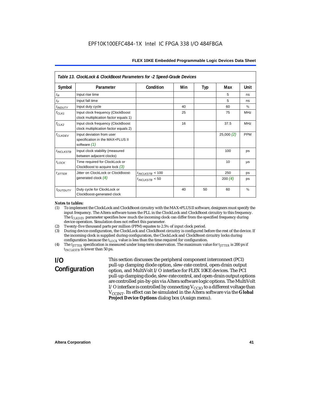| Table 13. ClockLock & ClockBoost Parameters for -2 Speed-Grade Devices |                                                                                 |                      |     |     |           |               |  |
|------------------------------------------------------------------------|---------------------------------------------------------------------------------|----------------------|-----|-----|-----------|---------------|--|
| Symbol                                                                 | Parameter                                                                       | Condition            | Min | Typ | Max       | Unit          |  |
| $t_{R}$                                                                | Input rise time                                                                 |                      |     |     | 5         | ns            |  |
| $t_F$                                                                  | Input fall time                                                                 |                      |     |     | 5         | ns            |  |
| $t$ <sub>INDUTY</sub>                                                  | Input duty cycle                                                                |                      | 40  |     | 60        | $\frac{0}{0}$ |  |
| $f_{CLK1}$                                                             | Input clock frequency (ClockBoost<br>clock multiplication factor equals 1)      |                      | 25  |     | 75        | <b>MHz</b>    |  |
| $f_{CLK2}$                                                             | Input clock frequency (ClockBoost<br>clock multiplication factor equals 2)      |                      | 16  |     | 37.5      | <b>MHz</b>    |  |
| <b>f<sub>CLKDEV</sub></b>                                              | Input deviation from user<br>specification in the MAX+PLUS II<br>software $(1)$ |                      |     |     | 25,000(2) | <b>PPM</b>    |  |
| $t_{INCLKSTB}$                                                         | Input clock stability (measured<br>between adjacent clocks)                     |                      |     |     | 100       | ps            |  |
| $t_{LOCK}$                                                             | Time required for ClockLock or<br>ClockBoost to acquire lock $(3)$              |                      |     |     | 10        | μs            |  |
| $t_{JITTER}$                                                           | Jitter on ClockLock or ClockBoost-                                              | $t_{INCLKSTB}$ < 100 |     |     | 250       | ps            |  |
|                                                                        | generated clock $(4)$                                                           | $t_{INCLKSTB}$ < 50  |     |     | 200 $(4)$ | ps            |  |
| t <sub>OUTDUTY</sub>                                                   | Duty cycle for ClockLock or<br>ClockBoost-generated clock                       |                      | 40  | 50  | 60        | $\%$          |  |

#### *Notes to tables:*

- (1) To implement the ClockLock and ClockBoost circuitry with the MAX+PLUS II software, designers must specify the input frequency. The Altera software tunes the PLL in the ClockLock and ClockBoost circuitry to this frequency. The *f<sub>CLKDEV</sub>* parameter specifies how much the incoming clock can differ from the specified frequency during device operation. Simulation does not reflect this parameter.
- (2) Twenty-five thousand parts per million (PPM) equates to 2.5% of input clock period.<br>(3) During device configuration, the ClockLock and ClockBoost circuitry is configured b
- (3) During device configuration, the ClockLock and ClockBoost circuitry is configured before the rest of the device. If the incoming clock is supplied during configuration, the ClockLock and ClockBoost circuitry locks during configuration because the  $t_{LOCK}$  value is less than the time required for configuration.
- (4) The *tJITTER* specification is measured under long-term observation. The maximum value for *tJITTER* is 200 ps if  $t_{INCI KSTB}$  is lower than 50 ps.

# **I/O Configuration**

This section discusses the peripheral component interconnect (PCI) pull-up clamping diode option, slew-rate control, open-drain output option, and MultiVolt I/O interface for FLEX 10KE devices. The PCI pull-up clamping diode, slew-rate control, and open-drain output options are controlled pin-by-pin via Altera software logic options. The MultiVolt I/O interface is controlled by connecting  $V_{CCIO}$  to a different voltage than V<sub>CCINT</sub>. Its effect can be simulated in the Altera software via the Global **Project Device Options** dialog box (Assign menu).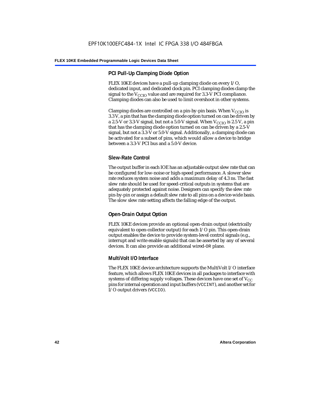# **PCI Pull-Up Clamping Diode Option**

FLEX 10KE devices have a pull-up clamping diode on every I/O, dedicated input, and dedicated clock pin. PCI clamping diodes clamp the signal to the  $V_{\text{CCIO}}$  value and are required for 3.3-V PCI compliance. Clamping diodes can also be used to limit overshoot in other systems.

Clamping diodes are controlled on a pin-by-pin basis. When  $V_{CCIO}$  is 3.3 V, a pin that has the clamping diode option turned on can be driven by a 2.5-V or 3.3-V signal, but not a 5.0-V signal. When  $V_{CCIO}$  is 2.5 V, a pin that has the clamping diode option turned on can be driven by a 2.5-V signal, but not a 3.3-V or 5.0-V signal. Additionally, a clamping diode can be activated for a subset of pins, which would allow a device to bridge between a 3.3-V PCI bus and a 5.0-V device.

# **Slew-Rate Control**

The output buffer in each IOE has an adjustable output slew rate that can be configured for low-noise or high-speed performance. A slower slew rate reduces system noise and adds a maximum delay of 4.3 ns. The fast slew rate should be used for speed-critical outputs in systems that are adequately protected against noise. Designers can specify the slew rate pin-by-pin or assign a default slew rate to all pins on a device-wide basis. The slow slew rate setting affects the falling edge of the output.

# **Open-Drain Output Option**

FLEX 10KE devices provide an optional open-drain output (electrically equivalent to open-collector output) for each I/O pin. This open-drain output enables the device to provide system-level control signals (e.g., interrupt and write enable signals) that can be asserted by any of several devices. It can also provide an additional wired-OR plane.

# **MultiVolt I/O Interface**

The FLEX 10KE device architecture supports the MultiVolt I/O interface feature, which allows FLEX 10KE devices in all packages to interface with systems of differing supply voltages. These devices have one set of  $V_{CC}$ pins for internal operation and input buffers (VCCINT), and another set for I/O output drivers (VCCIO).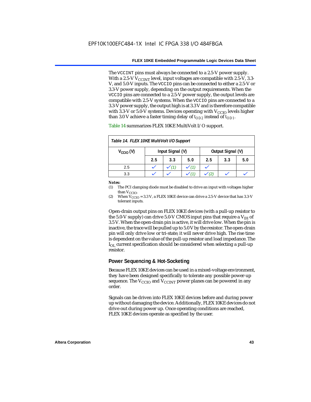The VCCINT pins must always be connected to a 2.5-V power supply. With a 2.5-V  $V_{CCMT}$  level, input voltages are compatible with 2.5-V, 3.3-V, and 5.0-V inputs. The VCCIO pins can be connected to either a 2.5-V or 3.3-V power supply, depending on the output requirements. When the VCCIO pins are connected to a 2.5-V power supply, the output levels are compatible with 2.5-V systems. When the VCCIO pins are connected to a 3.3-V power supply, the output high is at 3.3 V and is therefore compatible with 3.3-V or 5.0-V systems. Devices operating with  $V_{CCIO}$  levels higher than 3.0 V achieve a faster timing delay of  $t_{OD2}$  instead of  $t_{OD1}$ .

| Table 14. FLEX 10KE MultiVolt I/O Support |                                       |     |     |     |     |     |
|-------------------------------------------|---------------------------------------|-----|-----|-----|-----|-----|
| $V_{\text{CCIO}}(V)$                      | Input Signal (V)<br>Output Signal (V) |     |     |     |     |     |
|                                           | 2.5                                   | 3.3 | 5.0 | 2.5 | 3.3 | 5.0 |
| 2.5                                       |                                       |     |     |     |     |     |
| 3.3                                       |                                       |     |     |     |     |     |

Table 14 summarizes FLEX 10KE MultiVolt I/O support.

#### *Notes:*

(1) The PCI clamping diode must be disabled to drive an input with voltages higher than  $V_{CCIO}$ .

(2) When  $V_{\text{CCIO}} = 3.3$  V, a FLEX 10KE device can drive a 2.5-V device that has 3.3-V tolerant inputs.

Open-drain output pins on FLEX 10KE devices (with a pull-up resistor to the 5.0-V supply) can drive 5.0-V CMOS input pins that require a  $V_{\text{H}}$  of 3.5 V. When the open-drain pin is active, it will drive low. When the pin is inactive, the trace will be pulled up to 5.0 V by the resistor. The open-drain pin will only drive low or tri-state; it will never drive high. The rise time is dependent on the value of the pull-up resistor and load impedance. The  $I_{\text{OL}}$  current specification should be considered when selecting a pull-up resistor.

#### **Power Sequencing & Hot-Socketing**

Because FLEX 10KE devices can be used in a mixed-voltage environment, they have been designed specifically to tolerate any possible power-up sequence. The  $V_{\text{CCIO}}$  and  $V_{\text{CCINT}}$  power planes can be powered in any order.

Signals can be driven into FLEX 10KE devices before and during power up without damaging the device. Additionally, FLEX 10KE devices do not drive out during power up. Once operating conditions are reached, FLEX 10KE devices operate as specified by the user.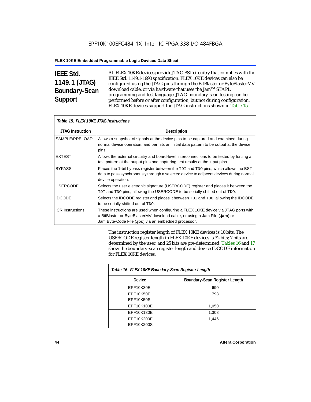# **IEEE Std. 1149.1 (JTAG) Boundary-Scan Support**

All FLEX 10KE devices provide JTAG BST circuitry that complies with the IEEE Std. 1149.1-1990 specification. FLEX 10KE devices can also be configured using the JTAG pins through the BitBlaster or ByteBlasterMV download cable, or via hardware that uses the Jam™ STAPL programming and test language. JTAG boundary-scan testing can be performed before or after configuration, but not during configuration. FLEX 10KE devices support the JTAG instructions shown in Table 15.

| Table 15. FLEX 10KE JTAG Instructions |                                                                                                                                                                                                                            |  |  |  |
|---------------------------------------|----------------------------------------------------------------------------------------------------------------------------------------------------------------------------------------------------------------------------|--|--|--|
| <b>JTAG Instruction</b>               | <b>Description</b>                                                                                                                                                                                                         |  |  |  |
| SAMPLE/PRELOAD                        | Allows a snapshot of signals at the device pins to be captured and examined during<br>normal device operation, and permits an initial data pattern to be output at the device<br>pins.                                     |  |  |  |
| <b>EXTEST</b>                         | Allows the external circuitry and board-level interconnections to be tested by forcing a<br>test pattern at the output pins and capturing test results at the input pins.                                                  |  |  |  |
| <b>BYPASS</b>                         | Places the 1-bit bypass register between the TDI and TDO pins, which allows the BST<br>data to pass synchronously through a selected device to adjacent devices during normal<br>device operation.                         |  |  |  |
| <b>USERCODE</b>                       | Selects the user electronic signature (USERCODE) register and places it between the<br>TDI and TDO pins, allowing the USERCODE to be serially shifted out of TDO.                                                          |  |  |  |
| <b>IDCODE</b>                         | Selects the IDCODE register and places it between TDI and TDO, allowing the IDCODE<br>to be serially shifted out of TDO.                                                                                                   |  |  |  |
| <b>ICR Instructions</b>               | These instructions are used when configuring a FLEX 10KE device via JTAG ports with<br>a BitBlaster or ByteBlasterMV download cable, or using a Jam File (.jam) or<br>Jam Byte-Code File (.jbc) via an embedded processor. |  |  |  |

The instruction register length of FLEX 10KE devices is 10 bits. The USERCODE register length in FLEX 10KE devices is 32 bits; 7 bits are determined by the user, and 25 bits are pre-determined. Tables 16 and 17 show the boundary-scan register length and device IDCODE information for FLEX 10KE devices.

| Table 16. FLEX 10KE Boundary-Scan Register Length |                               |  |  |  |
|---------------------------------------------------|-------------------------------|--|--|--|
| Device                                            | Boundary-Scan Register Length |  |  |  |
| EPF10K30E                                         | 690                           |  |  |  |
| EPF10K50E                                         | 798                           |  |  |  |
| <b>EPF10K50S</b>                                  |                               |  |  |  |
| EPF10K100E                                        | 1,050                         |  |  |  |
| EPF10K130E                                        | 1,308                         |  |  |  |
| EPF10K200E                                        | 1.446                         |  |  |  |
| EPF10K200S                                        |                               |  |  |  |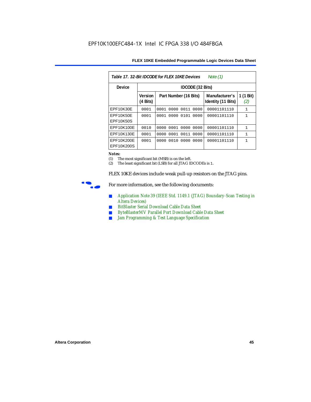| FLEX 10KE Embedded Programmable Logic Devices Data Sheet |  |  |
|----------------------------------------------------------|--|--|
|----------------------------------------------------------|--|--|

| Table 17, 32-Bit IDCODE for FLEX 10KE Devices<br>Note $(1)$ |                            |                              |                                      |                  |  |  |  |
|-------------------------------------------------------------|----------------------------|------------------------------|--------------------------------------|------------------|--|--|--|
| <b>Device</b>                                               |                            | IDCODE (32 Bits)             |                                      |                  |  |  |  |
|                                                             | <b>Version</b><br>(4 Bits) | Part Number (16 Bits)        | Manufacturer's<br>Identity (11 Bits) | 1 (1 Bit)<br>(2) |  |  |  |
| EPF10K30E                                                   | 0001                       | 0001<br>0000<br>0011<br>0000 | 00001101110                          | $\mathbf{1}$     |  |  |  |
| EPF10K50E<br>EPF10K50S                                      | 0001                       | 0000<br>0101<br>0001<br>0000 | 00001101110                          | 1                |  |  |  |
| EPF10K100E                                                  | 0010                       | 0000 0001 0000 0000          | 00001101110                          | $\mathbf{1}$     |  |  |  |
| EPF10K130E                                                  | 0001                       | 0001 0011<br>0000<br>0000    | 00001101110                          | $\mathbf{1}$     |  |  |  |
| EPF10K200E<br>EPF10K200S                                    | 0001                       | 0010<br>0000<br>0000<br>0000 | 00001101110                          | 1                |  |  |  |

#### *Notes:*

(1) The most significant bit (MSB) is on the left.

(2) The least significant bit (LSB) for all JTAG IDCODEs is 1.

FLEX 10KE devices include weak pull-up resistors on the JTAG pins.



For more information, see the following documents:

- *Application Note 39 (IEEE Std. 1149.1 (JTAG) Boundary-Scan Testing in Altera Devices)*
- *BitBlaster Serial Download Cable Data Sheet*
- *ByteBlasterMV Parallel Port Download Cable Data Sheet*
- *Jam Programming & Test Language Specification*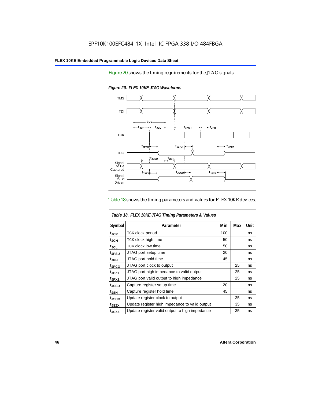Figure 20 shows the timing requirements for the JTAG signals.



*Figure 20. FLEX 10KE JTAG Waveforms*

#### Table 18 shows the timing parameters and values for FLEX 10KE devices.

| Table 18. FLEX 10KE JTAG Timing Parameters & Values |                                                |     |     |      |  |
|-----------------------------------------------------|------------------------------------------------|-----|-----|------|--|
| Symbol                                              | Parameter                                      | Min | Max | Unit |  |
| t <sub>JCP</sub>                                    | <b>TCK clock period</b>                        | 100 |     | ns   |  |
| $t_{JCH}$                                           | TCK clock high time                            | 50  |     | ns   |  |
| $t_{JCL}$                                           | TCK clock low time                             | 50  |     | ns   |  |
| tjpsu                                               | JTAG port setup time                           | 20  |     | ns   |  |
| t <sub>JPH</sub>                                    | JTAG port hold time                            | 45  |     | ns   |  |
| t <sub>JPCO</sub>                                   | JTAG port clock to output                      |     | 25  | ns   |  |
| t <sub>.IPZX</sub>                                  | JTAG port high impedance to valid output       |     | 25  | ns   |  |
| t <sub>JPXZ</sub>                                   | JTAG port valid output to high impedance       |     | 25  | ns   |  |
| tjssu                                               | Capture register setup time                    | 20  |     | ns   |  |
| $t_{JSH}$                                           | Capture register hold time                     | 45  |     | ns   |  |
| tjsco                                               | Update register clock to output                |     | 35  | ns   |  |
| t <sub>JSZX</sub>                                   | Update register high impedance to valid output |     | 35  | ns   |  |
| t <sub>JSXZ</sub>                                   | Update register valid output to high impedance |     | 35  | ns   |  |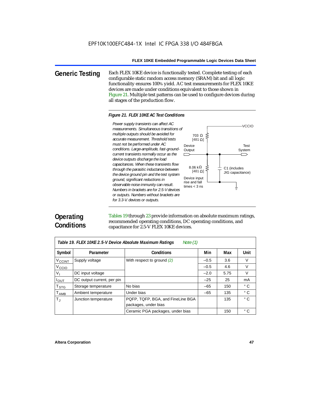**Generic Testing** Each FLEX 10KE device is functionally tested. Complete testing of each configurable static random access memory (SRAM) bit and all logic functionality ensures 100% yield. AC test measurements for FLEX 10KE devices are made under conditions equivalent to those shown in Figure 21. Multiple test patterns can be used to configure devices during all stages of the production flow.

#### *Figure 21. FLEX 10KE AC Test Conditions*

Power supply transients can affect AC *Power supply transients can affect AC measurements. Simultaneous transitions of multiple outputs should be avoided for accurate measurement. Threshold tests must not be performed under AC conditions. Large-amplitude, fast-groundcurrent transients normally occur as the device outputs discharge the load capacitances. When these transients flow through the parasitic inductance between the device ground pin and the test system ground, significant reductions in observable noise immunity can result. Numbers in brackets are for 2.5-V devices or outputs. Numbers without brackets are for 3.3-V. devices or outputs.*



# **Operating Conditions**

Tables 19 through 23 provide information on absolute maximum ratings, recommended operating conditions, DC operating conditions, and capacitance for 2.5-V FLEX 10KE devices.

| Table 19. FLEX 10KE 2.5-V Device Absolute Maximum Ratings<br>Note $(1)$ |                            |                                                           |        |      |              |  |  |
|-------------------------------------------------------------------------|----------------------------|-----------------------------------------------------------|--------|------|--------------|--|--|
| Symbol                                                                  | Parameter                  | <b>Conditions</b>                                         | Min    | Max  | Unit         |  |  |
| <b>V<sub>CCINT</sub></b>                                                | Supply voltage             | With respect to ground (2)                                | $-0.5$ | 3.6  | V            |  |  |
| V <sub>CCIO</sub>                                                       |                            |                                                           | $-0.5$ | 4.6  | $\vee$       |  |  |
| $V_{I}$                                                                 | DC input voltage           |                                                           | $-2.0$ | 5.75 | V            |  |  |
| $I_{\text{OUT}}$                                                        | DC output current, per pin |                                                           | $-25$  | 25   | mA           |  |  |
| T <sub>STG</sub>                                                        | Storage temperature        | No bias                                                   | $-65$  | 150  | $^{\circ}$ C |  |  |
| $T_{AMB}$                                                               | Ambient temperature        | Under bias                                                | $-65$  | 135  | $^{\circ}$ C |  |  |
| $T_{\rm J}$                                                             | Junction temperature       | PQFP, TQFP, BGA, and FineLine BGA<br>packages, under bias |        | 135  | $^{\circ}$ C |  |  |
|                                                                         |                            | Ceramic PGA packages, under bias                          |        | 150  | $^{\circ}$ C |  |  |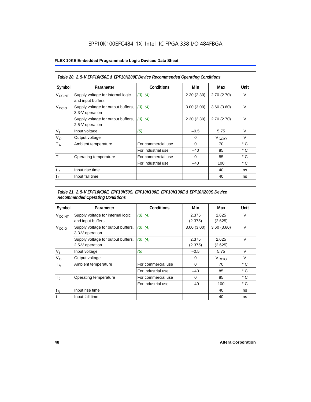# EPF10K100EFC484-1X Intel IC FPGA 338 I/O 484FBGA

### **FLEX 10KE Embedded Programmable Logic Devices Data Sheet**

| Table 20. 2.5-V EPF10K50E & EPF10K200E Device Recommended Operating Conditions |                                                        |                    |            |                   |              |  |  |
|--------------------------------------------------------------------------------|--------------------------------------------------------|--------------------|------------|-------------------|--------------|--|--|
| Symbol                                                                         | Parameter                                              | <b>Conditions</b>  | Min        | Max               | Unit         |  |  |
| <b>V<sub>CCINT</sub></b>                                                       | Supply voltage for internal logic<br>and input buffers | (3), (4)           | 2.30(2.30) | 2.70(2.70)        | $\vee$       |  |  |
| V <sub>CCIO</sub>                                                              | Supply voltage for output buffers,<br>3.3-V operation  | (3), (4)           | 3.00(3.00) | 3.60(3.60)        | $\vee$       |  |  |
|                                                                                | Supply voltage for output buffers,<br>2.5-V operation  | (3), (4)           | 2.30(2.30) | 2.70(2.70)        | $\vee$       |  |  |
| $V_{1}$                                                                        | Input voltage                                          | (5)                | $-0.5$     | 5.75              | $\vee$       |  |  |
| $V_{\rm O}$                                                                    | Output voltage                                         |                    | 0          | V <sub>CCIO</sub> | $\vee$       |  |  |
| $T_A$                                                                          | Ambient temperature                                    | For commercial use | $\Omega$   | 70                | ° C          |  |  |
|                                                                                |                                                        | For industrial use | $-40$      | 85                | $^{\circ}$ C |  |  |
| $T_{\rm J}$                                                                    | Operating temperature                                  | For commercial use | $\Omega$   | 85                | °C           |  |  |
|                                                                                |                                                        | For industrial use | $-40$      | 100               | ° C          |  |  |
| $t_{R}$                                                                        | Input rise time                                        |                    |            | 40                | ns           |  |  |
| $t_F$                                                                          | Input fall time                                        |                    |            | 40                | ns           |  |  |

# *Table 21. 2.5-V EPF10K30E, EPF10K50S, EPF10K100E, EPF10K130E & EPF10K200S Device Recommended Operating Conditions*

| Symbol                   | Parameter                                              | <b>Conditions</b>  | Min              | Max               | Unit         |
|--------------------------|--------------------------------------------------------|--------------------|------------------|-------------------|--------------|
| <b>V<sub>CCINT</sub></b> | Supply voltage for internal logic<br>and input buffers | (3), (4)           | 2.375<br>(2.375) | 2.625<br>(2.625)  | $\vee$       |
| V <sub>CCIO</sub>        | Supply voltage for output buffers,<br>3.3-V operation  | (3), (4)           | 3.00(3.00)       | 3.60(3.60)        | $\vee$       |
|                          | Supply voltage for output buffers,<br>2.5-V operation  | (3), (4)           | 2.375<br>(2.375) | 2.625<br>(2.625)  | $\vee$       |
| $V_{1}$                  | Input voltage                                          | (5)                | $-0.5$           | 5.75              | $\vee$       |
| $V_{\rm O}$              | Output voltage                                         |                    | $\mathbf 0$      | V <sub>ccio</sub> | $\vee$       |
| $T_A$                    | Ambient temperature                                    | For commercial use | 0                | 70                | ° C          |
|                          |                                                        | For industrial use | $-40$            | 85                | $^{\circ}$ C |
| $T_{\rm J}$              | Operating temperature                                  | For commercial use | 0                | 85                | $^{\circ}$ C |
|                          |                                                        | For industrial use | $-40$            | 100               | $^{\circ}$ C |
| $t_{R}$                  | Input rise time                                        |                    |                  | 40                | ns           |
| $t_F$                    | Input fall time                                        |                    |                  | 40                | ns           |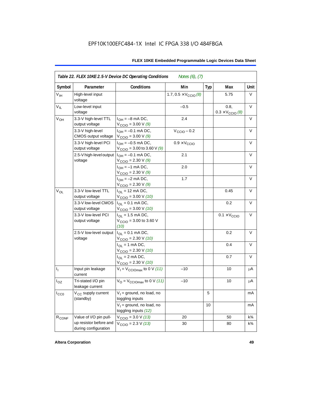| Symbol          | Parameter                                      | <b>Conditions</b>                                                       | Min                                  | <b>Typ</b> | Max                                      | Unit           |
|-----------------|------------------------------------------------|-------------------------------------------------------------------------|--------------------------------------|------------|------------------------------------------|----------------|
| $V_{\text{IH}}$ | High-level input<br>voltage                    |                                                                         | 1.7, $0.5 \times V_{\text{CCIO}}(8)$ |            | 5.75                                     | V              |
| $V_{IL}$        | Low-level input<br>voltage                     |                                                                         | $-0.5$                               |            | 0.8,<br>$0.3 \times V_{\text{CCIO}}$ (8) | V              |
| $V_{OH}$        | 3.3-V high-level TTL<br>output voltage         | $I_{OH} = -8$ mA DC,<br>$V_{\text{CCIO}} = 3.00 V(9)$                   | 2.4                                  |            |                                          | V              |
|                 | 3.3-V high-level<br>CMOS output voltage        | $I_{OH} = -0.1$ mA DC,<br>$V_{\text{CCIO}} = 3.00 V (9)$                | $V_{\text{CCIO}} - 0.2$              |            |                                          | V              |
|                 | 3.3-V high-level PCI<br>output voltage         | $I_{OH} = -0.5$ mA DC,<br>$V_{\text{CCIO}} = 3.00$ to 3.60 V (9)        | $0.9 \times V_{\text{CCIO}}$         |            |                                          | $\vee$         |
|                 | 2.5-V high-level output<br>voltage             | $I_{OH} = -0.1$ mA DC,<br>$V_{\text{CCIO}} = 2.30 \text{ V} (9)$        | 2.1                                  |            |                                          | V              |
|                 |                                                | $I_{OH} = -1$ mA DC,<br>$V_{\text{CCIO}} = 2.30 \text{ V} (9)$          | 2.0                                  |            |                                          | $\vee$         |
|                 |                                                | $I_{OH} = -2$ mA DC,<br>$V_{\text{CCIO}} = 2.30 \text{ V} (9)$          | 1.7                                  |            |                                          | $\vee$         |
| $V_{OL}$        | 3.3-V low-level TTL<br>output voltage          | $I_{\text{OI}} = 12 \text{ mA DC}$ ,<br>$V_{\text{CCIO}} = 3.00 V (10)$ |                                      |            | 0.45                                     | $\vee$         |
|                 | 3.3-V low-level CMOS<br>output voltage         | $I_{OL} = 0.1$ mA DC,<br>$V_{\text{CCIO}} = 3.00 \text{ V} (10)$        |                                      |            | 0.2                                      | $\vee$         |
|                 | 3.3-V low-level PCI<br>output voltage          | $I_{OL}$ = 1.5 mA DC,<br>$V_{\text{CCIO}} = 3.00$ to 3.60 V<br>(10)     |                                      |            | $0.1 \times V_{\text{CCIO}}$             | V              |
|                 | 2.5-V low-level output<br>voltage              | $I_{OL} = 0.1$ mA DC,<br>$V_{\text{CCIO}} = 2.30 V (10)$                |                                      |            | 0.2                                      | $\vee$         |
|                 |                                                | $I_{\Omega}$ = 1 mA DC,<br>$V_{\text{CCIO}} = 2.30 V (10)$              |                                      |            | 0.4                                      | V              |
|                 |                                                | $I_{OL}$ = 2 mA DC,<br>$V_{\text{CCIO}} = 2.30 V (10)$                  |                                      |            | 0.7                                      | V              |
| $I_1$           | Input pin leakage<br>current                   | $V_1 = V_{\text{CCIOMax}}$ to 0 V (11)                                  | $-10$                                |            | 10                                       | μA             |
| $I_{OZ}$        | Tri-stated I/O pin<br>leakage current          | $V_{\text{O}} = V_{\text{CCIOMax}}$ to 0 V (11)                         | $-10$                                |            | 10                                       | μA             |
| $I_{CC0}$       | V <sub>CC</sub> supply current<br>(standby)    | $V_1$ = ground, no load, no<br>toggling inputs                          |                                      | 5          |                                          | mA             |
|                 |                                                | $V_1$ = ground, no load, no<br>toggling inputs (12)                     |                                      | 10         |                                          | mA             |
| $R_{CONF}$      | Value of I/O pin pull-                         | $V_{\text{CCIO}} = 3.0 V (13)$                                          | 20                                   |            | 50                                       | $k\frac{3}{4}$ |
|                 | up resistor before and<br>during configuration | $V_{\text{CCIO}} = 2.3 V (13)$                                          | 30                                   |            | 80                                       | $k\frac{3}{4}$ |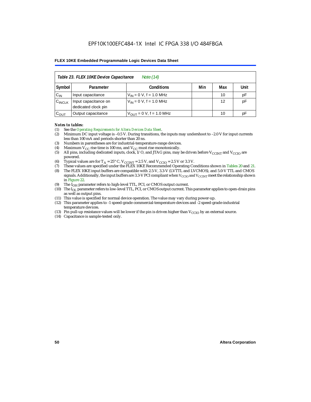| Table 23. FLEX 10KE Device Capacitance<br>Note (14) |                                             |                              |     |     |      |  |  |  |
|-----------------------------------------------------|---------------------------------------------|------------------------------|-----|-----|------|--|--|--|
| Symbol                                              | Parameter                                   | <b>Conditions</b>            | Min | Max | Unit |  |  |  |
| $C_{IN}$                                            | Input capacitance                           | $V_{IN} = 0 V$ , f = 1.0 MHz |     | 10  | pF   |  |  |  |
| $C_{\text{INCLK}}$                                  | Input capacitance on<br>dedicated clock pin | $V_{IN} = 0 V$ , f = 1.0 MHz |     | 12  | pF   |  |  |  |
| $C_{OUT}$                                           | Output capacitance                          | $V_{OUT} = 0 V, f = 1.0 MHz$ |     | 10  | рF   |  |  |  |

#### *Notes to tables:*

- (1) See the *Operating Requirements for Altera Devices Data Sheet*.
- (2) Minimum DC input voltage is –0.5 V. During transitions, the inputs may undershoot to –2.0 V for input currents less than 100 mA and periods shorter than 20 ns.
- (3) Numbers in parentheses are for industrial-temperature-range devices.
- (4) Maximum  $V_{CC}$  rise time is 100 ms, and  $V_{CC}$  must rise monotonically.<br>(5) All pins, including dedicated inputs, clock, I/O, and JTAG pins, may
- All pins, including dedicated inputs, clock, I/O, and JTAG pins, may be driven before  $V_{CCTNT}$  and  $V_{CCTO}$  are powered.
- (6) Typical values are for  $T_A = 25^\circ$  C,  $V_{CClNT} = 2.5$  V, and  $V_{CClO} = 2.5$  V or 3.3 V.<br>(7) These values are specified under the FLEX 10KE Recommended Operating Co
- (7) These values are specified under the FLEX 10KE Recommended Operating Conditions shown in Tables 20 and 21.<br>(8) The FLEX 10KE input buffers are compatible with 2.5-V. 3.3-V (LVTTL and LVCMOS), and 5.0-V TTL and CMOS (8) The FLEX 10KE input buffers are compatible with 2.5-V, 3.3-V (LVTTL and LVCMOS), and 5.0-V TTL and CMOS
- signals. Additionally, the input buffers are 3.3-V PCI compliant when  $V_{CCIO}$  and  $V_{CCIVT}$  meet the relationship shown in Figure 22.
- (9) The  $I<sub>OH</sub>$  parameter refers to high-level TTL, PCI, or CMOS output current.
- (10) The IOL parameter refers to low-level TTL, PCI, or CMOS output current. This parameter applies to open-drain pins as well as output pins.
- (11) This value is specified for normal device operation. The value may vary during power-up.
- (12) This parameter applies to -1 speed-grade commercial-temperature devices and -2 speed-grade-industrial temperature devices.
- (13) Pin pull-up resistance values will be lower if the pin is driven higher than  $V_{CCIO}$  by an external source.
- (14) Capacitance is sample-tested only.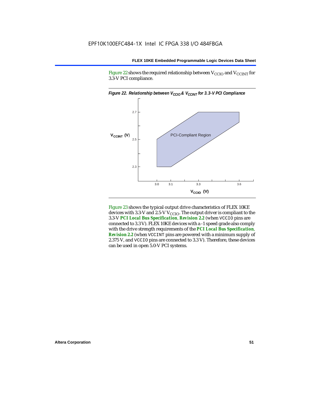Figure 22 shows the required relationship between  $V_{\text{CCIO}}$  and  $V_{\text{CCINT}}$  for 3.3-V PCI compliance.



Figure 23 shows the typical output drive characteristics of FLEX 10KE devices with 3.3-V and 2.5-V  $V_{\text{CCIO}}$ . The output driver is compliant to the 3.3-V *PCI Local Bus Specification*, *Revision 2.2* (when VCCIO pins are connected to 3.3 V). FLEX 10KE devices with a -1 speed grade also comply with the drive strength requirements of the *PCI Local Bus Specification*, *Revision 2.2* (when VCCINT pins are powered with a minimum supply of 2.375 V, and VCCIO pins are connected to 3.3 V). Therefore, these devices can be used in open 5.0-V PCI systems.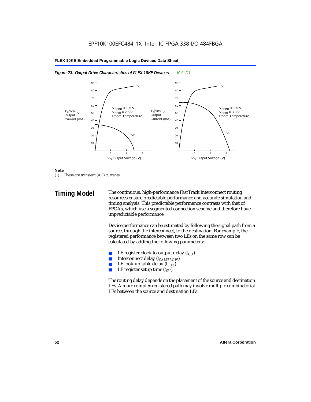

#### *Note:*

(1) These are transient (AC) currents.

**Timing Model** The continuous, high-performance FastTrack Interconnect routing resources ensure predictable performance and accurate simulation and timing analysis. This predictable performance contrasts with that of FPGAs, which use a segmented connection scheme and therefore have unpredictable performance.

> Device performance can be estimated by following the signal path from a source, through the interconnect, to the destination. For example, the registered performance between two LEs on the same row can be calculated by adding the following parameters:

- LE register clock-to-output delay  $(t_{CO})$
- **■** Interconnect delay  $(t_{SAMEROW})$ <br> **■** I.E look-up table delay  $(t_{LUT})$
- LE look-up table delay  $(t_{LUT})$
- LE register setup time  $(t_{SI})$

The routing delay depends on the placement of the source and destination LEs. A more complex registered path may involve multiple combinatorial LEs between the source and destination LEs.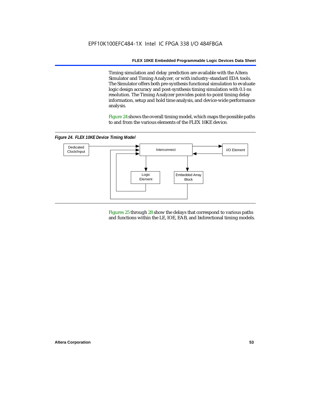Timing simulation and delay prediction are available with the Altera Simulator and Timing Analyzer, or with industry-standard EDA tools. The Simulator offers both pre-synthesis functional simulation to evaluate logic design accuracy and post-synthesis timing simulation with 0.1-ns resolution. The Timing Analyzer provides point-to-point timing delay information, setup and hold time analysis, and device-wide performance analysis.

Figure 24 shows the overall timing model, which maps the possible paths to and from the various elements of the FLEX 10KE device.

*Figure 24. FLEX 10KE Device Timing Model*



Figures 25 through 28 show the delays that correspond to various paths and functions within the LE, IOE, EAB, and bidirectional timing models.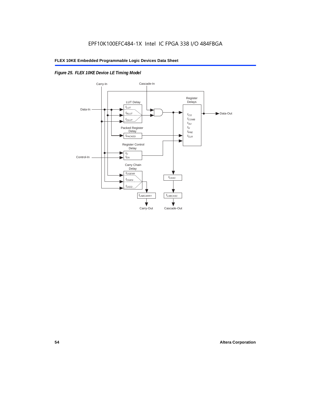# *Figure 25. FLEX 10KE Device LE Timing Model*

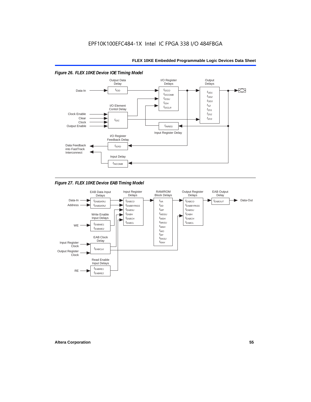

*Figure 27. FLEX 10KE Device EAB Timing Model*

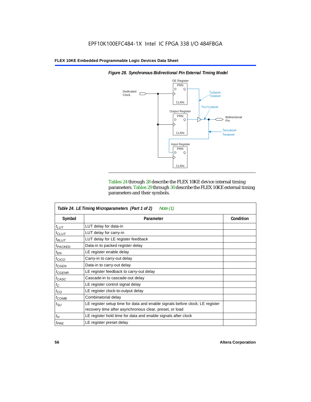

*Figure 28. Synchronous Bidirectional Pin External Timing Model*

Tables 24 through 28 describe the FLEX 10KE device internal timing parameters. Tables 29 through 30 describe the FLEX 10KE external timing parameters and their symbols.

| Table 24. LE Timing Microparameters (Part 1 of 2)<br>Note (1) |                                                                                                                                         |           |  |  |  |
|---------------------------------------------------------------|-----------------------------------------------------------------------------------------------------------------------------------------|-----------|--|--|--|
| Symbol                                                        | Parameter                                                                                                                               | Condition |  |  |  |
| $t_{LUT}$                                                     | LUT delay for data-in                                                                                                                   |           |  |  |  |
| $t_{CLUT}$                                                    | LUT delay for carry-in                                                                                                                  |           |  |  |  |
| $t_{RLUT}$                                                    | LUT delay for LE register feedback                                                                                                      |           |  |  |  |
| <sup>t</sup> PACKED                                           | Data-in to packed register delay                                                                                                        |           |  |  |  |
| $t_{EN}$                                                      | LE register enable delay                                                                                                                |           |  |  |  |
| $t_{CICO}$                                                    | Carry-in to carry-out delay                                                                                                             |           |  |  |  |
| $t_{GEN}$                                                     | Data-in to carry-out delay                                                                                                              |           |  |  |  |
| ${}^t$ CGENR                                                  | LE register feedback to carry-out delay                                                                                                 |           |  |  |  |
| $t_{CASC}$                                                    | Cascade-in to cascade-out delay                                                                                                         |           |  |  |  |
| $t_C$                                                         | LE register control signal delay                                                                                                        |           |  |  |  |
| $t_{CO}$                                                      | LE register clock-to-output delay                                                                                                       |           |  |  |  |
| $t_{COMB}$                                                    | Combinatorial delay                                                                                                                     |           |  |  |  |
| $t_{\rm SU}$                                                  | LE register setup time for data and enable signals before clock; LE register<br>recovery time after asynchronous clear, preset, or load |           |  |  |  |
| $t_H$                                                         | LE register hold time for data and enable signals after clock                                                                           |           |  |  |  |
| $t_{PRE}$                                                     | LE register preset delay                                                                                                                |           |  |  |  |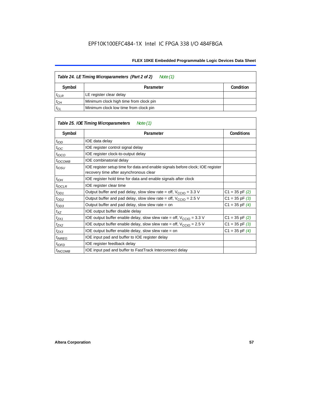| Table 24. LE Timing Microparameters (Part 2 of 2)<br>Note (1) |                                        |  |  |  |  |
|---------------------------------------------------------------|----------------------------------------|--|--|--|--|
| Symbol                                                        | Condition<br>Parameter                 |  |  |  |  |
| $t_{CLR}$                                                     | LE register clear delay                |  |  |  |  |
| $t_{CH}$                                                      | Minimum clock high time from clock pin |  |  |  |  |
| $t_{CL}$                                                      | Minimum clock low time from clock pin  |  |  |  |  |

|                     | Table 25. IOE Timing Microparameters<br>Note (1)                                                                         |                    |
|---------------------|--------------------------------------------------------------------------------------------------------------------------|--------------------|
| Symbol              | Parameter                                                                                                                | <b>Conditions</b>  |
| $t_{\mathit{IOD}}$  | IOE data delay                                                                                                           |                    |
| $t_{\text{IOC}}$    | IOE register control signal delay                                                                                        |                    |
| $t_{\text{IOCO}}$   | IOE register clock-to-output delay                                                                                       |                    |
| $t_{\text{IOCOMB}}$ | IOE combinatorial delay                                                                                                  |                    |
| t <sub>iosu</sub>   | IOE register setup time for data and enable signals before clock; IOE register<br>recovery time after asynchronous clear |                    |
| $t_{IOH}$           | IOE register hold time for data and enable signals after clock                                                           |                    |
| $t_{IOCLR}$         | IOE register clear time                                                                                                  |                    |
| $t_{OD1}$           | Output buffer and pad delay, slow slew rate = off, $V_{\text{CCIO}} = 3.3 \text{ V}$                                     | $C1 = 35$ pF $(2)$ |
| $t_{OD2}$           | Output buffer and pad delay, slow slew rate = off, $V_{\text{CCIO}} = 2.5$ V                                             | $C1 = 35$ pF $(3)$ |
| $t_{OD3}$           | Output buffer and pad delay, slow slew rate $=$ on                                                                       | $C1 = 35$ pF $(4)$ |
| $t_{XZ}$            | IOE output buffer disable delay                                                                                          |                    |
| $t_{ZX1}$           | IOE output buffer enable delay, slow slew rate = off, $V_{\text{CCIO}} = 3.3$ V                                          | $C1 = 35$ pF $(2)$ |
| t <sub>ZX2</sub>    | IOE output buffer enable delay, slow slew rate = off, $V_{\text{CCIO}} = 2.5 V$                                          | $C1 = 35$ pF $(3)$ |
| $t_{ZX3}$           | IOE output buffer enable delay, slow slew rate $=$ on                                                                    | $C1 = 35$ pF $(4)$ |
| <sup>t</sup> INREG  | IOE input pad and buffer to IOE register delay                                                                           |                    |
| $t_{IOFD}$          | IOE register feedback delay                                                                                              |                    |
| <sup>t</sup> INCOMB | IOE input pad and buffer to FastTrack Interconnect delay                                                                 |                    |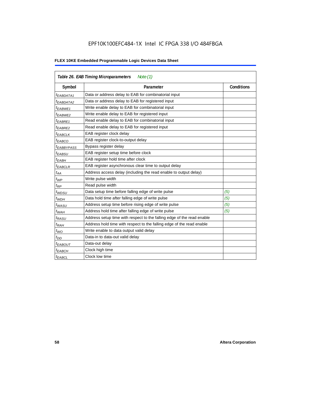| Table 26. EAB Timing Microparameters<br>Note $(1)$ |                                                                        |                   |  |  |  |  |
|----------------------------------------------------|------------------------------------------------------------------------|-------------------|--|--|--|--|
| Symbol                                             | Parameter                                                              | <b>Conditions</b> |  |  |  |  |
| <sup>t</sup> EABDATA1                              | Data or address delay to EAB for combinatorial input                   |                   |  |  |  |  |
| <sup>t</sup> EABDATA2                              | Data or address delay to EAB for registered input                      |                   |  |  |  |  |
| t <sub>EABWE1</sub>                                | Write enable delay to EAB for combinatorial input                      |                   |  |  |  |  |
| t <sub>EABWE2</sub>                                | Write enable delay to EAB for registered input                         |                   |  |  |  |  |
| <sup>t</sup> EABRE1                                | Read enable delay to EAB for combinatorial input                       |                   |  |  |  |  |
| $t_{EABRE2}$                                       | Read enable delay to EAB for registered input                          |                   |  |  |  |  |
| t <sub>EABCLK</sub>                                | EAB register clock delay                                               |                   |  |  |  |  |
| t <sub>EABCO</sub>                                 | EAB register clock-to-output delay                                     |                   |  |  |  |  |
| <sup>t</sup> EABBYPASS                             | Bypass register delay                                                  |                   |  |  |  |  |
| <sup>t</sup> EABSU                                 | EAB register setup time before clock                                   |                   |  |  |  |  |
| t <sub>EABH</sub>                                  | EAB register hold time after clock                                     |                   |  |  |  |  |
| $t_{EABCLR}$                                       | EAB register asynchronous clear time to output delay                   |                   |  |  |  |  |
| $t_{AA}$                                           | Address access delay (including the read enable to output delay)       |                   |  |  |  |  |
| $t_{WP}$                                           | Write pulse width                                                      |                   |  |  |  |  |
| $t_{RP}$                                           | Read pulse width                                                       |                   |  |  |  |  |
| $t_{WDSU}$                                         | Data setup time before falling edge of write pulse                     | (5)               |  |  |  |  |
| $t_{WDH}$                                          | Data hold time after falling edge of write pulse                       | (5)               |  |  |  |  |
| $t_{WASU}$                                         | Address setup time before rising edge of write pulse                   | (5)               |  |  |  |  |
| $t_{WAH}$                                          | Address hold time after falling edge of write pulse                    | (5)               |  |  |  |  |
| t <sub>RASU</sub>                                  | Address setup time with respect to the falling edge of the read enable |                   |  |  |  |  |
| $t_{RAH}$                                          | Address hold time with respect to the falling edge of the read enable  |                   |  |  |  |  |
| $t_{WO}$                                           | Write enable to data output valid delay                                |                   |  |  |  |  |
| $t_{DD}$                                           | Data-in to data-out valid delay                                        |                   |  |  |  |  |
| $t_{EABOUT}$                                       | Data-out delay                                                         |                   |  |  |  |  |
| <sup>t</sup> EABCH                                 | Clock high time                                                        |                   |  |  |  |  |
| $t_{EABCL}$                                        | Clock low time                                                         |                   |  |  |  |  |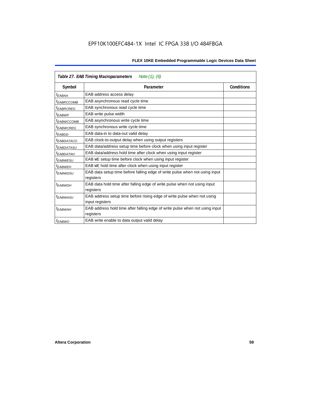| Table 27. EAB Timing Macroparameters<br>Note (1), (6) |                                                                              |  |  |  |  |  |
|-------------------------------------------------------|------------------------------------------------------------------------------|--|--|--|--|--|
| Symbol                                                | Conditions<br>Parameter                                                      |  |  |  |  |  |
| <sup>t</sup> EABAA                                    | EAB address access delay                                                     |  |  |  |  |  |
| <sup>t</sup> EABRCCOMB                                | EAB asynchronous read cycle time                                             |  |  |  |  |  |
| <sup>t</sup> EABRCREG                                 | EAB synchronous read cycle time                                              |  |  |  |  |  |
| <sup>t</sup> EABWP                                    | EAB write pulse width                                                        |  |  |  |  |  |
| <sup>t</sup> ЕАВWССОМВ                                | EAB asynchronous write cycle time                                            |  |  |  |  |  |
| <sup>t</sup> EABWCREG                                 | EAB synchronous write cycle time                                             |  |  |  |  |  |
| <sup>t</sup> EABDD                                    | EAB data-in to data-out valid delay                                          |  |  |  |  |  |
| <sup>t</sup> EABDATACO                                | EAB clock-to-output delay when using output registers                        |  |  |  |  |  |
| <sup>I</sup> EABDATASU                                | EAB data/address setup time before clock when using input register           |  |  |  |  |  |
| <sup>t</sup> EABDATAH                                 | EAB data/address hold time after clock when using input register             |  |  |  |  |  |
| <sup>t</sup> EABWESU                                  | EAB WE setup time before clock when using input register                     |  |  |  |  |  |
| t <sub>EABWEH</sub>                                   | EAB WE hold time after clock when using input register                       |  |  |  |  |  |
| t <sub>EABWDSU</sub>                                  | EAB data setup time before falling edge of write pulse when not using input  |  |  |  |  |  |
|                                                       | registers                                                                    |  |  |  |  |  |
| <sup>t</sup> EABWDH                                   | EAB data hold time after falling edge of write pulse when not using input    |  |  |  |  |  |
|                                                       | registers                                                                    |  |  |  |  |  |
| <sup>t</sup> EABWASU                                  | EAB address setup time before rising edge of write pulse when not using      |  |  |  |  |  |
|                                                       | input registers                                                              |  |  |  |  |  |
| t <sub>FARWAH</sub>                                   | EAB address hold time after falling edge of write pulse when not using input |  |  |  |  |  |
|                                                       | registers                                                                    |  |  |  |  |  |
| <sup>t</sup> EABWO                                    | EAB write enable to data output valid delay                                  |  |  |  |  |  |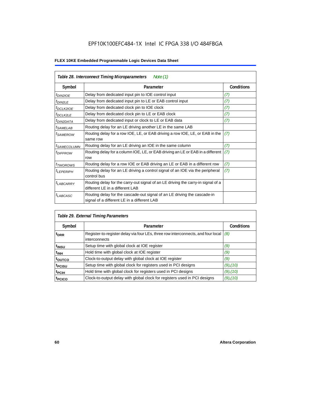| Table 28. Interconnect Timing Microparameters<br>Note $(1)$ |                                                                                                                         |                   |  |  |  |  |
|-------------------------------------------------------------|-------------------------------------------------------------------------------------------------------------------------|-------------------|--|--|--|--|
| Symbol                                                      | Parameter                                                                                                               | <b>Conditions</b> |  |  |  |  |
| $tD$ IN2IOE                                                 | Delay from dedicated input pin to IOE control input                                                                     | (7)               |  |  |  |  |
| $t_{DIN2LE}$                                                | Delay from dedicated input pin to LE or EAB control input                                                               | (7)               |  |  |  |  |
| <sup>t</sup> DCLK2IOE                                       | Delay from dedicated clock pin to IOE clock                                                                             | (7)               |  |  |  |  |
| $t_{DCLK2LE}$                                               | Delay from dedicated clock pin to LE or EAB clock                                                                       | (7)               |  |  |  |  |
| <sup>t</sup> DIN2DATA                                       | Delay from dedicated input or clock to LE or EAB data                                                                   | (7)               |  |  |  |  |
| <sup>t</sup> SAMELAB                                        | Routing delay for an LE driving another LE in the same LAB                                                              |                   |  |  |  |  |
| <sup>t</sup> SAMEROW                                        | Routing delay for a row IOE, LE, or EAB driving a row IOE, LE, or EAB in the<br>same row                                | (7)               |  |  |  |  |
| <sup>t</sup> SAMECOLUMN                                     | Routing delay for an LE driving an IOE in the same column                                                               | (7)               |  |  |  |  |
| <i>t<sub>DIFFROW</sub></i>                                  | Routing delay for a column IOE, LE, or EAB driving an LE or EAB in a different<br>row                                   | (7)               |  |  |  |  |
| <i>t</i> TWOROWS                                            | Routing delay for a row IOE or EAB driving an LE or EAB in a different row                                              | (7)               |  |  |  |  |
| <sup>t</sup> LEPERIPH                                       | Routing delay for an LE driving a control signal of an IOE via the peripheral<br>control bus                            | (7)               |  |  |  |  |
| $t_{LABCARRY}$                                              | Routing delay for the carry-out signal of an LE driving the carry-in signal of a<br>different LE in a different LAB     |                   |  |  |  |  |
| $t_{LABCASC}$                                               | Routing delay for the cascade-out signal of an LE driving the cascade-in<br>signal of a different LE in a different LAB |                   |  |  |  |  |

| Table 29. External Timing Parameters |                                                                                                   |                   |  |  |  |  |  |
|--------------------------------------|---------------------------------------------------------------------------------------------------|-------------------|--|--|--|--|--|
| Symbol                               | Parameter                                                                                         | <b>Conditions</b> |  |  |  |  |  |
| <sup>t</sup> DRR                     | Register-to-register delay via four LEs, three row interconnects, and four local<br>interconnects | (8)               |  |  |  |  |  |
| t <sub>insu</sub>                    | Setup time with global clock at IOE register                                                      | (9)               |  |  |  |  |  |
| $t_{\rm INH}$                        | Hold time with global clock at IOE register                                                       | (9)               |  |  |  |  |  |
| toutco                               | Clock-to-output delay with global clock at IOE register                                           | (9)               |  |  |  |  |  |
| t <sub>PCISU</sub>                   | Setup time with global clock for registers used in PCI designs                                    | $(9)$ , $(10)$    |  |  |  |  |  |
| <sup>t</sup> PCIH                    | Hold time with global clock for registers used in PCI designs                                     | $(9)$ , $(10)$    |  |  |  |  |  |
| <sup>T</sup> PCICO                   | Clock-to-output delay with global clock for registers used in PCI designs                         | $(9)$ , $(10)$    |  |  |  |  |  |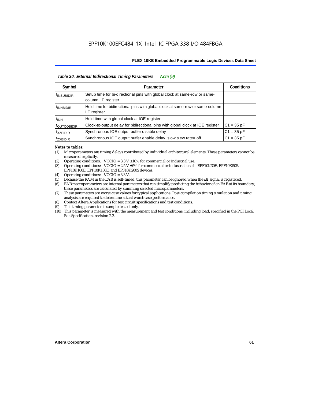| Table 30. External Bidirectional Timing Parameters<br>Note $(9)$ |                                                                                                 |                   |  |  |  |  |  |
|------------------------------------------------------------------|-------------------------------------------------------------------------------------------------|-------------------|--|--|--|--|--|
| Symbol                                                           | Parameter                                                                                       | <b>Conditions</b> |  |  |  |  |  |
| <sup>t</sup> INSUBIDIR                                           | Setup time for bi-directional pins with global clock at same-row or same-<br>column LE register |                   |  |  |  |  |  |
| <sup>t</sup> INHBIDIR                                            | Hold time for bidirectional pins with global clock at same-row or same-column<br>LE register    |                   |  |  |  |  |  |
| <sup>t</sup> INH                                                 | Hold time with global clock at IOE register                                                     |                   |  |  |  |  |  |
| <b><i>LOUTCOBIDIR</i></b>                                        | Clock-to-output delay for bidirectional pins with global clock at IOE register                  | $C1 = 35 pF$      |  |  |  |  |  |
| <sup>t</sup> xzbidir                                             | Synchronous IOE output buffer disable delay                                                     | $C1 = 35 pF$      |  |  |  |  |  |
| <sup>T</sup> ZXBIDIR                                             | Synchronous IOE output buffer enable delay, slow slew rate= off                                 | $C1 = 35 pF$      |  |  |  |  |  |

#### *Notes to tables:*

- (1) Microparameters are timing delays contributed by individual architectural elements. These parameters cannot be measured explicitly.
- (2) Operating conditions:  $VCCIO = 3.3 V ±10%$  for commercial or industrial use.<br>(3) Operating conditions:  $VCCIO = 2.5 V ±5%$  for commercial or industrial use in
- Operating conditions: VCCIO =  $2.5$  V  $\pm 5$ % for commercial or industrial use in EPF10K30E, EPF10K50S, EPF10K100E, EPF10K130E, and EPF10K200S devices.
- (4) Operating conditions: VCCIO = 3.3 V.
- (5) Because the RAM in the EAB is self-timed, this parameter can be ignored when the WE signal is registered.<br>(6) EAB macroparameters are internal parameters that can simplify predicting the behavior of an EAB at its bor
- EAB macroparameters are internal parameters that can simplify predicting the behavior of an EAB at its boundary; these parameters are calculated by summing selected microparameters.
- (7) These parameters are worst-case values for typical applications. Post-compilation timing simulation and timing analysis are required to determine actual worst-case performance.
- (8) Contact Altera Applications for test circuit specifications and test conditions.
- (9) This timing parameter is sample-tested only.
- (10) This parameter is measured with the measurement and test conditions, including load, specified in the PCI Local Bus Specification, revision 2.2.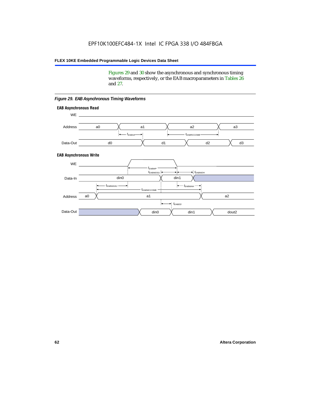Figures 29 and 30 show the asynchronous and synchronous timing waveforms, respectively, or the EAB macroparameters in Tables 26 and 27.

**EAB Asynchronous Write EAB Asynchronous Read** WE. a0 d0 d3  $t_{EABRCCOMB}$ a1 *《*、 a2 *《*、 a3 d2  $t_{FABAA}$ d1 Address Data-Out WE a0 din1  $\chi$  dout2  $t_{EABDD}$ a1 a2 din1 din0  $t_{EABWCCOMB}$  $t_{EABWASU}$   $\longrightarrow$  $t_{EABWDSU}$  +  $\longrightarrow$   $t_{EABWDH}$  $t_{EABWP}$ Data-In din0 Address Data-Out

#### *Figure 29. EAB Asynchronous Timing Waveforms*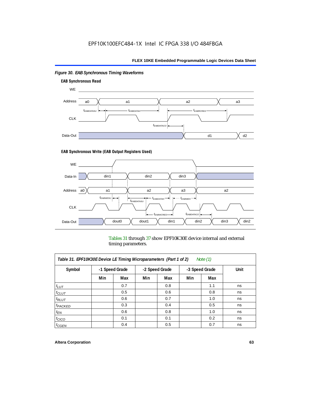

# *Figure 30. EAB Synchronous Timing Waveforms*

### **EAB Synchronous Write (EAB Output Registers Used)**



Tables 31 through 37 show EPF10K30E device internal and external timing parameters.

| Table 31. EPF10K30E Device LE Timing Microparameters (Part 1 of 2)<br>Note $(1)$ |     |                |     |                |                |     |      |  |  |
|----------------------------------------------------------------------------------|-----|----------------|-----|----------------|----------------|-----|------|--|--|
| Symbol                                                                           |     | -1 Speed Grade |     | -2 Speed Grade | -3 Speed Grade |     | Unit |  |  |
|                                                                                  | Min | Max            | Min | Max            | Min            | Max |      |  |  |
| $t_{LUT}$                                                                        |     | 0.7            |     | 0.8            |                | 1.1 | ns   |  |  |
| $t_{CLUT}$                                                                       |     | 0.5            |     | 0.6            |                | 0.8 | ns   |  |  |
| $t_{RLUT}$                                                                       |     | 0.6            |     | 0.7            |                | 1.0 | ns   |  |  |
| $t_{PACKED}$                                                                     |     | 0.3            |     | 0.4            |                | 0.5 | ns   |  |  |
| $t_{EN}$                                                                         |     | 0.6            |     | 0.8            |                | 1.0 | ns   |  |  |
| $t_{CICO}$                                                                       |     | 0.1            |     | 0.1            |                | 0.2 | ns   |  |  |
| $t_{GEN}$                                                                        |     | 0.4            |     | 0.5            |                | 0.7 | ns   |  |  |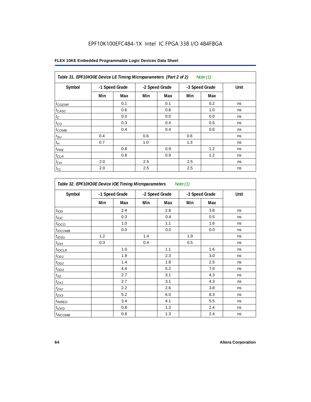| Table 31. EPF10K30E Device LE Timing Microparameters (Part 2 of 2)<br>Note $(1)$ |     |                |     |                |                |     |      |  |
|----------------------------------------------------------------------------------|-----|----------------|-----|----------------|----------------|-----|------|--|
| Symbol                                                                           |     | -1 Speed Grade |     | -2 Speed Grade | -3 Speed Grade |     | Unit |  |
|                                                                                  | Min | Max            | Min | Max            | Min            | Max |      |  |
| $t_{GENR}$                                                                       |     | 0.1            |     | 0.1            |                | 0.2 | ns   |  |
| $t_{CASC}$                                                                       |     | 0.6            |     | 0.8            |                | 1.0 | ns   |  |
| $t_C$                                                                            |     | 0.0            |     | 0.0            |                | 0.0 | ns   |  |
| $t_{CO}$                                                                         |     | 0.3            |     | 0.4            |                | 0.5 | ns   |  |
| $t_{COMB}$                                                                       |     | 0.4            |     | 0.4            |                | 0.6 | ns   |  |
| $t_{\text{SU}}$                                                                  | 0.4 |                | 0.6 |                | 0.6            |     | ns   |  |
| $t_{\mathcal{H}}$                                                                | 0.7 |                | 1.0 |                | 1.3            |     | ns   |  |
| $t_{PRE}$                                                                        |     | 0.8            |     | 0.9            |                | 1.2 | ns   |  |
| $t_{CLR}$                                                                        |     | 0.8            |     | 0.9            |                | 1.2 | ns   |  |
| $t_{CH}$                                                                         | 2.0 |                | 2.5 |                | 2.5            |     | ns   |  |
| $t_{CL}$                                                                         | 2.0 |                | 2.5 |                | 2.5            |     | ns   |  |

| Table 32. EPF10K30E Device IOE Timing Microparameters<br>Note $(1)$ |                |     |                |     |                |     |      |  |  |
|---------------------------------------------------------------------|----------------|-----|----------------|-----|----------------|-----|------|--|--|
| Symbol                                                              | -1 Speed Grade |     | -2 Speed Grade |     | -3 Speed Grade |     | Unit |  |  |
|                                                                     | Min            | Max | Min            | Max | Min            | Max |      |  |  |
| t <sub>IOD</sub>                                                    |                | 2.4 |                | 2.8 |                | 3.8 | ns   |  |  |
| $t_{\text{IOC}}$                                                    |                | 0.3 |                | 0.4 |                | 0.5 | ns   |  |  |
| $t_{IOCO}$                                                          |                | 1.0 |                | 1.1 |                | 1.6 | ns   |  |  |
| $t_{\text{IOCOMB}}$                                                 |                | 0.0 |                | 0.0 |                | 0.0 | ns   |  |  |
| $t_{IOSU}$                                                          | 1.2            |     | 1.4            |     | 1.9            |     | ns   |  |  |
| $t_{I\odot H}$                                                      | 0.3            |     | 0.4            |     | 0.5            |     | ns   |  |  |
| $t_{IOCLR}$                                                         |                | 1.0 |                | 1.1 |                | 1.6 | ns   |  |  |
| $t_{OD1}$                                                           |                | 1.9 |                | 2.3 |                | 3.0 | ns   |  |  |
| $t_{OD2}$                                                           |                | 1.4 |                | 1.8 |                | 2.5 | ns   |  |  |
| $t_{OD3}$                                                           |                | 4.4 |                | 5.2 |                | 7.0 | ns   |  |  |
| $t_{\mathsf{XZ}}$                                                   |                | 2.7 |                | 3.1 |                | 4.3 | ns   |  |  |
| $t_{ZX1}$                                                           |                | 2.7 |                | 3.1 |                | 4.3 | ns   |  |  |
| $t_{ZX2}$                                                           |                | 2.2 |                | 2.6 |                | 3.8 | ns   |  |  |
| $t_{ZX3}$                                                           |                | 5.2 |                | 6.0 |                | 8.3 | ns   |  |  |
| $t_{INREG}$                                                         |                | 3.4 |                | 4.1 |                | 5.5 | ns   |  |  |
| $t_{IOED}$                                                          |                | 0.8 |                | 1.3 |                | 2.4 | ns   |  |  |
| $t_{INCOMB}$                                                        |                | 0.8 |                | 1.3 |                | 2.4 | ns   |  |  |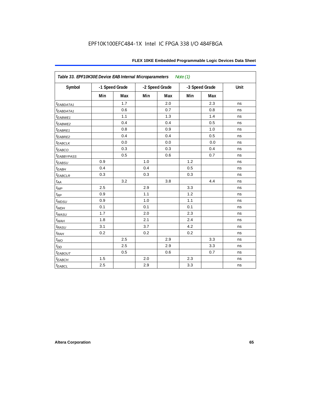| FLEX 10KE Embedded Programmable Logic Devices Data Sheet |  |
|----------------------------------------------------------|--|
|----------------------------------------------------------|--|

| Table 33. EPF10K30E Device EAB Internal Microparameters<br>Note $(1)$ |     |                |     |                |     |                |      |  |  |  |
|-----------------------------------------------------------------------|-----|----------------|-----|----------------|-----|----------------|------|--|--|--|
| Symbol                                                                |     | -1 Speed Grade |     | -2 Speed Grade |     | -3 Speed Grade | Unit |  |  |  |
|                                                                       | Min | Max            | Min | Max            | Min | <b>Max</b>     |      |  |  |  |
| <i>EABDATA1</i>                                                       |     | 1.7            |     | 2.0            |     | 2.3            | ns   |  |  |  |
| $t_{EABDATA1}$                                                        |     | 0.6            |     | 0.7            |     | 0.8            | ns   |  |  |  |
| t <sub>EABWE1</sub>                                                   |     | 1.1            |     | 1.3            |     | 1.4            | ns   |  |  |  |
| t <sub>EABWE2</sub>                                                   |     | 0.4            |     | 0.4            |     | 0.5            | ns   |  |  |  |
| t <sub>EABRE1</sub>                                                   |     | 0.8            |     | 0.9            |     | 1.0            | ns   |  |  |  |
| t <sub>EABRE2</sub>                                                   |     | 0.4            |     | 0.4            |     | 0.5            | ns   |  |  |  |
| $t_{EABCLK}$                                                          |     | 0.0            |     | 0.0            |     | 0.0            | ns   |  |  |  |
| t <sub>EABCO</sub>                                                    |     | 0.3            |     | 0.3            |     | 0.4            | ns   |  |  |  |
| <b><i>EABBYPASS</i></b>                                               |     | 0.5            |     | 0.6            |     | 0.7            | ns   |  |  |  |
| $t_{EABSU}$                                                           | 0.9 |                | 1.0 |                | 1.2 |                | ns   |  |  |  |
| t <sub>EABH</sub>                                                     | 0.4 |                | 0.4 |                | 0.5 |                | ns   |  |  |  |
| $t_{EABCLR}$                                                          | 0.3 |                | 0.3 |                | 0.3 |                | ns   |  |  |  |
| $t_{AA}$                                                              |     | 3.2            |     | 3.8            |     | 4.4            | ns   |  |  |  |
| $t_{WP}$                                                              | 2.5 |                | 2.9 |                | 3.3 |                | ns   |  |  |  |
| $t_{\mathsf{RP}}$                                                     | 0.9 |                | 1.1 |                | 1.2 |                | ns   |  |  |  |
| $t_{WDSU}$                                                            | 0.9 |                | 1.0 |                | 1.1 |                | ns   |  |  |  |
| $t_{WDH}$                                                             | 0.1 |                | 0.1 |                | 0.1 |                | ns   |  |  |  |
| $t_{WASU}$                                                            | 1.7 |                | 2.0 |                | 2.3 |                | ns   |  |  |  |
| $t_{WAH}$                                                             | 1.8 |                | 2.1 |                | 2.4 |                | ns   |  |  |  |
| $t_{RASU}$                                                            | 3.1 |                | 3.7 |                | 4.2 |                | ns   |  |  |  |
| $t_{RAH}$                                                             | 0.2 |                | 0.2 |                | 0.2 |                | ns   |  |  |  |
| $t_{WO}$                                                              |     | 2.5            |     | 2.9            |     | 3.3            | ns   |  |  |  |
| $t_{DD}$                                                              |     | 2.5            |     | 2.9            |     | 3.3            | ns   |  |  |  |
| $t_{EABOUT}$                                                          |     | 0.5            |     | $0.6\,$        |     | 0.7            | ns   |  |  |  |
| $t_{EABCH}$                                                           | 1.5 |                | 2.0 |                | 2.3 |                | ns   |  |  |  |
| $t_{EABCL}$                                                           | 2.5 |                | 2.9 |                | 3.3 |                | ns   |  |  |  |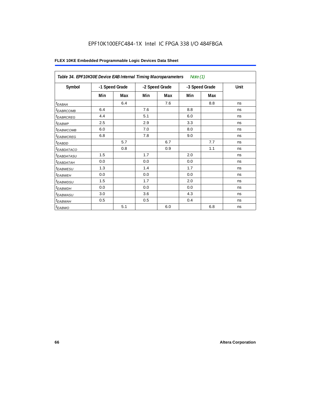# EPF10K100EFC484-1X Intel IC FPGA 338 I/O 484FBGA

| Table 34. EPF10K30E Device EAB Internal Timing Macroparameters<br>Note $(1)$ |                |     |                |     |                |     |      |  |  |  |
|------------------------------------------------------------------------------|----------------|-----|----------------|-----|----------------|-----|------|--|--|--|
| Symbol                                                                       | -1 Speed Grade |     | -2 Speed Grade |     | -3 Speed Grade |     | Unit |  |  |  |
|                                                                              | Min            | Max | Min            | Max | Min            | Max |      |  |  |  |
| $t_{EABA}$                                                                   |                | 6.4 |                | 7.6 |                | 8.8 | ns   |  |  |  |
| <sup>t</sup> EABRCOMB                                                        | 6.4            |     | 7.6            |     | 8.8            |     | ns   |  |  |  |
| <sup>t</sup> EABRCREG                                                        | 4.4            |     | 5.1            |     | 6.0            |     | ns   |  |  |  |
| $t_{EABWP}$                                                                  | 2.5            |     | 2.9            |     | 3.3            |     | ns   |  |  |  |
| <sup>t</sup> EABWCOMB                                                        | 6.0            |     | 7.0            |     | 8.0            |     | ns   |  |  |  |
| <sup>t</sup> EABWCREG                                                        | 6.8            |     | 7.8            |     | 9.0            |     | ns   |  |  |  |
| $t_{EABDD}$                                                                  |                | 5.7 |                | 6.7 |                | 7.7 | ns   |  |  |  |
| t <sub>EABDATACO</sub>                                                       |                | 0.8 |                | 0.9 |                | 1.1 | ns   |  |  |  |
| <sup>t</sup> EABDATASU                                                       | 1.5            |     | 1.7            |     | 2.0            |     | ns   |  |  |  |
| t <sub>EABDATAH</sub>                                                        | 0.0            |     | 0.0            |     | 0.0            |     | ns   |  |  |  |
| <i>t<sub>EABWESU</sub></i>                                                   | 1.3            |     | 1.4            |     | 1.7            |     | ns   |  |  |  |
| <sup>t</sup> EABWEH                                                          | 0.0            |     | 0.0            |     | 0.0            |     | ns   |  |  |  |
| t <sub>EABWDSU</sub>                                                         | 1.5            |     | 1.7            |     | 2.0            |     | ns   |  |  |  |
| <sup>t</sup> EABWDH                                                          | 0.0            |     | 0.0            |     | 0.0            |     | ns   |  |  |  |
| t <sub>EABWASU</sub>                                                         | 3.0            |     | 3.6            |     | 4.3            |     | ns   |  |  |  |
| <sup>t</sup> EABWAH                                                          | 0.5            |     | 0.5            |     | 0.4            |     | ns   |  |  |  |
| $t_{EABWO}$                                                                  |                | 5.1 |                | 6.0 |                | 6.8 | ns   |  |  |  |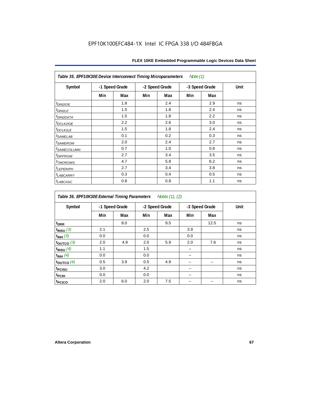| Note $(1)$<br>Table 35. EPF10K30E Device Interconnect Timing Microparameters |                |     |                |     |                |     |      |  |  |  |
|------------------------------------------------------------------------------|----------------|-----|----------------|-----|----------------|-----|------|--|--|--|
| Symbol                                                                       | -1 Speed Grade |     | -2 Speed Grade |     | -3 Speed Grade |     | Unit |  |  |  |
|                                                                              | Min            | Max | Min            | Max | Min            | Max |      |  |  |  |
| t <sub>DIN2IOE</sub>                                                         |                | 1.8 |                | 2.4 |                | 2.9 | ns   |  |  |  |
| t <sub>DIN2LE</sub>                                                          |                | 1.5 |                | 1.8 |                | 2.4 | ns   |  |  |  |
| <sup>t</sup> DIN2DATA                                                        |                | 1.5 |                | 1.8 |                | 2.2 | ns   |  |  |  |
| t <sub>DCLK2IOE</sub>                                                        |                | 2.2 |                | 2.6 |                | 3.0 | ns   |  |  |  |
| $t_{DCLK2LE}$                                                                |                | 1.5 |                | 1.8 |                | 2.4 | ns   |  |  |  |
| <i>t<sub>SAMELAB</sub></i>                                                   |                | 0.1 |                | 0.2 |                | 0.3 | ns   |  |  |  |
| <i>t<sub>SAMEROW</sub></i>                                                   |                | 2.0 |                | 2.4 |                | 2.7 | ns   |  |  |  |
| <i>t<sub>SAMECOLUMN</sub></i>                                                |                | 0.7 |                | 1.0 |                | 0.8 | ns   |  |  |  |
| <i>t<sub>DIFFROW</sub></i>                                                   |                | 2.7 |                | 3.4 |                | 3.5 | ns   |  |  |  |
| <i>t</i> <sub>TWOROWS</sub>                                                  |                | 4.7 |                | 5.8 |                | 6.2 | ns   |  |  |  |
| <b><i>LEPERIPH</i></b>                                                       |                | 2.7 |                | 3.4 |                | 3.8 | ns   |  |  |  |
| <b><i>LABCARRY</i></b>                                                       |                | 0.3 |                | 0.4 |                | 0.5 | ns   |  |  |  |
| t <sub>LABCASC</sub>                                                         |                | 0.8 |                | 0.8 |                | 1.1 | ns   |  |  |  |

| Table 36. EPF10K30E External Timing Parameters Notes (1), (2) |                |     |     |                |     |                |      |  |  |  |
|---------------------------------------------------------------|----------------|-----|-----|----------------|-----|----------------|------|--|--|--|
| Symbol                                                        | -1 Speed Grade |     |     | -2 Speed Grade |     | -3 Speed Grade | Unit |  |  |  |
|                                                               | Min            | Max | Min | Max            | Min | Max            |      |  |  |  |
| $t_{DRR}$                                                     |                | 8.0 |     | 9.5            |     | 12.5           | ns   |  |  |  |
| $t_{INSU}$ (3)                                                | 2.1            |     | 2.5 |                | 3.9 |                | ns   |  |  |  |
| $t_{INH}$ (3)                                                 | 0.0            |     | 0.0 |                | 0.0 |                | ns   |  |  |  |
| $t_{OUTCO}$ (3)                                               | 2.0            | 4.9 | 2.0 | 5.9            | 2.0 | 7.6            | ns   |  |  |  |
| $t_{INSU}$ (4)                                                | 1.1            |     | 1.5 |                |     |                | ns   |  |  |  |
| $t_{INH}$ (4)                                                 | 0.0            |     | 0.0 |                |     |                | ns   |  |  |  |
| $t_{\text{OUTCO}}(4)$                                         | 0.5            | 3.9 | 0.5 | 4.9            |     |                | ns   |  |  |  |
| t <sub>PCISU</sub>                                            | 3.0            |     | 4.2 |                |     |                | ns   |  |  |  |
| t <sub>PCIH</sub>                                             | 0.0            |     | 0.0 |                |     |                | ns   |  |  |  |
| t <sub>PCICO</sub>                                            | 2.0            | 6.0 | 2.0 | 7.5            |     |                | ns   |  |  |  |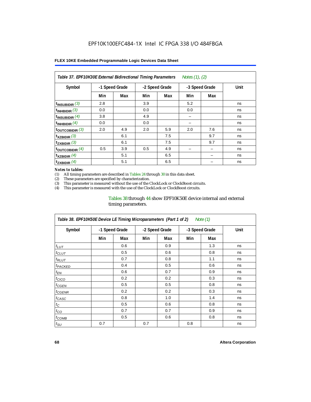| Notes (1), (2)<br>Table 37. EPF10K30E External Bidirectional Timing Parameters |                |     |     |                |     |                |      |  |  |  |
|--------------------------------------------------------------------------------|----------------|-----|-----|----------------|-----|----------------|------|--|--|--|
| Symbol                                                                         | -1 Speed Grade |     |     | -2 Speed Grade |     | -3 Speed Grade | Unit |  |  |  |
|                                                                                | Min            | Max | Min | Max            | Min | Max            |      |  |  |  |
| $t_{INSUBIDIR}$ (3)                                                            | 2.8            |     | 3.9 |                | 5.2 |                | ns   |  |  |  |
| $t_{INHBIDIR}$ (3)                                                             | 0.0            |     | 0.0 |                | 0.0 |                | ns   |  |  |  |
| $t_{INSUBIDIR}(4)$                                                             | 3.8            |     | 4.9 |                |     |                | ns   |  |  |  |
| $t_{INHBIDIR}$ (4)                                                             | 0.0            |     | 0.0 |                |     |                | ns   |  |  |  |
| $t_{\text{OUTCOBIDIR}}$ (3)                                                    | 2.0            | 4.9 | 2.0 | 5.9            | 2.0 | 7.6            | ns   |  |  |  |
| $t_{XZBIDIR}$ (3)                                                              |                | 6.1 |     | 7.5            |     | 9.7            | ns   |  |  |  |
| $t_{ZXBIDIR}$ (3)                                                              |                | 6.1 |     | 7.5            |     | 9.7            | ns   |  |  |  |
| $t_{\text{OUTCOBIDIR}}$ (4)                                                    | 0.5            | 3.9 | 0.5 | 4.9            |     |                | ns   |  |  |  |
| $t_{XZBIDIR}$ (4)                                                              |                | 5.1 |     | 6.5            |     |                | ns   |  |  |  |
| $t_{ZXBIDIR}$ (4)                                                              |                | 5.1 |     | 6.5            |     |                | ns   |  |  |  |

#### *Notes to tables:*

(1) All timing parameters are described in Tables 24 through 30 in this data sheet.<br>(2) These parameters are specified by characterization.

(2) These parameters are specified by characterization.<br>(3) This parameter is measured without the use of the C

This parameter is measured without the use of the ClockLock or ClockBoost circuits.

(4) This parameter is measured with the use of the ClockLock or ClockBoost circuits.

### Tables 38 through 44 show EPF10K50E device internal and external timing parameters.

| Table 38. EPF10K50E Device LE Timing Microparameters (Part 1 of 2)<br>Note (1) |     |                |     |                |     |                |      |  |  |  |
|--------------------------------------------------------------------------------|-----|----------------|-----|----------------|-----|----------------|------|--|--|--|
| Symbol                                                                         |     | -1 Speed Grade |     | -2 Speed Grade |     | -3 Speed Grade | Unit |  |  |  |
|                                                                                | Min | Max            | Min | Max            | Min | Max            |      |  |  |  |
| $t_{LUT}$                                                                      |     | 0.6            |     | 0.9            |     | 1.3            | ns   |  |  |  |
| $t_{CLUT}$                                                                     |     | 0.5            |     | 0.6            |     | 0.8            | ns   |  |  |  |
| $t_{RLUT}$                                                                     |     | 0.7            |     | 0.8            |     | 1.1            | ns   |  |  |  |
| <b><i>t<sub>PACKED</sub></i></b>                                               |     | 0.4            |     | 0.5            |     | 0.6            | ns   |  |  |  |
| $t_{EN}$                                                                       |     | 0.6            |     | 0.7            |     | 0.9            | ns   |  |  |  |
| $t_{CICO}$                                                                     |     | 0.2            |     | 0.2            |     | 0.3            | ns   |  |  |  |
| $t_{GEN}$                                                                      |     | 0.5            |     | 0.5            |     | 0.8            | ns   |  |  |  |
| ${}^{t}$ CGENR                                                                 |     | 0.2            |     | 0.2            |     | 0.3            | ns   |  |  |  |
| t <sub>CASC</sub>                                                              |     | 0.8            |     | 1.0            |     | 1.4            | ns   |  |  |  |
| $t_C$                                                                          |     | 0.5            |     | 0.6            |     | 0.8            | ns   |  |  |  |
| $t_{CO}$                                                                       |     | 0.7            |     | 0.7            |     | 0.9            | ns   |  |  |  |
| $t_{\text{COMB}}$                                                              |     | 0.5            |     | 0.6            |     | 0.8            | ns   |  |  |  |
| $t_{\text{SU}}$                                                                | 0.7 |                | 0.7 |                | 0.8 |                | ns   |  |  |  |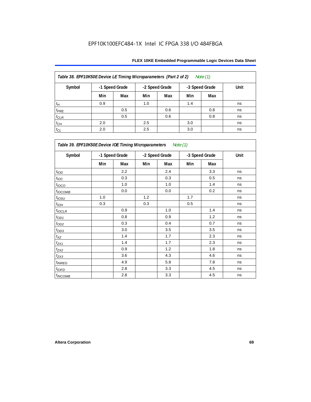| Table 38. EPF10K50E Device LE Timing Microparameters (Part 2 of 2)<br>Note $(1)$ |                |     |     |                |     |                |      |  |  |  |
|----------------------------------------------------------------------------------|----------------|-----|-----|----------------|-----|----------------|------|--|--|--|
| Symbol                                                                           | -1 Speed Grade |     |     | -2 Speed Grade |     | -3 Speed Grade | Unit |  |  |  |
|                                                                                  | Min            | Max | Min | Max            | Min | Max            |      |  |  |  |
| $t_H$                                                                            | 0.9            |     | 1.0 |                | 1.4 |                | ns   |  |  |  |
| $t_{PRE}$                                                                        |                | 0.5 |     | 0.6            |     | 0.8            | ns   |  |  |  |
| $t_{CLR}$                                                                        |                | 0.5 |     | 0.6            |     | 0.8            | ns   |  |  |  |
| $t_{CH}$                                                                         | 2.0            |     | 2.5 |                | 3.0 |                | ns   |  |  |  |
| $t_{CL}$                                                                         | 2.0            |     | 2.5 |                | 3.0 |                | ns   |  |  |  |

| Table 39. EPF10K50E Device IOE Timing Microparameters Note (1) |                |     |                |     |                |     |      |  |  |
|----------------------------------------------------------------|----------------|-----|----------------|-----|----------------|-----|------|--|--|
| Symbol                                                         | -1 Speed Grade |     | -2 Speed Grade |     | -3 Speed Grade |     | Unit |  |  |
|                                                                | Min            | Max | Min            | Max | Min            | Max |      |  |  |
| t <sub>IOD</sub>                                               |                | 2.2 |                | 2.4 |                | 3.3 | ns   |  |  |
| $t_{\text{IOC}}$                                               |                | 0.3 |                | 0.3 |                | 0.5 | ns   |  |  |
| $t_{IOCO}$                                                     |                | 1.0 |                | 1.0 |                | 1.4 | ns   |  |  |
| $t_{IOCOMB}$                                                   |                | 0.0 |                | 0.0 |                | 0.2 | ns   |  |  |
| $t_{IOSU}$                                                     | 1.0            |     | 1.2            |     | 1.7            |     | ns   |  |  |
| $t_{IOH}$                                                      | 0.3            |     | 0.3            |     | 0.5            |     | ns   |  |  |
| $t_{IOCLR}$                                                    |                | 0.9 |                | 1.0 |                | 1.4 | ns   |  |  |
| $t_{OD1}$                                                      |                | 0.8 |                | 0.9 |                | 1.2 | ns   |  |  |
| $t_{OD2}$                                                      |                | 0.3 |                | 0.4 |                | 0.7 | ns   |  |  |
| $t_{OD3}$                                                      |                | 3.0 |                | 3.5 |                | 3.5 | ns   |  |  |
| $t_{\mathsf{XZ}}$                                              |                | 1.4 |                | 1.7 |                | 2.3 | ns   |  |  |
| $t_{ZX1}$                                                      |                | 1.4 |                | 1.7 |                | 2.3 | ns   |  |  |
| $t_{ZX2}$                                                      |                | 0.9 |                | 1.2 |                | 1.8 | ns   |  |  |
| $t_{ZX3}$                                                      |                | 3.6 |                | 4.3 |                | 4.6 | ns   |  |  |
| $t_{INREG}$                                                    |                | 4.9 |                | 5.8 |                | 7.8 | ns   |  |  |
| $t_{IOFD}$                                                     |                | 2.8 |                | 3.3 |                | 4.5 | ns   |  |  |
| <i>t<sub>INCOMB</sub></i>                                      |                | 2.8 |                | 3.3 |                | 4.5 | ns   |  |  |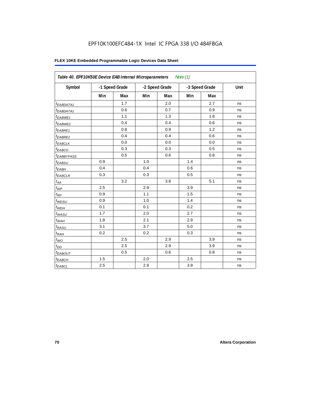| Table 40. EPF10K50E Device EAB Internal Microparameters<br>Note $(1)$ |         |                |     |                |     |                |      |  |  |
|-----------------------------------------------------------------------|---------|----------------|-----|----------------|-----|----------------|------|--|--|
| Symbol                                                                |         | -1 Speed Grade |     | -2 Speed Grade |     | -3 Speed Grade | Unit |  |  |
|                                                                       | Min     | Max            | Min | Max            | Min | Max            |      |  |  |
| <sup>t</sup> EABDATA1                                                 |         | 1.7            |     | 2.0            |     | 2.7            | ns   |  |  |
| $t_{EABDATA1}$                                                        |         | 0.6            |     | 0.7            |     | 0.9            | ns   |  |  |
| <sup>t</sup> EABWE1                                                   |         | 1.1            |     | 1.3            |     | 1.8            | ns   |  |  |
| <sup>t</sup> EABWE2                                                   |         | 0.4            |     | 0.4            |     | 0.6            | ns   |  |  |
| t <sub>EABRE1</sub>                                                   |         | 0.8            |     | 0.9            |     | 1.2            | ns   |  |  |
| $t_{EABRE2}$                                                          |         | 0.4            |     | 0.4            |     | 0.6            | ns   |  |  |
| t <sub>EABCLK</sub>                                                   |         | 0.0            |     | 0.0            |     | 0.0            | ns   |  |  |
| t <sub>EABCO</sub>                                                    |         | 0.3            |     | 0.3            |     | 0.5            | ns   |  |  |
| <sup>t</sup> EABBYPASS                                                |         | 0.5            |     | 0.6            |     | 0.8            | ns   |  |  |
| t <sub>EABSU</sub>                                                    | 0.9     |                | 1.0 |                | 1.4 |                | ns   |  |  |
| $t_{EABH}$                                                            | 0.4     |                | 0.4 |                | 0.6 |                | ns   |  |  |
| $t_{EABCLR}$                                                          | 0.3     |                | 0.3 |                | 0.5 |                | ns   |  |  |
| $t_{AA}$                                                              |         | 3.2            |     | 3.8            |     | 5.1            | ns   |  |  |
| $t_{WP}$                                                              | 2.5     |                | 2.9 |                | 3.9 |                | ns   |  |  |
| $t_{\mathsf{RP}}$                                                     | 0.9     |                | 1.1 |                | 1.5 |                | ns   |  |  |
| $t_{WDSU}$                                                            | 0.9     |                | 1.0 |                | 1.4 |                | ns   |  |  |
| $t_{WDH}$                                                             | 0.1     |                | 0.1 |                | 0.2 |                | ns   |  |  |
| $t_{WASU}$                                                            | 1.7     |                | 2.0 |                | 2.7 |                | ns   |  |  |
| $t_{WAH}$                                                             | 1.8     |                | 2.1 |                | 2.9 |                | ns   |  |  |
| $t_{RASU}$                                                            | 3.1     |                | 3.7 |                | 5.0 |                | ns   |  |  |
| t <sub>RAH</sub>                                                      | 0.2     |                | 0.2 |                | 0.3 |                | ns   |  |  |
| $t_{WO}$                                                              |         | 2.5            |     | 2.9            |     | 3.9            | ns   |  |  |
| $t_{DD}$                                                              |         | 2.5            |     | 2.9            |     | 3.9            | ns   |  |  |
| <b><i>EABOUT</i></b>                                                  |         | 0.5            |     | 0.6            |     | 0.8            | ns   |  |  |
| $t_{EABCH}$                                                           | 1.5     |                | 2.0 |                | 2.5 |                | ns   |  |  |
| $t_{EABCL}$                                                           | $2.5\,$ |                | 2.9 |                | 3.9 |                | ns   |  |  |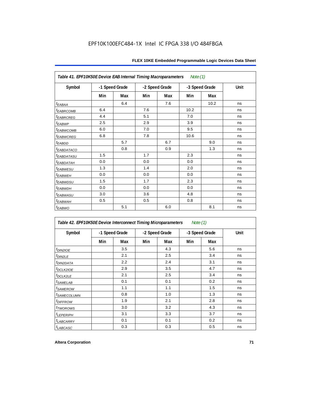| Note (1)<br>Table 41. EPF10K50E Device EAB Internal Timing Macroparameters |                |     |                |     |      |                |      |  |  |  |  |
|----------------------------------------------------------------------------|----------------|-----|----------------|-----|------|----------------|------|--|--|--|--|
| Symbol                                                                     | -1 Speed Grade |     | -2 Speed Grade |     |      | -3 Speed Grade | Unit |  |  |  |  |
|                                                                            | Min            | Max | Min            | Max | Min  | Max            |      |  |  |  |  |
| $t_{EABA}$                                                                 |                | 6.4 |                | 7.6 |      | 10.2           | ns   |  |  |  |  |
| t <sub>EABRCOMB</sub>                                                      | 6.4            |     | 7.6            |     | 10.2 |                | ns   |  |  |  |  |
| <sup>t</sup> EABRCREG                                                      | 4.4            |     | 5.1            |     | 7.0  |                | ns   |  |  |  |  |
| t <sub>EABWP</sub>                                                         | 2.5            |     | 2.9            |     | 3.9  |                | ns   |  |  |  |  |
| <sup>t</sup> EABWCOMB                                                      | 6.0            |     | 7.0            |     | 9.5  |                | ns   |  |  |  |  |
| <b><i>EABWCREG</i></b>                                                     | 6.8            |     | 7.8            |     | 10.6 |                | ns   |  |  |  |  |
| $t_{EABDD}$                                                                |                | 5.7 |                | 6.7 |      | 9.0            | ns   |  |  |  |  |
| <b><i>EABDATACO</i></b>                                                    |                | 0.8 |                | 0.9 |      | 1.3            | ns   |  |  |  |  |
| <sup>t</sup> EABDATASU                                                     | 1.5            |     | 1.7            |     | 2.3  |                | ns   |  |  |  |  |
| <sup>t</sup> EABDATAH                                                      | 0.0            |     | 0.0            |     | 0.0  |                | ns   |  |  |  |  |
| <sup>t</sup> EABWESU                                                       | 1.3            |     | 1.4            |     | 2.0  |                | ns   |  |  |  |  |
| <sup>t</sup> EABWEH                                                        | 0.0            |     | 0.0            |     | 0.0  |                | ns   |  |  |  |  |
| <sup>t</sup> EABWDSU                                                       | 1.5            |     | 1.7            |     | 2.3  |                | ns   |  |  |  |  |
| <sup>t</sup> EABWDH                                                        | 0.0            |     | 0.0            |     | 0.0  |                | ns   |  |  |  |  |
| t <sub>EABWASU</sub>                                                       | 3.0            |     | 3.6            |     | 4.8  |                | ns   |  |  |  |  |
| $t_{EABWAH}$                                                               | 0.5            |     | 0.5            |     | 0.8  |                | ns   |  |  |  |  |
| $t_{EABWO}$                                                                |                | 5.1 |                | 6.0 |      | 8.1            | ns   |  |  |  |  |

| Table 42. EPF10K50E Device Interconnect Timing Microparameters<br>Note $(1)$ |                |     |                |     |                |     |             |
|------------------------------------------------------------------------------|----------------|-----|----------------|-----|----------------|-----|-------------|
| Symbol                                                                       | -1 Speed Grade |     | -2 Speed Grade |     | -3 Speed Grade |     | <b>Unit</b> |
|                                                                              | Min            | Max | Min            | Max | Min            | Max |             |
| $t_{DIN2IOE}$                                                                |                | 3.5 |                | 4.3 |                | 5.6 | ns          |
| t <sub>DIN2LE</sub>                                                          |                | 2.1 |                | 2.5 |                | 3.4 | ns          |
| <sup>t</sup> DIN2DATA                                                        |                | 2.2 |                | 2.4 |                | 3.1 | ns          |
| <sup>t</sup> DCLK2IOE                                                        |                | 2.9 |                | 3.5 |                | 4.7 | ns          |
| t <sub>DCLK2LE</sub>                                                         |                | 2.1 |                | 2.5 |                | 3.4 | ns          |
| <sup>t</sup> SAMELAB                                                         |                | 0.1 |                | 0.1 |                | 0.2 | ns          |
| <i>t</i> SAMEROW                                                             |                | 1.1 |                | 1.1 |                | 1.5 | ns          |
| <sup>t</sup> SAMECOLUMN                                                      |                | 0.8 |                | 1.0 |                | 1.3 | ns          |
| <i>t<sub>DIFFROW</sub></i>                                                   |                | 1.9 |                | 2.1 |                | 2.8 | ns          |
| <i>t</i> TWOROWS                                                             |                | 3.0 |                | 3.2 |                | 4.3 | ns          |
| <sup>t</sup> LEPERIPH                                                        |                | 3.1 |                | 3.3 |                | 3.7 | ns          |
| <b><i>LABCARRY</i></b>                                                       |                | 0.1 |                | 0.1 |                | 0.2 | ns          |
| <sup>t</sup> LABCASC                                                         |                | 0.3 |                | 0.3 |                | 0.5 | ns          |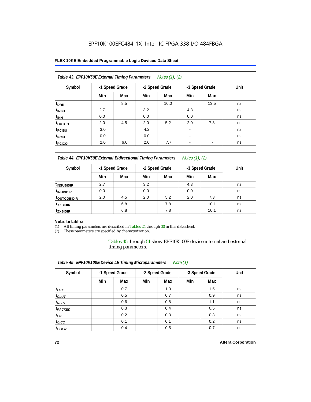### **FLEX 10KE Embedded Programmable Logic Devices Data Sheet**

| Table 43. EPF10K50E External Timing Parameters<br>Notes $(1)$ , $(2)$ |     |                |     |                |                          |                |      |  |  |  |
|-----------------------------------------------------------------------|-----|----------------|-----|----------------|--------------------------|----------------|------|--|--|--|
| Symbol                                                                |     | -1 Speed Grade |     | -2 Speed Grade |                          | -3 Speed Grade | Unit |  |  |  |
|                                                                       | Min | Max            | Min | Max            | Min                      | Max            |      |  |  |  |
| t <sub>DRR</sub>                                                      |     | 8.5            |     | 10.0           |                          | 13.5           | ns   |  |  |  |
| t <sub>insu</sub>                                                     | 2.7 |                | 3.2 |                | 4.3                      |                | ns   |  |  |  |
| $t_{\rm INH}$                                                         | 0.0 |                | 0.0 |                | 0.0                      |                | ns   |  |  |  |
| toutco                                                                | 2.0 | 4.5            | 2.0 | 5.2            | 2.0                      | 7.3            | ns   |  |  |  |
| t <sub>PCISU</sub>                                                    | 3.0 |                | 4.2 |                | $\overline{\phantom{a}}$ |                | ns   |  |  |  |
| <sup>t</sup> PCIH                                                     | 0.0 |                | 0.0 |                | $\overline{\phantom{a}}$ |                | ns   |  |  |  |
| <sup>t</sup> PCICO                                                    | 2.0 | 6.0            | 2.0 | 7.7            | $\blacksquare$           |                | ns   |  |  |  |

*Table 44. EPF10K50E External Bidirectional Timing Parameters Notes (1), (2)*

| Symbol                 | -1 Speed Grade |     | -2 Speed Grade |     | -3 Speed Grade |      | Unit |  |  |
|------------------------|----------------|-----|----------------|-----|----------------|------|------|--|--|
|                        | Min            | Max | Min            | Max | Min            | Max  |      |  |  |
| <sup>1</sup> INSUBIDIR | 2.7            |     | 3.2            |     | 4.3            |      | ns   |  |  |
| <sup>t</sup> INHBIDIR  | 0.0            |     | 0.0            |     | 0.0            |      | ns   |  |  |
| <b>TOUTCOBIDIR</b>     | 2.0            | 4.5 | 2.0            | 5.2 | 2.0            | 7.3  | ns   |  |  |
| <sup>t</sup> xzbidir   |                | 6.8 |                | 7.8 |                | 10.1 | ns   |  |  |
| <sup>t</sup> zxbidir   |                | 6.8 |                | 7.8 |                | 10.1 | ns   |  |  |

### *Notes to tables:*

(1) All timing parameters are described in Tables 24 through 30 in this data sheet.

(2) These parameters are specified by characterization.

Tables 45 through 51 show EPF10K100E device internal and external timing parameters.

| Table 45. EPF10K100E Device LE Timing Microparameters<br>Note $(1)$ |                |     |     |                |     |                |      |  |  |  |  |
|---------------------------------------------------------------------|----------------|-----|-----|----------------|-----|----------------|------|--|--|--|--|
| Symbol                                                              | -1 Speed Grade |     |     | -2 Speed Grade |     | -3 Speed Grade | Unit |  |  |  |  |
|                                                                     | Min            | Max | Min | Max            | Min | Max            |      |  |  |  |  |
| $t_{LUT}$                                                           |                | 0.7 |     | 1.0            |     | 1.5            | ns   |  |  |  |  |
| $t_{CLUT}$                                                          |                | 0.5 |     | 0.7            |     | 0.9            | ns   |  |  |  |  |
| $t_{RLUT}$                                                          |                | 0.6 |     | 0.8            |     | 1.1            | ns   |  |  |  |  |
| <sup>t</sup> PACKED                                                 |                | 0.3 |     | 0.4            |     | 0.5            | ns   |  |  |  |  |
| $t_{EN}$                                                            |                | 0.2 |     | 0.3            |     | 0.3            | ns   |  |  |  |  |
| $t_{CICO}$                                                          |                | 0.1 |     | 0.1            |     | 0.2            | ns   |  |  |  |  |
| $t_{\text{GEN}}$                                                    |                | 0.4 |     | 0.5            |     | 0.7            | ns   |  |  |  |  |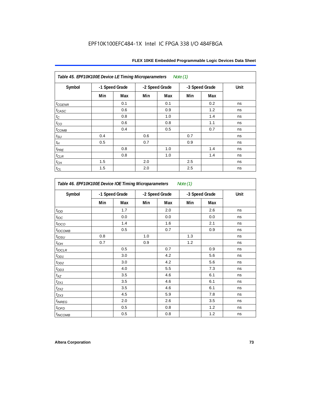| Table 45. EPF10K100E Device LE Timing Microparameters<br>Note (1) |                |     |     |                |     |                |      |  |  |  |
|-------------------------------------------------------------------|----------------|-----|-----|----------------|-----|----------------|------|--|--|--|
| Symbol                                                            | -1 Speed Grade |     |     | -2 Speed Grade |     | -3 Speed Grade | Unit |  |  |  |
|                                                                   | Min            | Max | Min | Max            | Min | Max            |      |  |  |  |
| $t_{CGENR}$                                                       |                | 0.1 |     | 0.1            |     | 0.2            | ns   |  |  |  |
| $t_{CASC}$                                                        |                | 0.6 |     | 0.9            |     | 1.2            | ns   |  |  |  |
| $t_{\rm C}$                                                       |                | 0.8 |     | 1.0            |     | 1.4            | ns   |  |  |  |
| $t_{CO}$                                                          |                | 0.6 |     | 0.8            |     | 1.1            | ns   |  |  |  |
| $t_{COMB}$                                                        |                | 0.4 |     | 0.5            |     | 0.7            | ns   |  |  |  |
| $t_{\text{SU}}$                                                   | 0.4            |     | 0.6 |                | 0.7 |                | ns   |  |  |  |
| $t_H\,$                                                           | 0.5            |     | 0.7 |                | 0.9 |                | ns   |  |  |  |
| $t_{PRE}$                                                         |                | 0.8 |     | 1.0            |     | 1.4            | ns   |  |  |  |
| $t_{CLR}$                                                         |                | 0.8 |     | 1.0            |     | 1.4            | ns   |  |  |  |
| $t_{CH}$                                                          | 1.5            |     | 2.0 |                | 2.5 |                | ns   |  |  |  |
| $t_{CL}$                                                          | 1.5            |     | 2.0 |                | 2.5 |                | ns   |  |  |  |

| Symbol                   | -1 Speed Grade |     |     | -2 Speed Grade |     | -3 Speed Grade | Unit |
|--------------------------|----------------|-----|-----|----------------|-----|----------------|------|
|                          | Min            | Max | Min | Max            | Min | Max            |      |
| t <sub>IOD</sub>         |                | 1.7 |     | 2.0            |     | 2.6            | ns   |
| $t_{\text{loc}}$         |                | 0.0 |     | 0.0            |     | 0.0            | ns   |
| $t_{\text{IOCO}}$        |                | 1.4 |     | 1.6            |     | 2.1            | ns   |
| t <sub>IOCOMB</sub>      |                | 0.5 |     | 0.7            |     | 0.9            | ns   |
| $t_{IOSU}$               | 0.8            |     | 1.0 |                | 1.3 |                | ns   |
| $t_{IOH}$                | 0.7            |     | 0.9 |                | 1.2 |                | ns   |
| $t_{IOCLR}$              |                | 0.5 |     | 0.7            |     | 0.9            | ns   |
| $t_{OD1}$                |                | 3.0 |     | 4.2            |     | 5.6            | ns   |
| $t_{OD2}$                |                | 3.0 |     | 4.2            |     | 5.6            | ns   |
| $t_{OD3}$                |                | 4.0 |     | 5.5            |     | 7.3            | ns   |
| $t_{XZ}$                 |                | 3.5 |     | 4.6            |     | 6.1            | ns   |
| $t_{ZX1}$                |                | 3.5 |     | 4.6            |     | 6.1            | ns   |
| $t_{ZX2}$                |                | 3.5 |     | 4.6            |     | 6.1            | ns   |
| $t_{ZX3}$                |                | 4.5 |     | 5.9            |     | 7.8            | ns   |
| <i>t<sub>INREG</sub></i> |                | 2.0 |     | 2.6            |     | 3.5            | ns   |
| $t_{IOED}$               |                | 0.5 |     | 0.8            |     | 1.2            | ns   |
| <sup>t</sup> INCOMB      |                | 0.5 |     | 0.8            |     | 1.2            | ns   |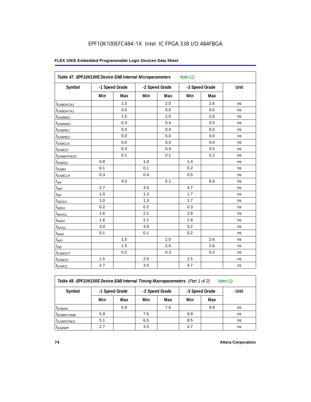| Table 47. EPF10K100E Device EAB Internal Microparameters<br>Note $(1)$ |     |                |                |     |     |                |      |  |  |
|------------------------------------------------------------------------|-----|----------------|----------------|-----|-----|----------------|------|--|--|
| Symbol                                                                 |     | -1 Speed Grade | -2 Speed Grade |     |     | -3 Speed Grade | Unit |  |  |
|                                                                        | Min | Max            | Min            | Max | Min | Max            |      |  |  |
| <sup>t</sup> EABDATA1                                                  |     | 1.5            |                | 2.0 |     | 2.6            | ns   |  |  |
| $t_{EABDATA1}$                                                         |     | 0.0            |                | 0.0 |     | 0.0            | ns   |  |  |
| $t_{EABWE1}$                                                           |     | 1.5            |                | 2.0 |     | 2.6            | ns   |  |  |
| t <sub>EABWE2</sub>                                                    |     | 0.3            |                | 0.4 |     | 0.5            | ns   |  |  |
| t <sub>EABRE1</sub>                                                    |     | 0.3            |                | 0.4 |     | 0.5            | ns   |  |  |
| $t_{EABRE2}$                                                           |     | 0.0            |                | 0.0 |     | 0.0            | ns   |  |  |
| $t_{EABCLK}$                                                           |     | 0.0            |                | 0.0 |     | 0.0            | ns   |  |  |
| $t_{EABCO}$                                                            |     | 0.3            |                | 0.4 |     | 0.5            | ns   |  |  |
| t <sub>EABBYPASS</sub>                                                 |     | 0.1            |                | 0.1 |     | 0.2            | ns   |  |  |
| $t_{EABSU}$                                                            | 0.8 |                | 1.0            |     | 1.4 |                | ns   |  |  |
| $t_{EABH}$                                                             | 0.1 |                | 0.1            |     | 0.2 |                | ns   |  |  |
| $t_{EABCLR}$                                                           | 0.3 |                | 0.4            |     | 0.5 |                | ns   |  |  |
| $t_{AA}$                                                               |     | 4.0            |                | 5.1 |     | 6.6            | ns   |  |  |
| $t_{WP}$                                                               | 2.7 |                | 3.5            |     | 4.7 |                | ns   |  |  |
| $t_{RP}$                                                               | 1.0 |                | 1.3            |     | 1.7 |                | ns   |  |  |
| $t_{WDSU}$                                                             | 1.0 |                | 1.3            |     | 1.7 |                | ns   |  |  |
| $t_{WDH}$                                                              | 0.2 |                | 0.2            |     | 0.3 |                | ns   |  |  |
| $t_{WASU}$                                                             | 1.6 |                | 2.1            |     | 2.8 |                | ns   |  |  |
| $t_{WAH}$                                                              | 1.6 |                | 2.1            |     | 2.8 |                | ns   |  |  |
| $t_{RASU}$                                                             | 3.0 |                | 3.9            |     | 5.2 |                | ns   |  |  |
| $t_{RAH}$                                                              | 0.1 |                | 0.1            |     | 0.2 |                | ns   |  |  |
| $t_{WO}$                                                               |     | 1.5            |                | 2.0 |     | 2.6            | ns   |  |  |
| $t_{DD}$                                                               |     | 1.5            |                | 2.0 |     | 2.6            | ns   |  |  |
| $t_{EABOUT}$                                                           |     | 0.2            |                | 0.3 |     | 0.3            | ns   |  |  |
| <sup>t</sup> EABCH                                                     | 1.5 |                | 2.0            |     | 2.5 |                | ns   |  |  |
| $t_{EABCL}$                                                            | 2.7 |                | 3.5            |     | 4.7 |                | ns   |  |  |

*Table 48. EPF10K100E Device EAB Internal Timing Macroparameters (Part 1 of 2) Note (1)*

| Symbol                | -1 Speed Grade |     | -2 Speed Grade |     |     | -3 Speed Grade | Unit |
|-----------------------|----------------|-----|----------------|-----|-----|----------------|------|
|                       | Min            | Max | Min            | Max | Min | Max            |      |
| $t_{EABA}$            |                | 5.9 |                | 7.6 |     | 9.9            | ns   |
| <sup>t</sup> EABRCOMB | 5.9            |     | 7.6            |     | 9.9 |                | ns   |
| <sup>I</sup> EABRCREG | 5.1            |     | 6.5            |     | 8.5 |                | ns   |
| <sup>t</sup> EABWP    | 2.7            |     | 3.5            |     | 4.7 |                | ns   |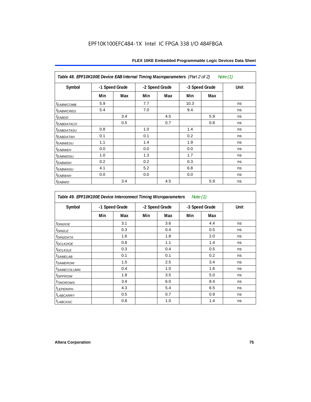| Table 48. EPF10K100E Device EAB Internal Timing Macroparameters (Part 2 of 2)<br>Note (1) |                |     |                |     |                |     |      |  |  |  |
|-------------------------------------------------------------------------------------------|----------------|-----|----------------|-----|----------------|-----|------|--|--|--|
| Symbol                                                                                    | -1 Speed Grade |     | -2 Speed Grade |     | -3 Speed Grade |     | Unit |  |  |  |
|                                                                                           | Min            | Max | Min            | Max | Min            | Max |      |  |  |  |
| <i>t<sub>EABWCOMB</sub></i>                                                               | 5.9            |     | 7.7            |     | 10.3           |     | ns   |  |  |  |
| <sup>t</sup> EABWCREG                                                                     | 5.4            |     | 7.0            |     | 9.4            |     | ns   |  |  |  |
| t <sub>EABDD</sub>                                                                        |                | 3.4 |                | 4.5 |                | 5.9 | ns   |  |  |  |
| <b><i>EABDATACO</i></b>                                                                   |                | 0.5 |                | 0.7 |                | 0.8 | ns   |  |  |  |
| <sup>t</sup> EABDATASU                                                                    | 0.8            |     | 1.0            |     | 1.4            |     | ns   |  |  |  |
| <sup>t</sup> EABDATAH                                                                     | 0.1            |     | 0.1            |     | 0.2            |     | ns   |  |  |  |
| <i>t<sub>EABWESU</sub></i>                                                                | 1.1            |     | 1.4            |     | 1.9            |     | ns   |  |  |  |
| <sup>t</sup> EABWEH                                                                       | 0.0            |     | 0.0            |     | 0.0            |     | ns   |  |  |  |
| <sup>t</sup> EABWDSU                                                                      | 1.0            |     | 1.3            |     | 1.7            |     | ns   |  |  |  |
| t <sub>EABWDH</sub>                                                                       | 0.2            |     | 0.2            |     | 0.3            |     | ns   |  |  |  |
| <sup>t</sup> EABWASU                                                                      | 4.1            |     | 5.2            |     | 6.8            |     | ns   |  |  |  |
| <sup>t</sup> ЕАВWАН                                                                       | 0.0            |     | 0.0            |     | 0.0            |     | ns   |  |  |  |
| t <sub>EABWO</sub>                                                                        |                | 3.4 |                | 4.5 |                | 5.9 | ns   |  |  |  |

*Table 49. EPF10K100E Device Interconnect Timing Microparameters Note (1)*

| Symbol                     |     | -1 Speed Grade |     | -2 Speed Grade |     | -3 Speed Grade | Unit |
|----------------------------|-----|----------------|-----|----------------|-----|----------------|------|
|                            | Min | Max            | Min | Max            | Min | Max            |      |
| $tD$ IN2IOE                |     | 3.1            |     | 3.6            |     | 4.4            | ns   |
| t <sub>DIN2LE</sub>        |     | 0.3            |     | 0.4            |     | 0.5            | ns   |
| <sup>t</sup> DIN2DATA      |     | 1.6            |     | 1.8            |     | 2.0            | ns   |
| $t_{DCLK2IOE}$             |     | 0.8            |     | 1.1            |     | 1.4            | ns   |
| t <sub>DCLK2LE</sub>       |     | 0.3            |     | 0.4            |     | 0.5            | ns   |
| <sup>t</sup> SAMELAB       |     | 0.1            |     | 0.1            |     | 0.2            | ns   |
| <i>t</i> SAMEROW           |     | 1.5            |     | 2.5            |     | 3.4            | ns   |
| <sup>t</sup> SAMECOLUMN    |     | 0.4            |     | 1.0            |     | 1.6            | ns   |
| <i>t<sub>DIFFROW</sub></i> |     | 1.9            |     | 3.5            |     | 5.0            | ns   |
| <i>t</i> TWOROWS           |     | 3.4            |     | 6.0            |     | 8.4            | ns   |
| <sup>t</sup> LEPERIPH      |     | 4.3            |     | 5.4            |     | 6.5            | ns   |
| t <sub>LABCARRY</sub>      |     | 0.5            |     | 0.7            |     | 0.9            | ns   |
| <sup>t</sup> LABCASC       |     | 0.8            |     | 1.0            |     | 1.4            | ns   |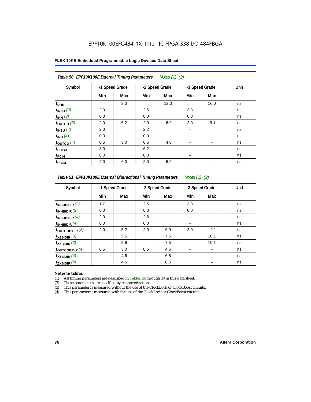|  |  |  | FLEX 10KE Embedded Programmable Logic Devices Data Sheet |  |  |  |  |
|--|--|--|----------------------------------------------------------|--|--|--|--|
|--|--|--|----------------------------------------------------------|--|--|--|--|

| Table 50. EPF10K100E External Timing Parameters Notes (1), (2) |                |     |     |                |     |                |      |  |  |  |
|----------------------------------------------------------------|----------------|-----|-----|----------------|-----|----------------|------|--|--|--|
| Symbol                                                         | -1 Speed Grade |     |     | -2 Speed Grade |     | -3 Speed Grade | Unit |  |  |  |
|                                                                | Min            | Max | Min | Max            | Min | Max            |      |  |  |  |
| t <sub>DRR</sub>                                               |                | 9.0 |     | 12.0           |     | 16.0           | ns   |  |  |  |
| $t_{INSU}$ (3)                                                 | 2.0            |     | 2.5 |                | 3.3 |                | ns   |  |  |  |
| $t_{INH}$ (3)                                                  | 0.0            |     | 0.0 |                | 0.0 |                | ns   |  |  |  |
| $t_{OUTCO}$ (3)                                                | 2.0            | 5.2 | 2.0 | 6.9            | 2.0 | 9.1            | ns   |  |  |  |
| $t_{INSU}$ (4)                                                 | 2.0            |     | 2.2 |                |     |                | ns   |  |  |  |
| $t_{INH}$ (4)                                                  | 0.0            |     | 0.0 |                |     |                | ns   |  |  |  |
| $t_{OUTCO}$ (4)                                                | 0.5            | 3.0 | 0.5 | 4.6            |     | -              | ns   |  |  |  |
| t <sub>PCISU</sub>                                             | 3.0            |     | 6.2 |                |     |                | ns   |  |  |  |
| t <sub>PCIH</sub>                                              | 0.0            |     | 0.0 |                |     |                | ns   |  |  |  |
| t <sub>PCICO</sub>                                             | 2.0            | 6.0 | 2.0 | 6.9            |     |                | ns   |  |  |  |

*Table 51. EPF10K100E External Bidirectional Timing Parameters Notes (1), (2)*

| Symbol                      | -1 Speed Grade |     | -2 Speed Grade |     | -3 Speed Grade |      | Unit |  |
|-----------------------------|----------------|-----|----------------|-----|----------------|------|------|--|
|                             | Min            | Max | Min            | Max | Min            | Max  |      |  |
| $t_{INSUBIDIR}$ (3)         | 1.7            |     | 2.5            |     | 3.3            |      | ns   |  |
| $t_{INHBIDIR}$ (3)          | 0.0            |     | 0.0            |     | 0.0            |      | ns   |  |
| $t_{INSUBIDIR}(4)$          | 2.0            |     | 2.8            |     |                |      | ns   |  |
| $t_{INHBIDIR}$ $(4)$        | 0.0            |     | 0.0            |     |                |      | ns   |  |
| $t_{\text{OUTCOBIDIR}}$ (3) | 2.0            | 5.2 | 2.0            | 6.9 | 2.0            | 9.1  | ns   |  |
| $t_{XZBIDIR}$ (3)           |                | 5.6 |                | 7.5 |                | 10.1 | ns   |  |
| $t_{ZXBIDIR}$ (3)           |                | 5.6 |                | 7.5 |                | 10.1 | ns   |  |
| $t_{\text{OUTCOBIDIR}}$ (4) | 0.5            | 3.0 | 0.5            | 4.6 |                |      | ns   |  |
| $t_{XZBIDIR}$ (4)           |                | 4.6 |                | 6.5 |                |      | ns   |  |
| $t_{ZXBIDIR}$ (4)           |                | 4.6 |                | 6.5 |                |      | ns   |  |

### *Notes to tables:*

(1) All timing parameters are described in Tables 24 through 30 in this data sheet.

(2) These parameters are specified by characterization.

(3) This parameter is measured without the use of the ClockLock or ClockBoost circuits.

(4) This parameter is measured with the use of the ClockLock or ClockBoost circuits.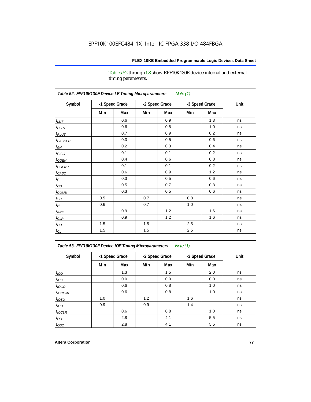Tables 52 through 58 show EPF10K130E device internal and external timing parameters.

| Table 52. EPF10K130E Device LE Timing Microparameters<br><b>Note (1)</b> |                |     |     |                |     |                |      |  |  |  |
|--------------------------------------------------------------------------|----------------|-----|-----|----------------|-----|----------------|------|--|--|--|
| Symbol                                                                   | -1 Speed Grade |     |     | -2 Speed Grade |     | -3 Speed Grade | Unit |  |  |  |
|                                                                          | Min            | Max | Min | Max            | Min | Max            |      |  |  |  |
| $t_{LUT}$                                                                |                | 0.6 |     | 0.9            |     | 1.3            | ns   |  |  |  |
| $t_{CLUT}$                                                               |                | 0.6 |     | 0.8            |     | 1.0            | ns   |  |  |  |
| $t_{RLUT}$                                                               |                | 0.7 |     | 0.9            |     | 0.2            | ns   |  |  |  |
| t <sub>PACKED</sub>                                                      |                | 0.3 |     | 0.5            |     | 0.6            | ns   |  |  |  |
| $t_{EN}$                                                                 |                | 0.2 |     | 0.3            |     | 0.4            | ns   |  |  |  |
| $t_{CICO}$                                                               |                | 0.1 |     | 0.1            |     | 0.2            | ns   |  |  |  |
| $t_{CGEN}$                                                               |                | 0.4 |     | 0.6            |     | 0.8            | ns   |  |  |  |
| $t_{CGENR}$                                                              |                | 0.1 |     | 0.1            |     | 0.2            | ns   |  |  |  |
| $t_{CASC}$                                                               |                | 0.6 |     | 0.9            |     | 1.2            | ns   |  |  |  |
| $t_{\rm C}$                                                              |                | 0.3 |     | 0.5            |     | 0.6            | ns   |  |  |  |
| $t_{CO}$                                                                 |                | 0.5 |     | 0.7            |     | 0.8            | ns   |  |  |  |
| $t_{\text{COMB}}$                                                        |                | 0.3 |     | 0.5            |     | 0.6            | ns   |  |  |  |
| $t_{\rm SU}$                                                             | 0.5            |     | 0.7 |                | 0.8 |                | ns   |  |  |  |
| $t_H$                                                                    | 0.6            |     | 0.7 |                | 1.0 |                | ns   |  |  |  |
| $t_{PRE}$                                                                |                | 0.9 |     | 1.2            |     | 1.6            | ns   |  |  |  |
| $t_{CLR}$                                                                |                | 0.9 |     | 1.2            |     | 1.6            | ns   |  |  |  |
| $t_{CH}$                                                                 | 1.5            |     | 1.5 |                | 2.5 |                | ns   |  |  |  |
| $t_{\rm CL}$                                                             | 1.5            |     | 1.5 |                | 2.5 |                | ns   |  |  |  |

*Table 53. EPF10K130E Device IOE Timing Microparameters Note (1)*

| Symbol           |     | -1 Speed Grade |     | -2 Speed Grade |     | -3 Speed Grade | Unit |  |
|------------------|-----|----------------|-----|----------------|-----|----------------|------|--|
|                  | Min | Max            | Min | Max            | Min | Max            |      |  |
| t <sub>IOD</sub> |     | 1.3            |     | 1.5            |     | 2.0            | ns   |  |
| $t_{\text{IOC}}$ |     | 0.0            |     | 0.0            |     | 0.0            | ns   |  |
| $t_{IOCO}$       |     | 0.6            |     | 0.8            |     | 1.0            | ns   |  |
| $t_{IOCOMB}$     |     | 0.6            |     | 0.8            |     | 1.0            | ns   |  |
| $t_{IOSU}$       | 1.0 |                | 1.2 |                | 1.6 |                | ns   |  |
| $t_{IOH}$        | 0.9 |                | 0.9 |                | 1.4 |                | ns   |  |
| $t_{IOCLR}$      |     | 0.6            |     | 0.8            |     | 1.0            | ns   |  |
| $t_{OD1}$        |     | 2.8            |     | 4.1            |     | 5.5            | ns   |  |
| $t_{OD2}$        |     | 2.8            |     | 4.1            |     | 5.5            | ns   |  |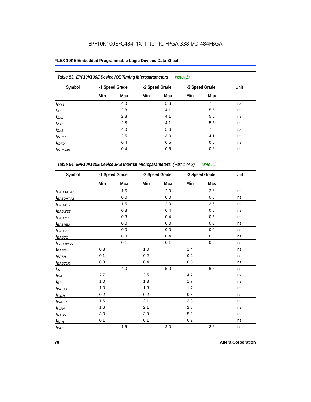### **FLEX 10KE Embedded Programmable Logic Devices Data Sheet**

| Table 53. EPF10K130E Device IOE Timing Microparameters<br>Note $(1)$ |     |                |     |                |     |                |      |  |  |  |  |
|----------------------------------------------------------------------|-----|----------------|-----|----------------|-----|----------------|------|--|--|--|--|
| Symbol                                                               |     | -1 Speed Grade |     | -2 Speed Grade |     | -3 Speed Grade | Unit |  |  |  |  |
|                                                                      | Min | Max            | Min | Max            | Min | Max            |      |  |  |  |  |
| $t_{OD3}$                                                            |     | 4.0            |     | 5.6            |     | 7.5            | ns   |  |  |  |  |
| $t_{XZ}$                                                             |     | 2.8            |     | 4.1            |     | 5.5            | ns   |  |  |  |  |
| $t_{ZX1}$                                                            |     | 2.8            |     | 4.1            |     | 5.5            | ns   |  |  |  |  |
| $t_{ZX2}$                                                            |     | 2.8            |     | 4.1            |     | 5.5            | ns   |  |  |  |  |
| $t_{ZX3}$                                                            |     | 4.0            |     | 5.6            |     | 7.5            | ns   |  |  |  |  |
| $t_{INREG}$                                                          |     | 2.5            |     | 3.0            |     | 4.1            | ns   |  |  |  |  |
| $t_{IOFD}$                                                           |     | 0.4            |     | 0.5            |     | 0.6            | ns   |  |  |  |  |
| $t_{INCOMB}$                                                         |     | 0.4            |     | 0.5            |     | 0.6            | ns   |  |  |  |  |

| Symbol                 | -1 Speed Grade |     | -2 Speed Grade |     | -3 Speed Grade |     | Unit |
|------------------------|----------------|-----|----------------|-----|----------------|-----|------|
|                        | Min            | Max | Min            | Max | Min            | Max |      |
| <sup>t</sup> EABDATA1  |                | 1.5 |                | 2.0 |                | 2.6 | ns   |
| t <sub>EABDATA2</sub>  |                | 0.0 |                | 0.0 |                | 0.0 | ns   |
| <sup>t</sup> EABWE1    |                | 1.5 |                | 2.0 |                | 2.6 | ns   |
| <sup>t</sup> EABWE2    |                | 0.3 |                | 0.4 |                | 0.5 | ns   |
| t <sub>EABRE1</sub>    |                | 0.3 |                | 0.4 |                | 0.5 | ns   |
| <sup>t</sup> EABRE2    |                | 0.0 |                | 0.0 |                | 0.0 | ns   |
| t <sub>EABCLK</sub>    |                | 0.0 |                | 0.0 |                | 0.0 | ns   |
| t <sub>EABCO</sub>     |                | 0.3 |                | 0.4 |                | 0.5 | ns   |
| <sup>t</sup> EABBYPASS |                | 0.1 |                | 0.1 |                | 0.2 | ns   |
| t <sub>EABSU</sub>     | 0.8            |     | 1.0            |     | 1.4            |     | ns   |
| t <sub>EABH</sub>      | 0.1            |     | 0.2            |     | 0.2            |     | ns   |
| <sup>t</sup> EABCLR    | 0.3            |     | 0.4            |     | 0.5            |     | ns   |
| $t_{AA}$               |                | 4.0 |                | 5.0 |                | 6.6 | ns   |
| $t_{\mathit{WP}}$      | 2.7            |     | 3.5            |     | 4.7            |     | ns   |
| $t_{RP}$               | 1.0            |     | 1.3            |     | 1.7            |     | ns   |
| $t_{WDSU}$             | 1.0            |     | 1.3            |     | 1.7            |     | ns   |
| $t_{WDH}$              | 0.2            |     | 0.2            |     | 0.3            |     | ns   |
| $t_{WASU}$             | 1.6            |     | 2.1            |     | 2.8            |     | ns   |
| $t_{WAH}$              | 1.6            |     | 2.1            |     | 2.8            |     | ns   |
| $t_{RASU}$             | 3.0            |     | 3.9            |     | 5.2            |     | ns   |
| $t_{RAH}$              | 0.1            |     | 0.1            |     | 0.2            |     | ns   |
| $t_{WO}$               |                | 1.5 |                | 2.0 |                | 2.6 | ns   |

ï

'n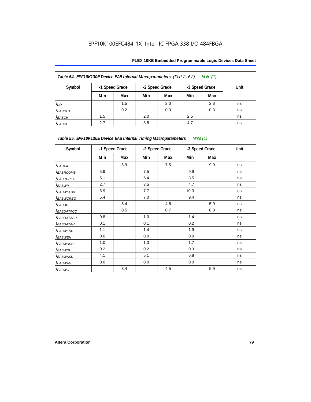| Table 54. EPF10K130E Device EAB Internal Microparameters (Part 2 of 2)<br>Note (1) |     |                |     |                |     |                |      |  |  |  |
|------------------------------------------------------------------------------------|-----|----------------|-----|----------------|-----|----------------|------|--|--|--|
| Symbol                                                                             |     | -1 Speed Grade |     | -2 Speed Grade |     | -3 Speed Grade | Unit |  |  |  |
|                                                                                    | Min | Max            | Min | Max            | Min | Max            |      |  |  |  |
| $t_{DD}$                                                                           |     | 1.5            |     | 2.0            |     | 2.6            | ns   |  |  |  |
| <b><i>EABOUT</i></b>                                                               |     | 0.2            |     | 0.3            |     | 0.3            | ns   |  |  |  |
| $t_{EABCH}$                                                                        | 1.5 |                | 2.0 |                | 2.5 |                | ns   |  |  |  |
| $t_{EABCL}$                                                                        | 2.7 |                | 3.5 |                | 4.7 |                | ns   |  |  |  |

| Table 55. EPF10K130E Device EAB Internal Timing Macroparameters Note (1) |                |     |                |     |                |     |             |  |  |  |
|--------------------------------------------------------------------------|----------------|-----|----------------|-----|----------------|-----|-------------|--|--|--|
| Symbol                                                                   | -1 Speed Grade |     | -2 Speed Grade |     | -3 Speed Grade |     | <b>Unit</b> |  |  |  |
|                                                                          | Min            | Max | Min            | Max | Min            | Max |             |  |  |  |
| $t_{EABA}$                                                               |                | 5.9 |                | 7.5 |                | 9.9 | ns          |  |  |  |
| <i>EABRCOMB</i>                                                          | 5.9            |     | 7.5            |     | 9.9            |     | ns          |  |  |  |
| <sup>t</sup> EABRCREG                                                    | 5.1            |     | 6.4            |     | 8.5            |     | ns          |  |  |  |
| t <sub>EABWP</sub>                                                       | 2.7            |     | 3.5            |     | 4.7            |     | ns          |  |  |  |
| t <sub>EABWCOMB</sub>                                                    | 5.9            |     | 7.7            |     | 10.3           |     | ns          |  |  |  |
| t <sub>EABWCREG</sub>                                                    | 5.4            |     | 7.0            |     | 9.4            |     | ns          |  |  |  |
| <sup>t</sup> EABDD                                                       |                | 3.4 |                | 4.5 |                | 5.9 | ns          |  |  |  |
| <sup>t</sup> EABDATACO                                                   |                | 0.5 |                | 0.7 |                | 0.8 | ns          |  |  |  |
| <sup>t</sup> EABDATASU                                                   | 0.8            |     | 1.0            |     | 1.4            |     | ns          |  |  |  |
| <sup>t</sup> EABDATAH                                                    | 0.1            |     | 0.1            |     | 0.2            |     | ns          |  |  |  |
| <sup>t</sup> EABWESU                                                     | 1.1            |     | 1.4            |     | 1.9            |     | ns          |  |  |  |
| <sup>t</sup> EABWEH                                                      | 0.0            |     | 0.0            |     | 0.0            |     | ns          |  |  |  |
| <sup>t</sup> EABWDSU                                                     | 1.0            |     | 1.3            |     | 1.7            |     | ns          |  |  |  |
| <sup>t</sup> EABWDH                                                      | 0.2            |     | 0.2            |     | 0.3            |     | ns          |  |  |  |
| <sup>t</sup> EABWASU                                                     | 4.1            |     | 5.1            |     | 6.8            |     | ns          |  |  |  |
| <sup>t</sup> EABWAH                                                      | 0.0            |     | 0.0            |     | 0.0            |     | ns          |  |  |  |
| t <sub>EABWO</sub>                                                       |                | 3.4 |                | 4.5 |                | 5.9 | ns          |  |  |  |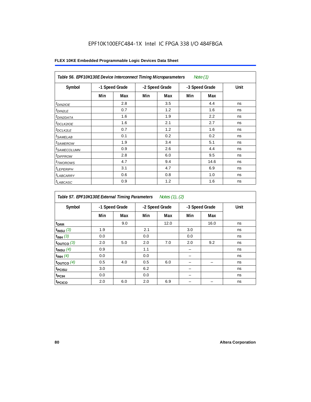| Table 56. EPF10K130E Device Interconnect Timing Microparameters<br>Note $(1)$ |                |     |                |     |                |      |      |  |  |  |
|-------------------------------------------------------------------------------|----------------|-----|----------------|-----|----------------|------|------|--|--|--|
| Symbol                                                                        | -1 Speed Grade |     | -2 Speed Grade |     | -3 Speed Grade |      | Unit |  |  |  |
|                                                                               | Min            | Max | Min            | Max | Min            | Max  |      |  |  |  |
| $t_{DINZIOE}$                                                                 |                | 2.8 |                | 3.5 |                | 4.4  | ns   |  |  |  |
| $t_{DIN2LE}$                                                                  |                | 0.7 |                | 1.2 |                | 1.6  | ns   |  |  |  |
| <sup>t</sup> DIN2DATA                                                         |                | 1.6 |                | 1.9 |                | 2.2  | ns   |  |  |  |
| $t_{DCLK2IOE}$                                                                |                | 1.6 |                | 2.1 |                | 2.7  | ns   |  |  |  |
| $t_{DCLK2LE}$                                                                 |                | 0.7 |                | 1.2 |                | 1.6  | ns   |  |  |  |
| <sup>t</sup> SAMELAB                                                          |                | 0.1 |                | 0.2 |                | 0.2  | ns   |  |  |  |
| <i>t<sub>SAMEROW</sub></i>                                                    |                | 1.9 |                | 3.4 |                | 5.1  | ns   |  |  |  |
| <sup>t</sup> SAMECOLUMN                                                       |                | 0.9 |                | 2.6 |                | 4.4  | ns   |  |  |  |
| <i><b>UIFFROW</b></i>                                                         |                | 2.8 |                | 6.0 |                | 9.5  | ns   |  |  |  |
| <sup>t</sup> TWOROWS                                                          |                | 4.7 |                | 9.4 |                | 14.6 | ns   |  |  |  |
| $t_{LEPERIPH}$                                                                |                | 3.1 |                | 4.7 |                | 6.9  | ns   |  |  |  |
| <sup>t</sup> LABCARRY                                                         |                | 0.6 |                | 0.8 |                | 1.0  | ns   |  |  |  |
| <sup>t</sup> LABCASC                                                          |                | 0.9 |                | 1.2 |                | 1.6  | ns   |  |  |  |

| Table 57. EPF10K130E External Timing Parameters Notes (1), (2) |                |     |     |                |     |                |      |  |  |  |
|----------------------------------------------------------------|----------------|-----|-----|----------------|-----|----------------|------|--|--|--|
| Symbol                                                         | -1 Speed Grade |     |     | -2 Speed Grade |     | -3 Speed Grade | Unit |  |  |  |
|                                                                | Min            | Max | Min | Max            | Min | Max            |      |  |  |  |
| t <sub>DRR</sub>                                               |                | 9.0 |     | 12.0           |     | 16.0           | ns   |  |  |  |
| $t_{INSU}$ (3)                                                 | 1.9            |     | 2.1 |                | 3.0 |                | ns   |  |  |  |
| $t_{INH}$ (3)                                                  | 0.0            |     | 0.0 |                | 0.0 |                | ns   |  |  |  |
| $t_{OUTCO}$ (3)                                                | 2.0            | 5.0 | 2.0 | 7.0            | 2.0 | 9.2            | ns   |  |  |  |
| $t_{INSU}$ (4)                                                 | 0.9            |     | 1.1 |                |     |                | ns   |  |  |  |
| $t_{INH}$ (4)                                                  | 0.0            |     | 0.0 |                |     |                | ns   |  |  |  |
| toutco $(4)$                                                   | 0.5            | 4.0 | 0.5 | 6.0            |     |                | ns   |  |  |  |
| t <sub>PCISU</sub>                                             | 3.0            |     | 6.2 |                |     |                | ns   |  |  |  |
| <sup>t</sup> PCIH                                              | 0.0            |     | 0.0 |                |     |                | ns   |  |  |  |
| t <sub>PCICO</sub>                                             | 2.0            | 6.0 | 2.0 | 6.9            |     |                | ns   |  |  |  |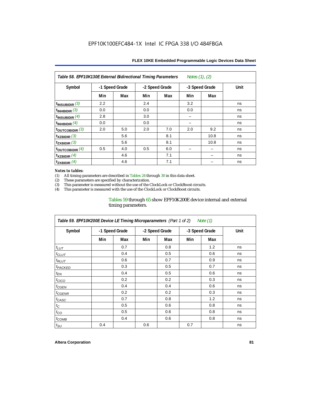| Table 58. EPF10K130E External Bidirectional Timing Parameters<br>Notes $(1)$ , $(2)$ |                |     |                |     |     |                |      |  |  |  |
|--------------------------------------------------------------------------------------|----------------|-----|----------------|-----|-----|----------------|------|--|--|--|
| Symbol                                                                               | -1 Speed Grade |     | -2 Speed Grade |     |     | -3 Speed Grade | Unit |  |  |  |
|                                                                                      | Min            | Max | Min            | Max | Min | Max            |      |  |  |  |
| $t_{INSUBIDIR}$ (3)                                                                  | 2.2            |     | 2.4            |     | 3.2 |                | ns   |  |  |  |
| $t_{INHBIDIR}$ (3)                                                                   | 0.0            |     | 0.0            |     | 0.0 |                | ns   |  |  |  |
| $t_{INSUBIDIR}(4)$                                                                   | 2.8            |     | 3.0            |     |     |                | ns   |  |  |  |
| t <sub>INHBIDIR</sub> $(4)$                                                          | 0.0            |     | 0.0            |     |     |                | ns   |  |  |  |
| toutcobidir $(3)$                                                                    | 2.0            | 5.0 | 2.0            | 7.0 | 2.0 | 9.2            | ns   |  |  |  |
| $\mathsf{t}_{\texttt{XZBIDIR}}(3)$                                                   |                | 5.6 |                | 8.1 |     | 10.8           | ns   |  |  |  |
| $t_{ZXBIDIR}$ (3)                                                                    |                | 5.6 |                | 8.1 |     | 10.8           | ns   |  |  |  |
| toutcobidir $(4)$                                                                    | 0.5            | 4.0 | 0.5            | 6.0 |     |                | ns   |  |  |  |
| $t_{XZBIDIR}$ (4)                                                                    |                | 4.6 |                | 7.1 |     |                | ns   |  |  |  |
| $\mathsf{t}_{\mathsf{ZXBIDIR}}$ (4)                                                  |                | 4.6 |                | 7.1 |     |                | ns   |  |  |  |

### *Notes to tables:*

(1) All timing parameters are described in Tables 24 through 30 in this data sheet.<br>(2) These parameters are specified by characterization.

(2) These parameters are specified by characterization.<br>
(3) This parameter is measured without the use of the C

This parameter is measured without the use of the ClockLock or ClockBoost circuits.

(4) This parameter is measured with the use of the ClockLock or ClockBoost circuits.

### Tables 59 through 65 show EPF10K200E device internal and external timing parameters.

| Table 59. EPF10K200E Device LE Timing Microparameters (Part 1 of 2) Note (1) |     |                |     |                |     |                |             |  |  |  |
|------------------------------------------------------------------------------|-----|----------------|-----|----------------|-----|----------------|-------------|--|--|--|
| Symbol                                                                       |     | -1 Speed Grade |     | -2 Speed Grade |     | -3 Speed Grade | <b>Unit</b> |  |  |  |
|                                                                              | Min | Max            | Min | Max            | Min | Max            |             |  |  |  |
| $t_{LUT}$                                                                    |     | 0.7            |     | 0.8            |     | 1.2            | ns          |  |  |  |
| $t_{CLUT}$                                                                   |     | 0.4            |     | 0.5            |     | 0.6            | ns          |  |  |  |
| $t_{RLUT}$                                                                   |     | 0.6            |     | 0.7            |     | 0.9            | ns          |  |  |  |
| <sup>t</sup> PACKED                                                          |     | 0.3            |     | 0.5            |     | 0.7            | ns          |  |  |  |
| $t_{EN}$                                                                     |     | 0.4            |     | 0.5            |     | 0.6            | ns          |  |  |  |
| $t_{CICO}$                                                                   |     | 0.2            |     | 0.2            |     | 0.3            | ns          |  |  |  |
| $t_{CGEN}$                                                                   |     | 0.4            |     | 0.4            |     | 0.6            | ns          |  |  |  |
| t <sub>CGENR</sub>                                                           |     | 0.2            |     | 0.2            |     | 0.3            | ns          |  |  |  |
| $t_{CASC}$                                                                   |     | 0.7            |     | 0.8            |     | 1.2            | ns          |  |  |  |
| $t_{\rm C}$                                                                  |     | 0.5            |     | 0.6            |     | 0.8            | ns          |  |  |  |
| $t_{CO}$                                                                     |     | 0.5            |     | 0.6            |     | 0.8            | ns          |  |  |  |
| $t_{COMB}$                                                                   |     | 0.4            |     | 0.6            |     | 0.8            | ns          |  |  |  |
| $t_{\rm SU}$                                                                 | 0.4 |                | 0.6 |                | 0.7 |                | ns          |  |  |  |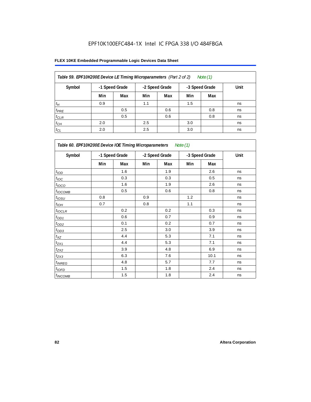| Table 59. EPF10K200E Device LE Timing Microparameters (Part 2 of 2) |     |                |     |                |     | Note (1)       |      |
|---------------------------------------------------------------------|-----|----------------|-----|----------------|-----|----------------|------|
| Symbol                                                              |     | -1 Speed Grade |     | -2 Speed Grade |     | -3 Speed Grade | Unit |
|                                                                     | Min | Max            | Min | Max            | Min | Max            |      |
| $t_H$                                                               | 0.9 |                | 1.1 |                | 1.5 |                | ns   |
| $t_{PRE}$                                                           |     | 0.5            |     | 0.6            |     | 0.8            | ns   |
| $t_{CLR}$                                                           |     | 0.5            |     | 0.6            |     | 0.8            | ns   |
| $t_{CH}$                                                            | 2.0 |                | 2.5 |                | 3.0 |                | ns   |
| $t_{CL}$                                                            | 2.0 |                | 2.5 |                | 3.0 |                | ns   |

| Table 60. EPF10K200E Device IOE Timing Microparameters Note (1) |                |     |                |     |                |      |      |  |  |
|-----------------------------------------------------------------|----------------|-----|----------------|-----|----------------|------|------|--|--|
| Symbol                                                          | -1 Speed Grade |     | -2 Speed Grade |     | -3 Speed Grade |      | Unit |  |  |
|                                                                 | Min            | Max | Min            | Max | Min            | Max  |      |  |  |
| t <sub>IOD</sub>                                                |                | 1.6 |                | 1.9 |                | 2.6  | ns   |  |  |
| $t_{\text{IOC}}$                                                |                | 0.3 |                | 0.3 |                | 0.5  | ns   |  |  |
| $t_{IOCO}$                                                      |                | 1.6 |                | 1.9 |                | 2.6  | ns   |  |  |
| $t_{IOCOMB}$                                                    |                | 0.5 |                | 0.6 |                | 0.8  | ns   |  |  |
| $t_{IOSU}$                                                      | 0.8            |     | 0.9            |     | 1.2            |      | ns   |  |  |
| $t_{IOH}$                                                       | 0.7            |     | 0.8            |     | 1.1            |      | ns   |  |  |
| $t_{IOCLR}$                                                     |                | 0.2 |                | 0.2 |                | 0.3  | ns   |  |  |
| $t_{OD1}$                                                       |                | 0.6 |                | 0.7 |                | 0.9  | ns   |  |  |
| $t_{OD2}$                                                       |                | 0.1 |                | 0.2 |                | 0.7  | ns   |  |  |
| $t_{\underline{OD3}}$                                           |                | 2.5 |                | 3.0 |                | 3.9  | ns   |  |  |
| $t_{\mathsf{XZ}}$                                               |                | 4.4 |                | 5.3 |                | 7.1  | ns   |  |  |
| $t_{ZX1}$                                                       |                | 4.4 |                | 5.3 |                | 7.1  | ns   |  |  |
| $t_{ZX2}$                                                       |                | 3.9 |                | 4.8 |                | 6.9  | ns   |  |  |
| $t_{ZX3}$                                                       |                | 6.3 |                | 7.6 |                | 10.1 | ns   |  |  |
| $t_{INREG}$                                                     |                | 4.8 |                | 5.7 |                | 7.7  | ns   |  |  |
| $t_{IOED}$                                                      |                | 1.5 |                | 1.8 |                | 2.4  | ns   |  |  |
| $t_{INCOMB}$                                                    |                | 1.5 |                | 1.8 |                | 2.4  | ns   |  |  |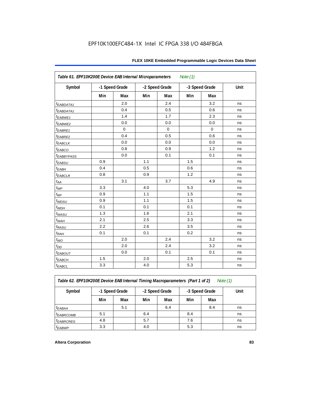| Table 61. EPF10K200E Device EAB Internal Microparameters |     |                |     |                | Note $(1)$ |                |      |
|----------------------------------------------------------|-----|----------------|-----|----------------|------------|----------------|------|
| Symbol                                                   |     | -1 Speed Grade |     | -2 Speed Grade |            | -3 Speed Grade | Unit |
|                                                          | Min | Max            | Min | Max            | Min        | Max            |      |
| <i>EABDATA1</i>                                          |     | 2.0            |     | 2.4            |            | 3.2            | ns   |
| $t_{EABDATA1}$                                           |     | 0.4            |     | 0.5            |            | 0.6            | ns   |
| t <sub>EABWE1</sub>                                      |     | 1.4            |     | 1.7            |            | 2.3            | ns   |
| t <sub>EABWE2</sub>                                      |     | 0.0            |     | 0.0            |            | 0.0            | ns   |
| $t_{EABRE1}$                                             |     | $\mathbf 0$    |     | $\mathbf 0$    |            | $\mathbf 0$    | ns   |
| $t_{EABRE2}$                                             |     | 0.4            |     | 0.5            |            | 0.6            | ns   |
| $t_{EABCLK}$                                             |     | 0.0            |     | 0.0            |            | 0.0            | ns   |
| t <sub>EABCO</sub>                                       |     | 0.8            |     | 0.9            |            | 1.2            | ns   |
| <i><b>EABBYPASS</b></i>                                  |     | 0.0            |     | 0.1            |            | 0.1            | ns   |
| $t_{EABSU}$                                              | 0.9 |                | 1.1 |                | 1.5        |                | ns   |
| t <sub>EABH</sub>                                        | 0.4 |                | 0.5 |                | 0.6        |                | ns   |
| $t_{EABCLR}$                                             | 0.8 |                | 0.9 |                | 1.2        |                | ns   |
| $t_{AA}$                                                 |     | 3.1            |     | 3.7            |            | 4.9            | ns   |
| $t_{WP}$                                                 | 3.3 |                | 4.0 |                | 5.3        |                | ns   |
| $t_{RP}$                                                 | 0.9 |                | 1.1 |                | 1.5        |                | ns   |
| t <sub>WDSU</sub>                                        | 0.9 |                | 1.1 |                | 1.5        |                | ns   |
| $t_{WDH}$                                                | 0.1 |                | 0.1 |                | 0.1        |                | ns   |
| $t_{WASU}$                                               | 1.3 |                | 1.6 |                | 2.1        |                | ns   |
| $t_{WAH}$                                                | 2.1 |                | 2.5 |                | 3.3        |                | ns   |
| t <sub>RASU</sub>                                        | 2.2 |                | 2.6 |                | 3.5        |                | ns   |
| $t_{RAH}$                                                | 0.1 |                | 0.1 |                | 0.2        |                | ns   |
| $t_{WO}$                                                 |     | 2.0            |     | 2.4            |            | 3.2            | ns   |
| $t_{DD}$                                                 |     | 2.0            |     | 2.4            |            | 3.2            | ns   |
| <b><i>EABOUT</i></b>                                     |     | 0.0            |     | 0.1            |            | 0.1            | ns   |
| $t_{EABCH}$                                              | 1.5 |                | 2.0 |                | 2.5        |                | ns   |
| $t_{EABCL}$                                              | 3.3 |                | 4.0 |                | 5.3        |                | ns   |

*Table 62. EPF10K200E Device EAB Internal Timing Macroparameters (Part 1 of 2) Note (1)*

| ) | Note (1) |  |
|---|----------|--|
|   |          |  |

| Symbol                      | -1 Speed Grade |     |     | -2 Speed Grade |     | -3 Speed Grade | Unit |
|-----------------------------|----------------|-----|-----|----------------|-----|----------------|------|
|                             | Min            | Max | Min | Max            | Min | Max            |      |
| $t_{EABA}$                  |                | 5.1 |     | 6.4            |     | 8.4            | ns   |
| <i>t<sub>EABRCOMB</sub></i> | 5.1            |     | 6.4 |                | 8.4 |                | ns   |
| <sup>t</sup> EABRCREG       | 4.8            |     | 5.7 |                | 7.6 |                | ns   |
| <sup>t</sup> EABWP          | 3.3            |     | 4.0 |                | 5.3 |                | ns   |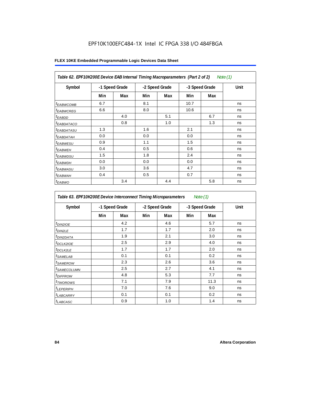| Table 62. EPF10K200E Device EAB Internal Timing Macroparameters (Part 2 of 2) |     |                |     |                |      |                | Note (1) |
|-------------------------------------------------------------------------------|-----|----------------|-----|----------------|------|----------------|----------|
| Symbol                                                                        |     | -1 Speed Grade |     | -2 Speed Grade |      | -3 Speed Grade | Unit     |
|                                                                               | Min | Max            | Min | Max            | Min  | Max            |          |
| <b><i>EABWCOMB</i></b>                                                        | 6.7 |                | 8.1 |                | 10.7 |                | ns       |
| <sup>t</sup> EABWCREG                                                         | 6.6 |                | 8.0 |                | 10.6 |                | ns       |
| <sup>t</sup> EABDD                                                            |     | 4.0            |     | 5.1            |      | 6.7            | ns       |
| <sup>t</sup> EABDATACO                                                        |     | 0.8            |     | 1.0            |      | 1.3            | ns       |
| <sup>t</sup> EABDATASU                                                        | 1.3 |                | 1.6 |                | 2.1  |                | ns       |
| <sup>t</sup> EABDATAH                                                         | 0.0 |                | 0.0 |                | 0.0  |                | ns       |
| <sup>t</sup> EABWESU                                                          | 0.9 |                | 1.1 |                | 1.5  |                | ns       |
| <sup>t</sup> EABWEH                                                           | 0.4 |                | 0.5 |                | 0.6  |                | ns       |
| <sup>t</sup> EABWDSU                                                          | 1.5 |                | 1.8 |                | 2.4  |                | ns       |
| <sup>t</sup> EABWDH                                                           | 0.0 |                | 0.0 |                | 0.0  |                | ns       |
| <sup>t</sup> EABWASU                                                          | 3.0 |                | 3.6 |                | 4.7  |                | ns       |
| <sup>t</sup> EABWAH                                                           | 0.4 |                | 0.5 |                | 0.7  |                | ns       |
| <sup>t</sup> EABWO                                                            |     | 3.4            |     | 4.4            |      | 5.8            | ns       |

|                         | Table 63. EPF10K200E Device Interconnect Timing Microparameters<br>Note $(1)$ |                |     |                |     |                |      |  |  |
|-------------------------|-------------------------------------------------------------------------------|----------------|-----|----------------|-----|----------------|------|--|--|
| Symbol                  |                                                                               | -1 Speed Grade |     | -2 Speed Grade |     | -3 Speed Grade | Unit |  |  |
|                         | Min                                                                           | Max            | Min | Max            | Min | Max            |      |  |  |
| t <sub>DIN2IOE</sub>    |                                                                               | 4.2            |     | 4.6            |     | 5.7            | ns   |  |  |
| t <sub>DIN2LE</sub>     |                                                                               | 1.7            |     | 1.7            |     | 2.0            | ns   |  |  |
| <sup>t</sup> DIN2DATA   |                                                                               | 1.9            |     | 2.1            |     | 3.0            | ns   |  |  |
| <sup>t</sup> DCLK2IOE   |                                                                               | 2.5            |     | 2.9            |     | 4.0            | ns   |  |  |
| <sup>t</sup> DCLK2LE    |                                                                               | 1.7            |     | 1.7            |     | 2.0            | ns   |  |  |
| <sup>t</sup> SAMELAB    |                                                                               | 0.1            |     | 0.1            |     | 0.2            | ns   |  |  |
| <sup>t</sup> SAMEROW    |                                                                               | 2.3            |     | 2.6            |     | 3.6            | ns   |  |  |
| <sup>t</sup> SAMECOLUMN |                                                                               | 2.5            |     | 2.7            |     | 4.1            | ns   |  |  |
| <sup>t</sup> DIFFROW    |                                                                               | 4.8            |     | 5.3            |     | 7.7            | ns   |  |  |
| t <sub>TWOROWS</sub>    |                                                                               | 7.1            |     | 7.9            |     | 11.3           | ns   |  |  |
| <sup>t</sup> LEPERIPH   |                                                                               | 7.0            |     | 7.6            |     | 9.0            | ns   |  |  |
| <sup>t</sup> LABCARRY   |                                                                               | 0.1            |     | 0.1            |     | 0.2            | ns   |  |  |
| t <sub>LABCASC</sub>    |                                                                               | 0.9            |     | 1.0            |     | 1.4            | ns   |  |  |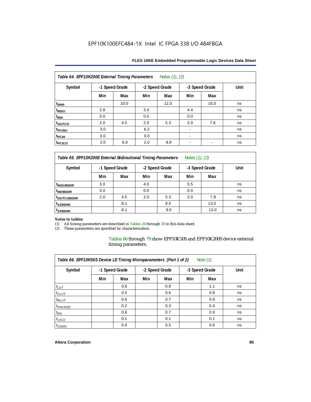| Notes (1), (2)<br>Table 64. EPF10K200E External Timing Parameters |                |      |     |                |     |                          |      |
|-------------------------------------------------------------------|----------------|------|-----|----------------|-----|--------------------------|------|
| Symbol                                                            | -1 Speed Grade |      |     | -2 Speed Grade |     | -3 Speed Grade           | Unit |
|                                                                   | Min            | Max  | Min | Max            | Min | Max                      |      |
| t <sub>DRR</sub>                                                  |                | 10.0 |     | 12.0           |     | 16.0                     | ns   |
| t <sub>INSU</sub>                                                 | 2.8            |      | 3.4 |                | 4.4 |                          | ns   |
| $t_{\text{INH}}$                                                  | 0.0            |      | 0.0 |                | 0.0 |                          | ns   |
| toutco                                                            | 2.0            | 4.5  | 2.0 | 5.3            | 2.0 | 7.8                      | ns   |
| <sup>t</sup> PCISU                                                | 3.0            |      | 6.2 |                |     |                          | ns   |
| t <sub>PCIH</sub>                                                 | 0.0            |      | 0.0 |                |     |                          | ns   |
| t <sub>PCICO</sub>                                                | 2.0            | 6.0  | 2.0 | 8.9            | -   | $\overline{\phantom{a}}$ | ns   |

*Table 65. EPF10K200E External Bidirectional Timing Parameters Notes (1), (2)*

| Symbol                  | -1 Speed Grade |     |     | -2 Speed Grade |     | -3 Speed Grade | Unit |
|-------------------------|----------------|-----|-----|----------------|-----|----------------|------|
|                         | Min            | Max | Min | Max            | Min | Max            |      |
| <sup>t</sup> INSUBIDIR  | 3.0            |     | 4.0 |                | 5.5 |                | ns   |
| <sup>t</sup> INHBIDIR   | 0.0            |     | 0.0 |                | 0.0 |                | ns   |
| <sup>T</sup> OUTCOBIDIR | 2.0            | 4.5 | 2.0 | 5.3            | 2.0 | 7.8            | ns   |
| <sup>t</sup> xzbidir    |                | 8.1 |     | 9.5            |     | 13.0           | ns   |
| <sup>T</sup> ZXBIDIR    |                | 8.1 |     | 9.5            |     | 13.0           | ns   |

# *Notes to tables:*

(1) All timing parameters are described in Tables 24 through 30 in this data sheet.<br>(2) These parameters are specified by characterization.

These parameters are specified by characterization.

Tables 66 through 79 show EPF10K50S and EPF10K200S device external timing parameters.

| Table 66. EPF10K50S Device LE Timing Microparameters (Part 1 of 2) |     |                |     |                |                | Note $(1)$ |      |
|--------------------------------------------------------------------|-----|----------------|-----|----------------|----------------|------------|------|
| Symbol                                                             |     | -1 Speed Grade |     | -2 Speed Grade | -3 Speed Grade |            | Unit |
|                                                                    | Min | Max            | Min | Max            | Min            | Max        |      |
| $t_{LUT}$                                                          |     | 0.6            |     | 0.8            |                | 1.1        | ns   |
| $t_{CLUT}$                                                         |     | 0.5            |     | 0.6            |                | 0.8        | ns   |
| $t_{RLUT}$                                                         |     | 0.6            |     | 0.7            |                | 0.9        | ns   |
| t <sub>PACKED</sub>                                                |     | 0.2            |     | 0.3            |                | 0.4        | ns   |
| $t_{EN}$                                                           |     | 0.6            |     | 0.7            |                | 0.9        | ns   |
| $t_{CICO}$                                                         |     | 0.1            |     | 0.1            |                | 0.1        | ns   |
| $t_{GEN}$                                                          |     | 0.4            |     | 0.5            |                | 0.6        | ns   |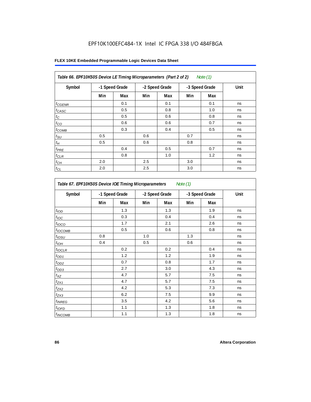|              | Table 66. EPF10K50S Device LE Timing Microparameters (Part 2 of 2)<br>Note (1) |                |     |                |     |                |      |  |
|--------------|--------------------------------------------------------------------------------|----------------|-----|----------------|-----|----------------|------|--|
| Symbol       |                                                                                | -1 Speed Grade |     | -2 Speed Grade |     | -3 Speed Grade | Unit |  |
|              | Min                                                                            | Max            | Min | Max            | Min | Max            |      |  |
| $t_{GENR}$   |                                                                                | 0.1            |     | 0.1            |     | 0.1            | ns   |  |
| $t_{CASC}$   |                                                                                | 0.5            |     | 0.8            |     | 1.0            | ns   |  |
| $t_C$        |                                                                                | 0.5            |     | 0.6            |     | 0.8            | ns   |  |
| $t_{\rm CO}$ |                                                                                | 0.6            |     | 0.6            |     | 0.7            | ns   |  |
| $t_{COMB}$   |                                                                                | 0.3            |     | 0.4            |     | 0.5            | ns   |  |
| $t_{\rm SU}$ | 0.5                                                                            |                | 0.6 |                | 0.7 |                | ns   |  |
| $t_H\,$      | 0.5                                                                            |                | 0.6 |                | 0.8 |                | ns   |  |
| $t_{PRE}$    |                                                                                | 0.4            |     | 0.5            |     | 0.7            | ns   |  |
| $t_{CLR}$    |                                                                                | 0.8            |     | 1.0            |     | 1.2            | ns   |  |
| $t_{CH}$     | 2.0                                                                            |                | 2.5 |                | 3.0 |                | ns   |  |
| $t_{\rm CL}$ | 2.0                                                                            |                | 2.5 |                | 3.0 |                | ns   |  |

| Table 67. EPF10K50S Device IOE Timing Microparameters<br>Note $(1)$ |                |     |                |     |                |     |      |  |
|---------------------------------------------------------------------|----------------|-----|----------------|-----|----------------|-----|------|--|
| Symbol                                                              | -1 Speed Grade |     | -2 Speed Grade |     | -3 Speed Grade |     | Unit |  |
|                                                                     | Min            | Max | Min            | Max | Min            | Max |      |  |
| t <sub>IOD</sub>                                                    |                | 1.3 |                | 1.3 |                | 1.9 | ns   |  |
| $t_{\text{IOC}}$                                                    |                | 0.3 |                | 0.4 |                | 0.4 | ns   |  |
| $t_{IOCO}$                                                          |                | 1.7 |                | 2.1 |                | 2.6 | ns   |  |
| $t_{\text{IOCOMB}}$                                                 |                | 0.5 |                | 0.6 |                | 0.8 | ns   |  |
| $t_{IOSU}$                                                          | 0.8            |     | 1.0            |     | 1.3            |     | ns   |  |
| $t_{IOH}$                                                           | 0.4            |     | 0.5            |     | 0.6            |     | ns   |  |
| $t_{IOCLR}$                                                         |                | 0.2 |                | 0.2 |                | 0.4 | ns   |  |
| $t_{OD1}$                                                           |                | 1.2 |                | 1.2 |                | 1.9 | ns   |  |
| $t_{OD2}$                                                           |                | 0.7 |                | 0.8 |                | 1.7 | ns   |  |
| $t_{OD3}$                                                           |                | 2.7 |                | 3.0 |                | 4.3 | ns   |  |
| $t_{\mathsf{XZ}}$                                                   |                | 4.7 |                | 5.7 |                | 7.5 | ns   |  |
| $t_{ZX1}$                                                           |                | 4.7 |                | 5.7 |                | 7.5 | ns   |  |
| $t_{ZX2}$                                                           |                | 4.2 |                | 5.3 |                | 7.3 | ns   |  |
| $t_{ZX3}$                                                           |                | 6.2 |                | 7.5 |                | 9.9 | ns   |  |
| $t_{INREG}$                                                         |                | 3.5 |                | 4.2 |                | 5.6 | ns   |  |
| $t_{IOED}$                                                          |                | 1.1 |                | 1.3 |                | 1.8 | ns   |  |
| $t_{INCOMB}$                                                        |                | 1.1 |                | 1.3 |                | 1.8 | ns   |  |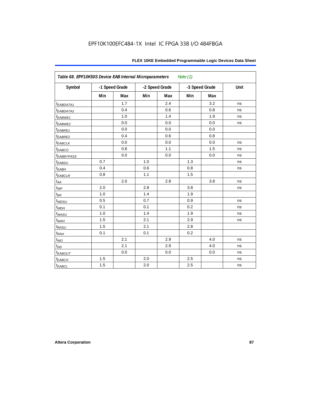| Symbol                 | -1 Speed Grade |     | -2 Speed Grade |     | -3 Speed Grade |     | Unit |
|------------------------|----------------|-----|----------------|-----|----------------|-----|------|
|                        | Min            | Max | Min            | Max | Min            | Max |      |
| $t_{EABDATA1}$         |                | 1.7 |                | 2.4 |                | 3.2 | ns   |
| t <sub>EABDATA2</sub>  |                | 0.4 |                | 0.6 |                | 0.8 | ns   |
| t <sub>EABWE1</sub>    |                | 1.0 |                | 1.4 |                | 1.9 | ns   |
| $t_{EABWE2}$           |                | 0.0 |                | 0.0 |                | 0.0 | ns   |
| $t_{EABRE1}$           |                | 0.0 |                | 0.0 |                | 0.0 |      |
| $t_{EABRE2}$           |                | 0.4 |                | 0.6 |                | 0.8 |      |
| <b><i>EABCLK</i></b>   |                | 0.0 |                | 0.0 |                | 0.0 | ns   |
| $t_{EABCO}$            |                | 0.8 |                | 1.1 |                | 1.5 | ns   |
| t <sub>EABBYPASS</sub> |                | 0.0 |                | 0.0 |                | 0.0 | ns   |
| $t_{EABSU}$            | 0.7            |     | 1.0            |     | 1.3            |     | ns   |
| $t_{EABH}$             | 0.4            |     | 0.6            |     | 0.8            |     | ns   |
| $t_{EABCLR}$           | 0.8            |     | 1.1            |     | 1.5            |     |      |
| $t_{AA}$               |                | 2.0 |                | 2.8 |                | 3.8 | ns   |
| $t_{WP}$               | 2.0            |     | 2.8            |     | 3.8            |     | ns   |
| $t_{\mathsf{RP}}$      | 1.0            |     | 1.4            |     | 1.9            |     |      |
| $t_{WDSU}$             | 0.5            |     | 0.7            |     | 0.9            |     | ns   |
| $t_{WDH}$              | 0.1            |     | 0.1            |     | 0.2            |     | ns   |
| $t_{WASU}$             | 1.0            |     | 1.4            |     | 1.9            |     | ns   |
| $t_{WAH}$              | 1.5            |     | 2.1            |     | 2.9            |     | ns   |
| $t_{RASU}$             | 1.5            |     | 2.1            |     | 2.8            |     |      |
| $t_{RAH}$              | 0.1            |     | 0.1            |     | 0.2            |     |      |
| $t_{WO}$               |                | 2.1 |                | 2.9 |                | 4.0 | ns   |
| $t_{DD}$               |                | 2.1 |                | 2.9 |                | 4.0 | ns   |
| $t_{EABOUT}$           |                | 0.0 |                | 0.0 |                | 0.0 | ns   |
| $t_{EABCH}$            | 1.5            |     | 2.0            |     | 2.5            |     | ns   |
| $t_{EABCL}$            | 1.5            |     | 2.0            |     | 2.5            |     | ns   |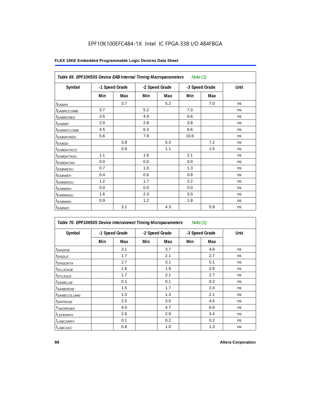| Table 69. EPF10K50S Device EAB Internal Timing Macroparameters |                |     |                |     | Note $(1)$     |     |      |
|----------------------------------------------------------------|----------------|-----|----------------|-----|----------------|-----|------|
| Symbol                                                         | -1 Speed Grade |     | -2 Speed Grade |     | -3 Speed Grade |     | Unit |
|                                                                | Min            | Max | Min            | Max | Min            | Max |      |
| $t_{EABA}$                                                     |                | 3.7 |                | 5.2 |                | 7.0 | ns   |
| t <sub>EABRCCOMB</sub>                                         | 3.7            |     | 5.2            |     | 7.0            |     | ns   |
| <i><b>tEABRCREG</b></i>                                        | 3.5            |     | 4.9            |     | 6.6            |     | ns   |
| $t_{EABWP}$                                                    | 2.0            |     | 2.8            |     | 3.8            |     | ns   |
| <sup>t</sup> EABWCCOMB                                         | 4.5            |     | 6.3            |     | 8.6            |     | ns   |
| t <sub>EABWCREG</sub>                                          | 5.6            |     | 7.8            |     | 10.6           |     | ns   |
| $t_{EABDD}$                                                    |                | 3.8 |                | 5.3 |                | 7.2 | ns   |
| <sup>t</sup> EABDATACO                                         |                | 0.8 |                | 1.1 |                | 1.5 | ns   |
| <i>t<sub>EABDATASU</sub></i>                                   | 1.1            |     | 1.6            |     | 2.1            |     | ns   |
| t <sub>EABDATAH</sub>                                          | 0.0            |     | 0.0            |     | 0.0            |     | ns   |
| <sup>t</sup> EABWESU                                           | 0.7            |     | 1.0            |     | 1.3            |     | ns   |
| $t_{EABWEH}$                                                   | 0.4            |     | 0.6            |     | 0.8            |     | ns   |
| t <sub>EABWDSU</sub>                                           | 1.2            |     | 1.7            |     | 2.2            |     | ns   |
| <sup>t</sup> EABWDH                                            | 0.0            |     | 0.0            |     | 0.0            |     | ns   |
| t <sub>EABWASU</sub>                                           | 1.6            |     | 2.3            |     | 3.0            |     | ns   |
| <sup>t</sup> EABWAH                                            | 0.9            |     | 1.2            |     | 1.8            |     | ns   |
| $t_{EABWO}$                                                    |                | 3.1 |                | 4.3 |                | 5.9 | ns   |

| Table 70. EPF10K50S Device Interconnect Timing Microparameters<br>Note $(1)$ |     |                |     |                |     |                |      |  |  |  |
|------------------------------------------------------------------------------|-----|----------------|-----|----------------|-----|----------------|------|--|--|--|
| Symbol                                                                       |     | -1 Speed Grade |     | -2 Speed Grade |     | -3 Speed Grade | Unit |  |  |  |
|                                                                              | Min | Max            | Min | Max            | Min | Max            |      |  |  |  |
| t <sub>DIN2IOE</sub>                                                         |     | 3.1            |     | 3.7            |     | 4.6            | ns   |  |  |  |
| <sup>t</sup> DIN2LE                                                          |     | 1.7            |     | 2.1            |     | 2.7            | ns   |  |  |  |
| <sup>t</sup> DIN2DATA                                                        |     | 2.7            |     | 3.1            |     | 5.1            | ns   |  |  |  |
| <sup>t</sup> DCLK2IOE                                                        |     | 1.6            |     | 1.9            |     | 2.6            | ns   |  |  |  |
| <sup>t</sup> DCLK2LE                                                         |     | 1.7            |     | 2.1            |     | 2.7            | ns   |  |  |  |
| <sup>t</sup> SAMELAB                                                         |     | 0.1            |     | 0.1            |     | 0.2            | ns   |  |  |  |
| <sup>t</sup> SAMEROW                                                         |     | 1.5            |     | 1.7            |     | 2.4            | ns   |  |  |  |
| <sup>t</sup> SAMECOLUMN                                                      |     | 1.0            |     | 1.3            |     | 2.1            | ns   |  |  |  |
| <i>t<sub>DIFFROW</sub></i>                                                   |     | 2.5            |     | 3.0            |     | 4.5            | ns   |  |  |  |
| <sup>t</sup> TWOROWS                                                         |     | 4.0            |     | 4.7            |     | 6.9            | ns   |  |  |  |
| <sup>t</sup> LEPERIPH                                                        |     | 2.6            |     | 2.9            |     | 3.4            | ns   |  |  |  |
| <b>LABCARRY</b>                                                              |     | 0.1            |     | 0.2            |     | 0.2            | ns   |  |  |  |
| <sup>t</sup> LABCASC                                                         |     | 0.8            |     | 1.0            |     | 1.3            | ns   |  |  |  |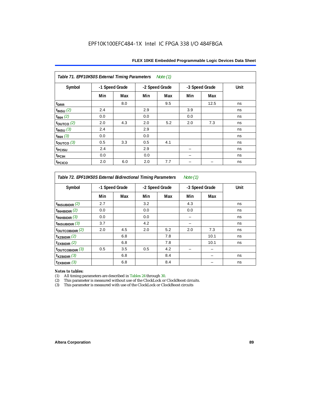| Table 71. EPF10K50S External Timing Parameters<br>Note (1) |                |     |     |                |     |                |      |  |  |  |  |
|------------------------------------------------------------|----------------|-----|-----|----------------|-----|----------------|------|--|--|--|--|
| Symbol                                                     | -1 Speed Grade |     |     | -2 Speed Grade |     | -3 Speed Grade | Unit |  |  |  |  |
|                                                            | Min            | Max | Min | Max            | Min | Max            |      |  |  |  |  |
| t <sub>DRR</sub>                                           |                | 8.0 |     | 9.5            |     | 12.5           | ns   |  |  |  |  |
| $t_{INSU}$ (2)                                             | 2.4            |     | 2.9 |                | 3.9 |                | ns   |  |  |  |  |
| $t_{INH}$ (2)                                              | 0.0            |     | 0.0 |                | 0.0 |                | ns   |  |  |  |  |
| $\tan 2$                                                   | 2.0            | 4.3 | 2.0 | 5.2            | 2.0 | 7.3            | ns   |  |  |  |  |
| $t_{INSU}$ (3)                                             | 2.4            |     | 2.9 |                |     |                | ns   |  |  |  |  |
| $t_{INH}$ (3)                                              | 0.0            |     | 0.0 |                |     |                | ns   |  |  |  |  |
| toutco $(3)$                                               | 0.5            | 3.3 | 0.5 | 4.1            |     |                | ns   |  |  |  |  |
| t <sub>PCISU</sub>                                         | 2.4            |     | 2.9 |                |     |                | ns   |  |  |  |  |
| t <sub>PCIH</sub>                                          | 0.0            |     | 0.0 |                |     |                | ns   |  |  |  |  |
| t <sub>PCICO</sub>                                         | 2.0            | 6.0 | 2.0 | 7.7            |     |                | ns   |  |  |  |  |

*Table 72. EPF10K50S External Bidirectional Timing Parameters Note (1)*

| Symbol              | -1 Speed Grade |     | -2 Speed Grade |     | -3 Speed Grade |      | Unit |
|---------------------|----------------|-----|----------------|-----|----------------|------|------|
|                     | Min            | Max | Min            | Max | Min            | Max  |      |
| $t_{INSUBIDIR}$ (2) | 2.7            |     | 3.2            |     | 4.3            |      | ns   |
| $t_{INHBIDIR}$ (2)  | 0.0            |     | 0.0            |     | 0.0            |      | ns   |
| $t_{INHBIDIR}$ (3)  | 0.0            |     | 0.0            |     |                |      | ns   |
| $t_{INSUBIDIR}$ (3) | 3.7            |     | 4.2            |     |                |      | ns   |
| toutcobidir $(2)$   | 2.0            | 4.5 | 2.0            | 5.2 | 2.0            | 7.3  | ns   |
| $t_{XZBIDIR}$ (2)   |                | 6.8 |                | 7.8 |                | 10.1 | ns   |
| $t_{ZXBIDIR}$ (2)   |                | 6.8 |                | 7.8 |                | 10.1 | ns   |
| toutcobidir $(3)$   | 0.5            | 3.5 | 0.5            | 4.2 |                |      |      |
| $t_{XZBIDIR}$ (3)   |                | 6.8 |                | 8.4 |                |      | ns   |
| $t_{ZXBIDIR}$ (3)   |                | 6.8 |                | 8.4 |                |      | ns   |

*Notes to tables:* All timing parameters are described in Tables 24 through 30.

(2) This parameter is measured without use of the ClockLock or ClockBoost circuits.<br>(3) This parameter is measured with use of the ClockLock or ClockBoost circuits

This parameter is measured with use of the ClockLock or ClockBoost circuits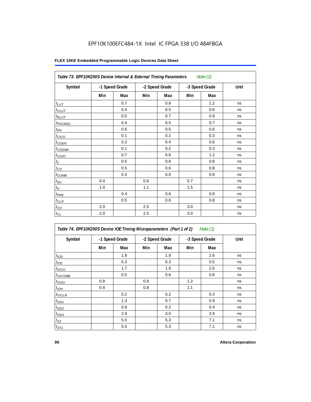|                     | Table 73. EPF10K200S Device Internal & External Timing Parameters<br>Note $(1)$ |                |     |                |     |                |      |  |  |  |  |
|---------------------|---------------------------------------------------------------------------------|----------------|-----|----------------|-----|----------------|------|--|--|--|--|
| Symbol              |                                                                                 | -1 Speed Grade |     | -2 Speed Grade |     | -3 Speed Grade | Unit |  |  |  |  |
|                     | Min                                                                             | Max            | Min | Max            | Min | Max            |      |  |  |  |  |
| $t_{LUT}$           |                                                                                 | 0.7            |     | 0.8            |     | 1.2            | ns   |  |  |  |  |
| $t_{CLUT}$          |                                                                                 | 0.4            |     | 0.5            |     | 0.6            | ns   |  |  |  |  |
| $t_{RLUT}$          |                                                                                 | 0.5            |     | 0.7            |     | 0.9            | ns   |  |  |  |  |
| t <sub>PACKED</sub> |                                                                                 | 0.4            |     | 0.5            |     | 0.7            | ns   |  |  |  |  |
| $t_{EN}$            |                                                                                 | 0.6            |     | 0.5            |     | 0.6            | ns   |  |  |  |  |
| $t_{CICO}$          |                                                                                 | 0.1            |     | 0.2            |     | 0.3            | ns   |  |  |  |  |
| $t_{GEN}$           |                                                                                 | 0.3            |     | 0.4            |     | 0.6            | ns   |  |  |  |  |
| $t_{\text{GENR}}$   |                                                                                 | 0.1            |     | 0.2            |     | 0.3            | ns   |  |  |  |  |
| $t_{CASC}$          |                                                                                 | 0.7            |     | 0.8            |     | 1.2            | ns   |  |  |  |  |
| $t_{\rm C}$         |                                                                                 | 0.5            |     | 0.6            |     | 0.8            | ns   |  |  |  |  |
| $t_{CO}$            |                                                                                 | 0.5            |     | 0.6            |     | 0.8            | ns   |  |  |  |  |
| $t_{COMB}$          |                                                                                 | 0.3            |     | 0.6            |     | 0.8            | ns   |  |  |  |  |
| $t_{\rm SU}$        | 0.4                                                                             |                | 0.6 |                | 0.7 |                | ns   |  |  |  |  |
| $t_H\,$             | 1.0                                                                             |                | 1.1 |                | 1.5 |                | ns   |  |  |  |  |
| $t_{PRE}$           |                                                                                 | 0.4            |     | 0.6            |     | 0.8            | ns   |  |  |  |  |
| $t_{CLR}$           |                                                                                 | 0.5            |     | 0.6            |     | 0.8            | ns   |  |  |  |  |
| $t_{CH}$            | 2.0                                                                             |                | 2.5 |                | 3.0 |                | ns   |  |  |  |  |
| $t_{CL}$            | 2.0                                                                             |                | 2.5 |                | 3.0 |                | ns   |  |  |  |  |

| Table 74. EPF10K200S Device IOE Timing Microparameters (Part 1 of 2) Note (1) |  |  |  |
|-------------------------------------------------------------------------------|--|--|--|
|-------------------------------------------------------------------------------|--|--|--|

| Symbol              | -1 Speed Grade |     |     | -2 Speed Grade | -3 Speed Grade |     | Unit |
|---------------------|----------------|-----|-----|----------------|----------------|-----|------|
|                     | Min            | Max | Min | Max            | Min            | Max |      |
| t <sub>IOD</sub>    |                | 1.8 |     | 1.9            |                | 2.6 | ns   |
| $t_{\text{IOC}}$    |                | 0.3 |     | 0.3            |                | 0.5 | ns   |
| $t_{IOCO}$          |                | 1.7 |     | 1.9            |                | 2.6 | ns   |
| $t_{\text{IOCOMB}}$ |                | 0.5 |     | 0.6            |                | 0.8 | ns   |
| $t_{IOSU}$          | 0.8            |     | 0.9 |                | 1.2            |     | ns   |
| $t_{IOH}$           | 0.4            |     | 0.8 |                | 1.1            |     | ns   |
| $t_{IOCLR}$         |                | 0.2 |     | 0.2            |                | 0.3 | ns   |
| $t_{OD1}$           |                | 1.3 |     | 0.7            |                | 0.9 | ns   |
| $t_{OD2}$           |                | 0.8 |     | 0.2            |                | 0.4 | ns   |
| $t_{OD3}$           |                | 2.9 |     | 3.0            |                | 3.9 | ns   |
| $t_{XZ}$            |                | 5.0 |     | 5.3            |                | 7.1 | ns   |
| $t_{ZX1}$           |                | 5.0 |     | 5.3            |                | 7.1 | ns   |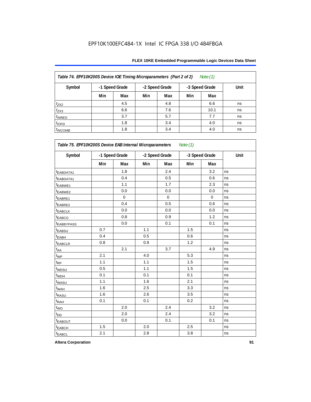| Table 74. EPF10K200S Device IOE Timing Microparameters (Part 2 of 2)<br>Note $(1)$ |     |                |                |     |                |      |      |  |  |  |  |
|------------------------------------------------------------------------------------|-----|----------------|----------------|-----|----------------|------|------|--|--|--|--|
| Symbol                                                                             |     | -1 Speed Grade | -2 Speed Grade |     | -3 Speed Grade |      | Unit |  |  |  |  |
|                                                                                    | Min | Max            | Min            | Max | Min            | Max  |      |  |  |  |  |
| $t_{ZX2}$                                                                          |     | 4.5            |                | 4.8 |                | 6.6  | ns   |  |  |  |  |
| $t_{ZX3}$                                                                          |     | 6.6            |                | 7.6 |                | 10.1 | ns   |  |  |  |  |
| $t_{INREG}$                                                                        |     | 3.7            |                | 5.7 |                | 7.7  | ns   |  |  |  |  |
| $t_{IOFD}$                                                                         |     | 1.8            |                | 3.4 |                | 4.0  | ns   |  |  |  |  |
| $t_{INCOMB}$                                                                       |     | 1.8            |                | 3.4 |                | 4.0  | ns   |  |  |  |  |

| Symbol                  |     | -1 Speed Grade |     | -2 Speed Grade | -3 Speed Grade |             | Unit |
|-------------------------|-----|----------------|-----|----------------|----------------|-------------|------|
|                         | Min | Max            | Min | Max            | Min            | Max         |      |
| <sup>t</sup> EABDATA1   |     | 1.8            |     | 2.4            |                | 3.2         | ns   |
| <sup>t</sup> EABDATA1   |     | 0.4            |     | 0.5            |                | 0.6         | ns   |
| t <sub>EABWE1</sub>     |     | 1.1            |     | 1.7            |                | 2.3         | ns   |
| t <sub>EABWE2</sub>     |     | 0.0            |     | 0.0            |                | 0.0         | ns   |
| t <sub>EABRE1</sub>     |     | $\mathbf 0$    |     | $\mathbf 0$    |                | $\mathbf 0$ | ns   |
| t <sub>EABRE2</sub>     |     | 0.4            |     | 0.5            |                | 0.6         | ns   |
| <sup>t</sup> EABCLK     |     | 0.0            |     | 0.0            |                | 0.0         | ns   |
| t <sub>EABCO</sub>      |     | 0.8            |     | 0.9            |                | 1.2         | ns   |
| <b><i>EABBYPASS</i></b> |     | 0.0            |     | 0.1            |                | 0.1         | ns   |
| t <sub>EABSU</sub>      | 0.7 |                | 1.1 |                | 1.5            |             | ns   |
| t <sub>EABH</sub>       | 0.4 |                | 0.5 |                | 0.6            |             | ns   |
| t <sub>EABCLR</sub>     | 0.8 |                | 0.9 |                | 1.2            |             | ns   |
| $t_{A\underline{A}}$    |     | 2.1            |     | 3.7            |                | 4.9         | ns   |
| $t_{WP}$                | 2.1 |                | 4.0 |                | 5.3            |             | ns   |
| t <sub>RP</sub>         | 1.1 |                | 1.1 |                | 1.5            |             | ns   |
| t <sub>WDSU</sub>       | 0.5 |                | 1.1 |                | 1.5            |             | ns   |
| t <sub>WDH</sub>        | 0.1 |                | 0.1 |                | 0.1            |             | ns   |
| t <sub>WASU</sub>       | 1.1 |                | 1.6 |                | 2.1            |             | ns   |
| t <sub>WAH</sub>        | 1.6 |                | 2.5 |                | 3.3            |             | ns   |
| t <sub>RASU</sub>       | 1.6 |                | 2.6 |                | 3.5            |             | ns   |
| t <sub>RAH</sub>        | 0.1 |                | 0.1 |                | 0.2            |             | ns   |
| $t_{\text{WO}}$         |     | 2.0            |     | 2.4            |                | 3.2         | ns   |
| $t_{DD}$                |     | 2.0            |     | 2.4            |                | 3.2         | ns   |
| <b><i>EABOUT</i></b>    |     | 0.0            |     | 0.1            |                | 0.1         | ns   |
| t <sub>EABCH</sub>      | 1.5 |                | 2.0 |                | 2.5            |             | ns   |
| t <sub>EABCL</sub>      | 2.1 |                | 2.8 |                | 3.8            |             | ns   |

**Altera Corporation 91**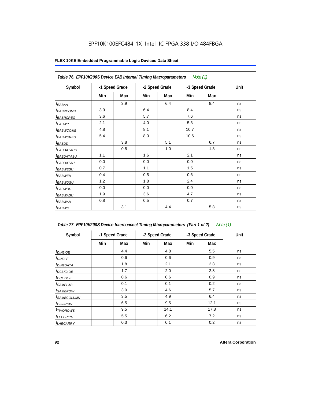|                              | Table 76. EPF10K200S Device EAB Internal Timing Macroparameters Note (1) |     |                |     |                |     |      |  |  |  |  |
|------------------------------|--------------------------------------------------------------------------|-----|----------------|-----|----------------|-----|------|--|--|--|--|
| Symbol                       | -1 Speed Grade                                                           |     | -2 Speed Grade |     | -3 Speed Grade |     | Unit |  |  |  |  |
|                              | Min                                                                      | Max | Min            | Max | Min            | Max |      |  |  |  |  |
| $t_{EABA}$                   |                                                                          | 3.9 |                | 6.4 |                | 8.4 | ns   |  |  |  |  |
| t <sub>EABRCOMB</sub>        | 3.9                                                                      |     | 6.4            |     | 8.4            |     | ns   |  |  |  |  |
| <sup>t</sup> EABRCREG        | 3.6                                                                      |     | 5.7            |     | 7.6            |     | ns   |  |  |  |  |
| <sup>t</sup> EABWP           | 2.1                                                                      |     | 4.0            |     | 5.3            |     | ns   |  |  |  |  |
| <sup>t</sup> EABWCOMB        | 4.8                                                                      |     | 8.1            |     | 10.7           |     | ns   |  |  |  |  |
| t <sub>EABWCREG</sub>        | 5.4                                                                      |     | 8.0            |     | 10.6           |     | ns   |  |  |  |  |
| $t_{EABDD}$                  |                                                                          | 3.8 |                | 5.1 |                | 6.7 | ns   |  |  |  |  |
| <sup>t</sup> EABDATACO       |                                                                          | 0.8 |                | 1.0 |                | 1.3 | ns   |  |  |  |  |
| <i>t<sub>EABDATASU</sub></i> | 1.1                                                                      |     | 1.6            |     | 2.1            |     | ns   |  |  |  |  |
| <sup>t</sup> EABDATAH        | 0.0                                                                      |     | 0.0            |     | 0.0            |     | ns   |  |  |  |  |
| <sup>t</sup> EABWESU         | 0.7                                                                      |     | 1.1            |     | 1.5            |     | ns   |  |  |  |  |
| t <sub>EABWEH</sub>          | 0.4                                                                      |     | 0.5            |     | 0.6            |     | ns   |  |  |  |  |
| <sup>t</sup> EABWDSU         | 1.2                                                                      |     | 1.8            |     | 2.4            |     | ns   |  |  |  |  |
| <sup>t</sup> EABWDH          | 0.0                                                                      |     | 0.0            |     | 0.0            |     | ns   |  |  |  |  |
| <sup>t</sup> EABWASU         | 1.9                                                                      |     | 3.6            |     | 4.7            |     | ns   |  |  |  |  |
| <sup>t</sup> EABWAH          | 0.8                                                                      |     | 0.5            |     | 0.7            |     | ns   |  |  |  |  |
| $t_{EABWO}$                  |                                                                          | 3.1 |                | 4.4 |                | 5.8 | ns   |  |  |  |  |

| Table 77. EPF10K200S Device Interconnect Timing Microparameters (Part 1 of 2)<br>Note (1) |     |                |     |                |     |                |      |  |  |  |
|-------------------------------------------------------------------------------------------|-----|----------------|-----|----------------|-----|----------------|------|--|--|--|
| Symbol                                                                                    |     | -1 Speed Grade |     | -2 Speed Grade |     | -3 Speed Grade | Unit |  |  |  |
|                                                                                           | Min | Max            | Min | Max            | Min | Max            |      |  |  |  |
| <i>t<sub>DIN2IOE</sub></i>                                                                |     | 4.4            |     | 4.8            |     | 5.5            | ns   |  |  |  |
| $t_{DIN2LE}$                                                                              |     | 0.6            |     | 0.6            |     | 0.9            | ns   |  |  |  |
| <sup>t</sup> DIN2DATA                                                                     |     | 1.8            |     | 2.1            |     | 2.8            | ns   |  |  |  |
| <sup>t</sup> DCLK2IOE                                                                     |     | 1.7            |     | 2.0            |     | 2.8            | ns   |  |  |  |
| <sup>t</sup> DCLK2LE                                                                      |     | 0.6            |     | 0.6            |     | 0.9            | ns   |  |  |  |
| <sup>t</sup> SAMELAB                                                                      |     | 0.1            |     | 0.1            |     | 0.2            | ns   |  |  |  |
| <sup>t</sup> SAMEROW                                                                      |     | 3.0            |     | 4.6            |     | 5.7            | ns   |  |  |  |
| <sup>t</sup> SAMECOLUMN                                                                   |     | 3.5            |     | 4.9            |     | 6.4            | ns   |  |  |  |
| <sup>t</sup> DIFFROW                                                                      |     | 6.5            |     | 9.5            |     | 12.1           | ns   |  |  |  |
| <sup>t</sup> TWOROWS                                                                      |     | 9.5            |     | 14.1           |     | 17.8           | ns   |  |  |  |
| <sup>t</sup> LEPERIPH                                                                     |     | 5.5            |     | 6.2            |     | 7.2            | ns   |  |  |  |
| <b><i>LABCARRY</i></b>                                                                    |     | 0.3            |     | 0.1            |     | 0.2            | ns   |  |  |  |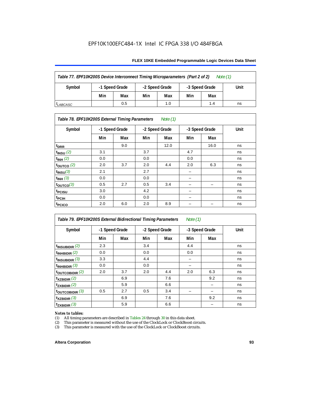### **FLEX 10KE Embedded Programmable Logic Devices Data Sheet**

| Table 77. EPF10K200S Device Interconnect Timing Microparameters (Part 2 of 2)<br>Note $(1)$ |     |                                  |     |                |     |      |    |  |  |  |
|---------------------------------------------------------------------------------------------|-----|----------------------------------|-----|----------------|-----|------|----|--|--|--|
| Symbol                                                                                      |     | -1 Speed Grade<br>-2 Speed Grade |     | -3 Speed Grade |     | Unit |    |  |  |  |
|                                                                                             | Min | Max                              | Min | Max            | Min | Max  |    |  |  |  |
| <sup>I</sup> LABCASC                                                                        |     | 0.5                              |     | 1.0            |     | 1.4  | ns |  |  |  |

### *Table 78. EPF10K200S External Timing Parameters Note (1)*

| Symbol                    |     | -1 Speed Grade |     | -2 Speed Grade |                          | -3 Speed Grade | Unit |
|---------------------------|-----|----------------|-----|----------------|--------------------------|----------------|------|
|                           | Min | Max            | Min | Max            | Min                      | Max            |      |
| t <sub>DRR</sub>          |     | 9.0            |     | 12.0           |                          | 16.0           | ns   |
| $t$ <sub>INSU</sub> $(2)$ | 3.1 |                | 3.7 |                | 4.7                      |                | ns   |
| $t_{INH}$ (2)             | 0.0 |                | 0.0 |                | 0.0                      |                | ns   |
| $t_{\text{OUTCO}}(2)$     | 2.0 | 3.7            | 2.0 | 4.4            | 2.0                      | 6.3            | ns   |
| $t_{INSU}(3)$             | 2.1 |                | 2.7 |                |                          |                | ns   |
| $t_{INH}$ (3)             | 0.0 |                | 0.0 |                | -                        |                | ns   |
| $t_{OUTCO}(3)$            | 0.5 | 2.7            | 0.5 | 3.4            | -                        | -              | ns   |
| <sup>t</sup> PCISU        | 3.0 |                | 4.2 |                | -                        |                | ns   |
| <sup>t</sup> PCIH         | 0.0 |                | 0.0 |                | $\overline{\phantom{0}}$ |                | ns   |
| t <sub>PCICO</sub>        | 2.0 | 6.0            | 2.0 | 8.9            |                          |                | ns   |

| Table 79. EPF10K200S External Bidirectional Timing Parameters<br>Note $(1)$ |                |     |                |     |                |     |      |
|-----------------------------------------------------------------------------|----------------|-----|----------------|-----|----------------|-----|------|
| Symbol                                                                      | -1 Speed Grade |     | -2 Speed Grade |     | -3 Speed Grade |     | Unit |
|                                                                             | Min            | Max | Min            | Max | Min            | Max |      |
| $t_{\text{INSUBIDIR}}(2)$                                                   | 2.3            |     | 3.4            |     | 4.4            |     | ns   |
| $t_{INHBIDIR}$ (2)                                                          | 0.0            |     | 0.0            |     | 0.0            |     | ns   |
| $t_{INSUBIDIR}$ (3)                                                         | 3.3            |     | 4.4            |     |                |     | ns   |
| $t_{INHBIDIR}$ (3)                                                          | 0.0            |     | 0.0            |     |                |     | ns   |
| toutcobidir $(2)$                                                           | 2.0            | 3.7 | 2.0            | 4.4 | 2.0            | 6.3 | ns   |
| $t_{XZBIDIR}$ (2)                                                           |                | 6.9 |                | 7.6 |                | 9.2 | ns   |
| $t_{ZXBIDIR}$ (2)                                                           |                | 5.9 |                | 6.6 |                |     | ns   |
| $t_{\text{OUTC}OBIDIR}$ (3)                                                 | 0.5            | 2.7 | 0.5            | 3.4 |                |     | ns   |
| $t_{XZBIDIR}$ (3)                                                           |                | 6.9 |                | 7.6 |                | 9.2 | ns   |
| $t_{ZXBIDIR}$ (3)                                                           |                | 5.9 |                | 6.6 |                |     | ns   |

# *Notes to tables:*<br>(1) All timing p

(1) All timing parameters are described in Tables  $24$  through  $30$  in this data sheet.<br>
(2) This parameter is measured without the use of the ClockLock or ClockBoost ci

(2) This parameter is measured without the use of the ClockLock or ClockBoost circuits.<br>(3) This parameter is measured with the use of the ClockLock or ClockBoost circuits.

This parameter is measured with the use of the ClockLock or ClockBoost circuits.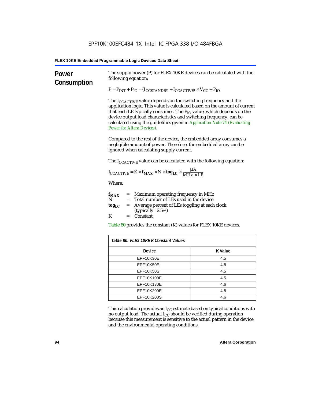| Power<br>Consumption | The supply power (P) for FLEX 10KE devices can be calculated with the<br>following equation:                                                                                                                                                                                                                                                                                                                                        |                |  |  |  |
|----------------------|-------------------------------------------------------------------------------------------------------------------------------------------------------------------------------------------------------------------------------------------------------------------------------------------------------------------------------------------------------------------------------------------------------------------------------------|----------------|--|--|--|
|                      | $P = P_{INT} + P_{IO} = (I_{COSTANDBY} + I_{CCACTIVE}) \times V_{CC} + P_{IO}$                                                                                                                                                                                                                                                                                                                                                      |                |  |  |  |
|                      | The I <sub>CCACTIVE</sub> value depends on the switching frequency and the<br>application logic. This value is calculated based on the amount of current<br>that each LE typically consumes. The P <sub>IO</sub> value, which depends on the<br>device output load characteristics and switching frequency, can be<br>calculated using the guidelines given in Application Note 74 (Evaluating<br><b>Power for Altera Devices).</b> |                |  |  |  |
|                      | Compared to the rest of the device, the embedded array consumes a<br>negligible amount of power. Therefore, the embedded array can be<br>ignored when calculating supply current.                                                                                                                                                                                                                                                   |                |  |  |  |
|                      | The $I_{\text{CCACTIVE}}$ value can be calculated with the following equation:                                                                                                                                                                                                                                                                                                                                                      |                |  |  |  |
|                      | $I_{\text{CCACTIVE}} = K \times f_{\text{MAX}} \times N \times \text{tog}_{\text{LC}} \times \frac{\mu A}{\text{MHz} \times \text{LE}}$                                                                                                                                                                                                                                                                                             |                |  |  |  |
|                      | Where:                                                                                                                                                                                                                                                                                                                                                                                                                              |                |  |  |  |
|                      | $=$ Maximum operating frequency in MHz<br>$f_{MAX}$<br>N<br>Total number of LEs used in the device<br>$=$                                                                                                                                                                                                                                                                                                                           |                |  |  |  |
|                      | Average percent of LEs toggling at each clock<br>$\log_{LC}$<br>$=$<br>(typically 12.5%)                                                                                                                                                                                                                                                                                                                                            |                |  |  |  |
|                      | K<br>Constant<br>$=$                                                                                                                                                                                                                                                                                                                                                                                                                |                |  |  |  |
|                      | Table 80 provides the constant (K) values for FLEX 10KE devices.                                                                                                                                                                                                                                                                                                                                                                    |                |  |  |  |
|                      | Table 80. FLEX 10KE K Constant Values                                                                                                                                                                                                                                                                                                                                                                                               |                |  |  |  |
|                      | Device                                                                                                                                                                                                                                                                                                                                                                                                                              | <b>K</b> Value |  |  |  |
|                      | EPF10K30E                                                                                                                                                                                                                                                                                                                                                                                                                           | 4.5            |  |  |  |
|                      | EPF10K50E                                                                                                                                                                                                                                                                                                                                                                                                                           | 4.8            |  |  |  |
|                      | EPF10K50S<br>4.5                                                                                                                                                                                                                                                                                                                                                                                                                    |                |  |  |  |
|                      | EPF10K100E<br>4.5                                                                                                                                                                                                                                                                                                                                                                                                                   |                |  |  |  |
|                      | EPF10K130E                                                                                                                                                                                                                                                                                                                                                                                                                          | 4.6            |  |  |  |
|                      | EPF10K200E                                                                                                                                                                                                                                                                                                                                                                                                                          | 4.8            |  |  |  |
|                      | EPF10K200S                                                                                                                                                                                                                                                                                                                                                                                                                          | 4.6            |  |  |  |

This calculation provides an  $\rm I_{CC}$  estimate based on typical conditions with no output load. The actual I $_{\rm CC}$  should be verified during operation because this measurement is sensitive to the actual pattern in the device and the environmental operating conditions.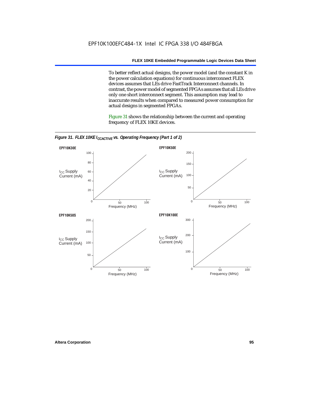To better reflect actual designs, the power model (and the constant K in the power calculation equations) for continuous interconnect FLEX devices assumes that LEs drive FastTrack Interconnect channels. In contrast, the power model of segmented FPGAs assumes that all LEs drive only one short interconnect segment. This assumption may lead to inaccurate results when compared to measured power consumption for actual designs in segmented FPGAs.

Figure 31 shows the relationship between the current and operating frequency of FLEX 10KE devices.



*Figure 31. FLEX 10KE I<sub>CCACTIVE</sub> vs. Operating Frequency (Part 1 of 2)*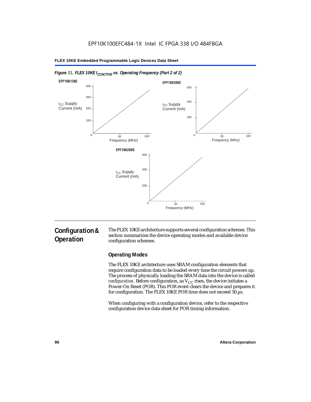

### *Figure 31. FLEX 10KE I<sub>CCACTIVE</sub> vs. Operating Frequency (Part 2 of 2)*

# **Configuration & Operation**

The FLEX 10KE architecture supports several configuration schemes. This section summarizes the device operating modes and available device configuration schemes.

## **Operating Modes**

The FLEX 10KE architecture uses SRAM configuration elements that require configuration data to be loaded every time the circuit powers up. The process of physically loading the SRAM data into the device is called *configuration.* Before configuration, as  $V_{CC}$  rises, the device initiates a Power-On Reset (POR). This POR event clears the device and prepares it for configuration. The FLEX 10KE POR time does not exceed 50 µs.

When configuring with a configuration device, refer to the respective configuration device data sheet for POR timing information.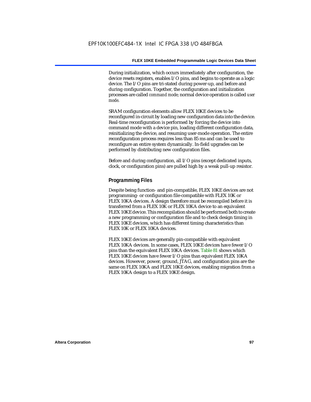During initialization, which occurs immediately after configuration, the device resets registers, enables I/O pins, and begins to operate as a logic device. The I/O pins are tri-stated during power-up, and before and during configuration. Together, the configuration and initialization processes are called *command mode*; normal device operation is called *user mode*.

SRAM configuration elements allow FLEX 10KE devices to be reconfigured in-circuit by loading new configuration data into the device. Real-time reconfiguration is performed by forcing the device into command mode with a device pin, loading different configuration data, reinitializing the device, and resuming user-mode operation. The entire reconfiguration process requires less than 85 ms and can be used to reconfigure an entire system dynamically. In-field upgrades can be performed by distributing new configuration files.

Before and during configuration, all I/O pins (except dedicated inputs, clock, or configuration pins) are pulled high by a weak pull-up resistor.

### **Programming Files**

Despite being function- and pin-compatible, FLEX 10KE devices are not programming- or configuration file-compatible with FLEX 10K or FLEX 10KA devices. A design therefore must be recompiled before it is transferred from a FLEX 10K or FLEX 10KA device to an equivalent FLEX 10KE device. This recompilation should be performed both to create a new programming or configuration file and to check design timing in FLEX 10KE devices, which has different timing characteristics than FLEX 10K or FLEX 10KA devices.

FLEX 10KE devices are generally pin-compatible with equivalent FLEX 10KA devices. In some cases, FLEX 10KE devices have fewer I/O pins than the equivalent FLEX 10KA devices. Table 81 shows which FLEX 10KE devices have fewer I/O pins than equivalent FLEX 10KA devices. However, power, ground, JTAG, and configuration pins are the same on FLEX 10KA and FLEX 10KE devices, enabling migration from a FLEX 10KA design to a FLEX 10KE design.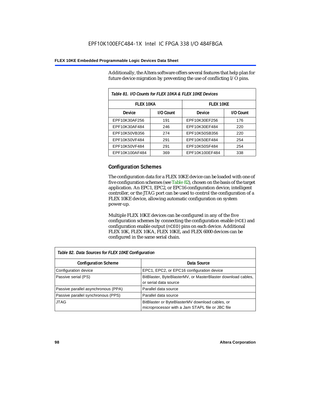Additionally, the Altera software offers several features that help plan for future device migration by preventing the use of conflicting I/O pins.

| Table 81. I/O Counts for FLEX 10KA & FLEX 10KE Devices |           |                  |           |  |
|--------------------------------------------------------|-----------|------------------|-----------|--|
| <b>FLEX 10KA</b>                                       |           | <b>FLEX 10KE</b> |           |  |
| Device                                                 | I/O Count | Device           | I/O Count |  |
| EPF10K30AF256                                          | 191       | EPF10K30EF256    | 176       |  |
| EPF10K30AF484                                          | 246       | EPF10K30EF484    | 220       |  |
| EPF10K50VB356                                          | 274       | EPF10K50SB356    | 220       |  |
| EPF10K50VF484                                          | 291       | EPF10K50EF484    | 254       |  |
| EPF10K50VF484                                          | 291       | EPF10K50SF484    | 254       |  |
| EPF10K100AF484                                         | 369       | EPF10K100EF484   | 338       |  |

### **Configuration Schemes**

The configuration data for a FLEX 10KE device can be loaded with one of five configuration schemes (see Table 82), chosen on the basis of the target application. An EPC1, EPC2, or EPC16 configuration device, intelligent controller, or the JTAG port can be used to control the configuration of a FLEX 10KE device, allowing automatic configuration on system power-up.

Multiple FLEX 10KE devices can be configured in any of the five configuration schemes by connecting the configuration enable (nCE) and configuration enable output (nCEO) pins on each device. Additional FLEX 10K, FLEX 10KA, FLEX 10KE, and FLEX 6000 devices can be configured in the same serial chain.

| Table 82. Data Sources for FLEX 10KE Configuration |                                                                                                     |  |  |
|----------------------------------------------------|-----------------------------------------------------------------------------------------------------|--|--|
| <b>Configuration Scheme</b>                        | Data Source                                                                                         |  |  |
| Configuration device                               | EPC1, EPC2, or EPC16 configuration device                                                           |  |  |
| Passive serial (PS)                                | BitBlaster, ByteBlasterMV, or MasterBlaster download cables,<br>or serial data source               |  |  |
| Passive parallel asynchronous (PPA)                | Parallel data source                                                                                |  |  |
| Passive parallel synchronous (PPS)                 | Parallel data source                                                                                |  |  |
| <b>JTAG</b>                                        | BitBlaster or ByteBlasterMV download cables, or<br>microprocessor with a Jam STAPL file or JBC file |  |  |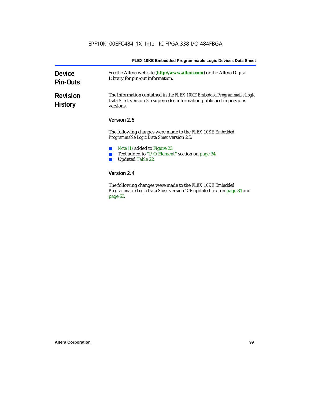| <b>Device</b><br><b>Pin-Outs</b>  | See the Altera web site (http://www.altera.com) or the Altera Digital<br>Library for pin-out information.                                                  |  |  |
|-----------------------------------|------------------------------------------------------------------------------------------------------------------------------------------------------------|--|--|
| <b>Revision</b><br><b>History</b> | The information contained in the FLEX 10KE Embedded Programmable Logic<br>Data Sheet version 2.5 supersedes information published in previous<br>versions. |  |  |
|                                   | Version 2.5                                                                                                                                                |  |  |
|                                   | The following changes were made to the FLEX 10KE Embedded<br><i>Programmable Logic Data Sheet version 2.5:</i>                                             |  |  |
|                                   | <i>Note (1)</i> added to Figure 23.<br>Text added to "I/O Element" section on page 34.<br><b>Updated Table 22.</b>                                         |  |  |
|                                   | Version 2.4                                                                                                                                                |  |  |
|                                   | The following changes were mode to the FLFV 10VF Embedded                                                                                                  |  |  |

The following changes were made to the *FLEX 10KE Embedded Programmable Logic Data Sheet* version 2.4: updated text on page 34 and page 63.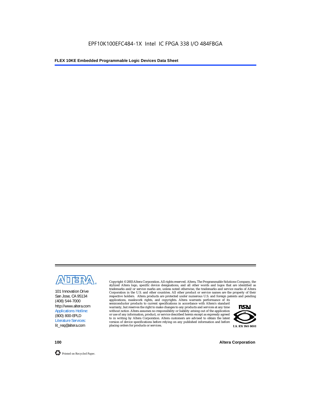

101 Innovation Drive San Jose, CA 95134 (408) 544-7000 http://www.altera.com Applications Hotline: (800) 800-EPLD Literature Services: lit\_req@altera.com

Copyright © 2003 Altera Corporation. All rights reserved. Altera, The Programmable Solutions Company, the stylized Altera logo, specific device designations, and all other words and logos that are identified as trademarks and/or service marks are, unless noted otherwise, the trademarks and service marks of Altera Corporation in the U.S. and other countries. All other product or service names are the property of their respective holders. Altera products are protected under numerous U.S. and foreign patents and pending

applications, maskwork rights, and copyrights. Altera warrants performance of its semiconductor products to current specifications in accordance with Altera's standard warranty, but reserves the right to make changes to any products and services at any time without notice. Altera assumes no responsibility or liability arising out of the application or use of any information, product, or service described herein except as expressly agreed to in writing by Altera Corporation. Altera customers are advised to obtain the latest version of device specifications before relying on any published information and before placing orders for products or services.



**100 Altera Corporation**